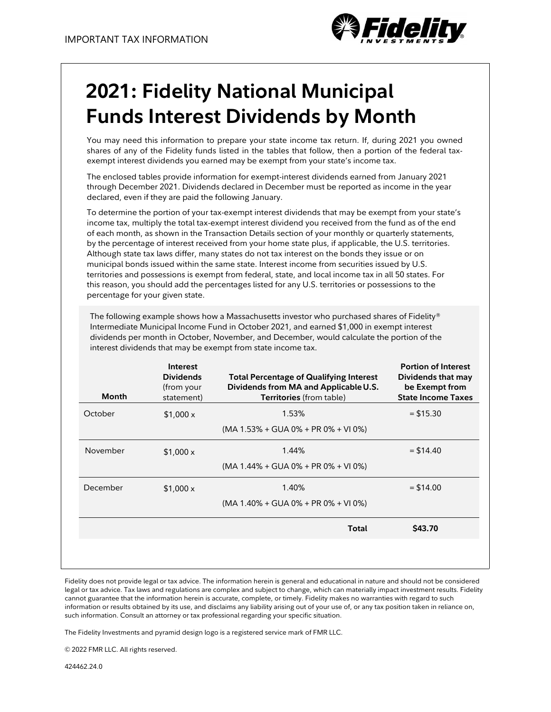

# **2021: Fidelity National Municipal Funds Interest Dividends by Month**

You may need this information to prepare your state income tax return. If, during 2021 you owned shares of any of the Fidelity funds listed in the tables that follow, then a portion of the federal taxexempt interest dividends you earned may be exempt from your state's income tax.

The enclosed tables provide information for exempt-interest dividends earned from January 2021 through December 2021. Dividends declared in December must be reported as income in the year declared, even if they are paid the following January.

To determine the portion of your tax-exempt interest dividends that may be exempt from your state's income tax, multiply the total tax-exempt interest dividend you received from the fund as of the end of each month, as shown in the Transaction Details section of your monthly or quarterly statements, by the percentage of interest received from your home state plus, if applicable, the U.S. territories. Although state tax laws differ, many states do not tax interest on the bonds they issue or on municipal bonds issued within the same state. Interest income from securities issued by U.S. territories and possessions is exempt from federal, state, and local income tax in all 50 states. For this reason, you should add the percentages listed for any U.S. territories or possessions to the percentage for your given state.

The following example shows how a Massachusetts investor who purchased shares of Fidelity® Intermediate Municipal Income Fund in October 2021, and earned \$1,000 in exempt interest dividends per month in October, November, and December, would calculate the portion of the interest dividends that may be exempt from state income tax.

| <b>Month</b> | Interest<br><b>Dividends</b><br>(from your<br>statement) | <b>Total Percentage of Qualifying Interest</b><br>Dividends from MA and Applicable U.S.<br>Territories (from table) | <b>Portion of Interest</b><br>Dividends that may<br>be Exempt from<br><b>State Income Taxes</b> |
|--------------|----------------------------------------------------------|---------------------------------------------------------------------------------------------------------------------|-------------------------------------------------------------------------------------------------|
| October      | \$1,000x                                                 | 1.53%                                                                                                               | $= $15.30$                                                                                      |
|              |                                                          | $(MA 1.53\% + GUA 0\% + PR 0\% + VI 0\%)$                                                                           |                                                                                                 |
| November     | $$1,000 \times$                                          | 1.44%                                                                                                               | $=$ \$14.40                                                                                     |
|              |                                                          | $(MA 1.44\% + GUA 0\% + PR 0\% + VI 0\%)$                                                                           |                                                                                                 |
| December     | $$1,000 \times$                                          | 1.40%                                                                                                               | $=$ \$14.00                                                                                     |
|              |                                                          | (MA 1.40% + GUA 0% + PR 0% + VI 0%)                                                                                 |                                                                                                 |
|              |                                                          | Total                                                                                                               | <b>\$43.70</b>                                                                                  |
|              |                                                          |                                                                                                                     |                                                                                                 |
|              |                                                          |                                                                                                                     |                                                                                                 |

Fidelity does not provide legal or tax advice. The information herein is general and educational in nature and should not be considered legal or tax advice. Tax laws and regulations are complex and subject to change, which can materially impact investment results. Fidelity cannot guarantee that the information herein is accurate, complete, or timely. Fidelity makes no warranties with regard to such information or results obtained by its use, and disclaims any liability arising out of your use of, or any tax position taken in reliance on, such information. Consult an attorney or tax professional regarding your specific situation.

The Fidelity Investments and pyramid design logo is a registered service mark of FMR LLC.

© 2022 FMR LLC. All rights reserved.

424462.24.0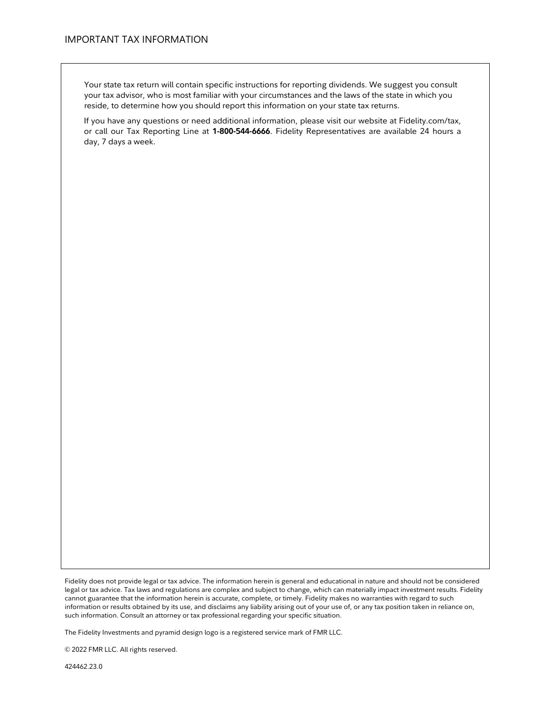Your state tax return will contain specific instructions for reporting dividends. We suggest you consult your tax advisor, who is most familiar with your circumstances and the laws of the state in which you reside, to determine how you should report this information on your state tax returns.

If you have any questions or need additional information, please visit our website at Fidelity.com/tax, or call our Tax Reporting Line at **1-800-544-6666**. Fidelity Representatives are available 24 hours a day, 7 days a week.

Fidelity does not provide legal or tax advice. The information herein is general and educational in nature and should not be considered legal or tax advice. Tax laws and regulations are complex and subject to change, which can materially impact investment results. Fidelity cannot guarantee that the information herein is accurate, complete, or timely. Fidelity makes no warranties with regard to such information or results obtained by its use, and disclaims any liability arising out of your use of, or any tax position taken in reliance on, such information. Consult an attorney or tax professional regarding your specific situation.

The Fidelity Investments and pyramid design logo is a registered service mark of FMR LLC.

© 2022 FMR LLC. All rights reserved.

424462.23.0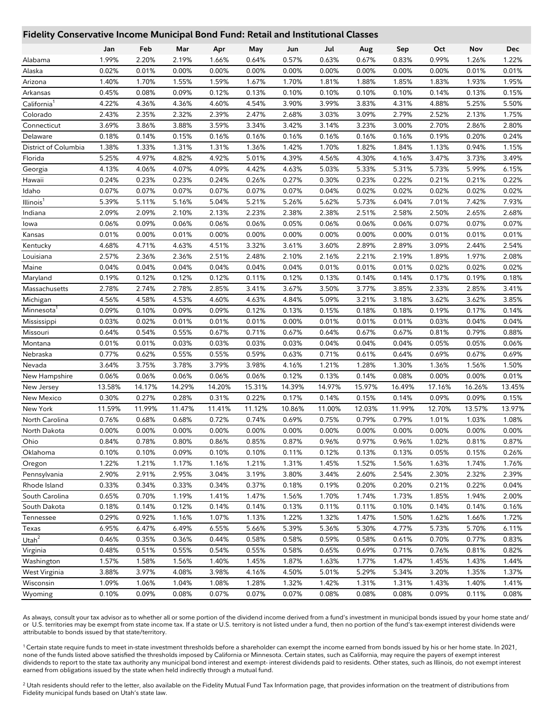## **Fidelity Conservative Income Municipal Bond Fund: Retail and Institutional Classes**

|                         | Jan    | Feb    | Mar    | Apr    | May            | Jun    | Jul    | Aug    | Sep    | Oct    | Nov    | Dec    |
|-------------------------|--------|--------|--------|--------|----------------|--------|--------|--------|--------|--------|--------|--------|
| Alabama                 | 1.99%  | 2.20%  | 2.19%  | 1.66%  | 0.64%          | 0.57%  | 0.63%  | 0.67%  | 0.83%  | 0.99%  | 1.26%  | 1.22%  |
| Alaska                  | 0.02%  | 0.01%  | 0.00%  | 0.00%  | 0.00%          | 0.00%  | 0.00%  | 0.00%  | 0.00%  | 0.00%  | 0.01%  | 0.01%  |
| Arizona                 | 1.40%  | 1.70%  | 1.55%  | 1.59%  | 1.67%          | 1.70%  | 1.81%  | 1.88%  | 1.85%  | 1.83%  | 1.93%  | 1.95%  |
| Arkansas                | 0.45%  | 0.08%  | 0.09%  | 0.12%  | 0.13%          | 0.10%  | 0.10%  | 0.10%  | 0.10%  | 0.14%  | 0.13%  | 0.15%  |
| California <sup>1</sup> | 4.22%  | 4.36%  | 4.36%  | 4.60%  | 4.54%          | 3.90%  | 3.99%  | 3.83%  | 4.31%  | 4.88%  | 5.25%  | 5.50%  |
| Colorado                | 2.43%  | 2.35%  | 2.32%  | 2.39%  | 2.47%          | 2.68%  | 3.03%  | 3.09%  | 2.79%  | 2.52%  | 2.13%  | 1.75%  |
| Connecticut             | 3.69%  | 3.86%  | 3.88%  | 3.59%  | 3.34%          | 3.42%  | 3.14%  | 3.23%  | 3.00%  | 2.70%  | 2.86%  | 2.80%  |
| Delaware                | 0.18%  | 0.14%  | 0.15%  | 0.16%  | 0.16%          | 0.16%  | 0.16%  | 0.16%  | 0.16%  | 0.19%  | 0.20%  | 0.24%  |
| District of Columbia    | 1.38%  | 1.33%  | 1.31%  | 1.31%  | 1.36%          | 1.42%  | 1.70%  | 1.82%  | 1.84%  | 1.13%  | 0.94%  | 1.15%  |
| Florida                 | 5.25%  | 4.97%  | 4.82%  | 4.92%  | 5.01%          | 4.39%  | 4.56%  | 4.30%  | 4.16%  | 3.47%  | 3.73%  | 3.49%  |
| Georgia                 | 4.13%  | 4.06%  | 4.07%  | 4.09%  | 4.42%          | 4.63%  | 5.03%  | 5.33%  | 5.31%  | 5.73%  | 5.99%  | 6.15%  |
| Hawaii                  | 0.24%  | 0.23%  | 0.23%  | 0.24%  | 0.26%          | 0.27%  | 0.30%  | 0.23%  | 0.22%  | 0.21%  | 0.21%  | 0.22%  |
| Idaho                   | 0.07%  | 0.07%  | 0.07%  | 0.07%  | 0.07%          | 0.07%  | 0.04%  | 0.02%  | 0.02%  | 0.02%  | 0.02%  | 0.02%  |
| Illinois <sup>1</sup>   | 5.39%  | 5.11%  | 5.16%  | 5.04%  | 5.21%          | 5.26%  | 5.62%  | 5.73%  | 6.04%  | 7.01%  | 7.42%  | 7.93%  |
| Indiana                 | 2.09%  | 2.09%  | 2.10%  | 2.13%  | 2.23%          | 2.38%  | 2.38%  | 2.51%  | 2.58%  | 2.50%  | 2.65%  | 2.68%  |
| lowa                    | 0.06%  | 0.09%  | 0.06%  | 0.06%  | 0.06%          | 0.05%  | 0.06%  | 0.06%  | 0.06%  | 0.07%  | 0.07%  | 0.07%  |
| Kansas                  | 0.01%  | 0.00%  | 0.01%  | 0.00%  | 0.00%          | 0.00%  | 0.00%  | 0.00%  | 0.00%  | 0.01%  | 0.01%  | 0.01%  |
| Kentucky                | 4.68%  | 4.71%  | 4.63%  | 4.51%  | 3.32%          | 3.61%  | 3.60%  | 2.89%  | 2.89%  | 3.09%  | 2.44%  | 2.54%  |
| Louisiana               | 2.57%  | 2.36%  | 2.36%  | 2.51%  | 2.48%          | 2.10%  | 2.16%  | 2.21%  | 2.19%  | 1.89%  | 1.97%  | 2.08%  |
| Maine                   | 0.04%  | 0.04%  | 0.04%  | 0.04%  | 0.04%          | 0.04%  | 0.01%  | 0.01%  | 0.01%  | 0.02%  | 0.02%  | 0.02%  |
| Maryland                | 0.19%  | 0.12%  | 0.12%  | 0.12%  | 0.11%          | 0.12%  | 0.13%  | 0.14%  | 0.14%  | 0.17%  | 0.19%  | 0.18%  |
| Massachusetts           | 2.78%  | 2.74%  | 2.78%  | 2.85%  | 3.41%          | 3.67%  | 3.50%  | 3.77%  | 3.85%  | 2.33%  | 2.85%  | 3.41%  |
| Michigan                | 4.56%  | 4.58%  | 4.53%  | 4.60%  | 4.63%          | 4.84%  | 5.09%  | 3.21%  | 3.18%  | 3.62%  | 3.62%  | 3.85%  |
| Minnesota               | 0.09%  | 0.10%  | 0.09%  | 0.09%  | 0.12%          | 0.13%  | 0.15%  | 0.18%  | 0.18%  | 0.19%  | 0.17%  | 0.14%  |
| Mississippi             | 0.03%  | 0.02%  | 0.01%  | 0.01%  | 0.01%          | 0.00%  | 0.01%  | 0.01%  | 0.01%  | 0.03%  | 0.04%  | 0.04%  |
| Missouri                | 0.64%  | 0.54%  | 0.55%  | 0.67%  | 0.71%          | 0.67%  | 0.64%  | 0.67%  | 0.67%  | 0.81%  | 0.79%  | 0.88%  |
| Montana                 | 0.01%  | 0.01%  | 0.03%  | 0.03%  | 0.03%          | 0.03%  | 0.04%  | 0.04%  | 0.04%  | 0.05%  | 0.05%  | 0.06%  |
| Nebraska                | 0.77%  | 0.62%  | 0.55%  | 0.55%  | 0.59%          | 0.63%  | 0.71%  | 0.61%  | 0.64%  | 0.69%  | 0.67%  | 0.69%  |
| Nevada                  | 3.64%  | 3.75%  | 3.78%  | 3.79%  | 3.98%          | 4.16%  | 1.21%  | 1.28%  | 1.30%  | 1.36%  | 1.56%  | 1.50%  |
| New Hampshire           | 0.06%  | 0.06%  | 0.06%  | 0.06%  | 0.06%          | 0.12%  | 0.13%  | 0.14%  | 0.08%  | 0.00%  | 0.00%  | 0.01%  |
| New Jersey              | 13.58% | 14.17% | 14.29% | 14.20% | 15.31%         | 14.39% | 14.97% | 15.97% | 16.49% | 17.16% | 16.26% | 13.45% |
| New Mexico              | 0.30%  | 0.27%  | 0.28%  | 0.31%  | 0.22%          | 0.17%  | 0.14%  | 0.15%  | 0.14%  | 0.09%  | 0.09%  | 0.15%  |
| New York                | 11.59% | 11.99% | 11.47% | 11.41% | 11.12%         | 10.86% | 11.00% | 12.03% | 11.99% | 12.70% | 13.57% | 13.97% |
| North Carolina          | 0.76%  | 0.68%  | 0.68%  | 0.72%  | 0.74%          | 0.69%  | 0.75%  | 0.79%  | 0.79%  | 1.01%  | 1.03%  | 1.08%  |
| North Dakota            | 0.00%  | 0.00%  | 0.00%  | 0.00%  | 0.00%          | 0.00%  | 0.00%  | 0.00%  | 0.00%  | 0.00%  | 0.00%  | 0.00%  |
| Ohio                    | 0.84%  | 0.78%  | 0.80%  | 0.86%  | 0.85%          | 0.87%  | 0.96%  | 0.97%  | 0.96%  | 1.02%  | 0.81%  | 0.87%  |
| Oklahoma                | 0.10%  | 0.10%  | 0.09%  | 0.10%  | 0.10%          | 0.11%  | 0.12%  | 0.13%  | 0.13%  | 0.05%  | 0.15%  | 0.26%  |
| Oregon                  | 1.22%  | 1.21%  | 1.17%  | 1.16%  | 1.21%          | 1.31%  | 1.45%  | 1.52%  | 1.56%  | 1.63%  | 1.74%  | 1.76%  |
| Pennsylvania            | 2.90%  | 2.91%  | 2.95%  | 3.04%  | 3.19%          | 3.80%  | 3.44%  | 2.60%  | 2.54%  | 2.30%  | 2.32%  | 2.39%  |
| Rhode Island            | 0.33%  | 0.34%  | 0.33%  | 0.34%  | 0.37%          | 0.18%  | 0.19%  | 0.20%  | 0.20%  | 0.21%  | 0.22%  | 0.04%  |
| South Carolina          | 0.65%  | 0.70%  | 1.19%  | 1.41%  | 1.47%          | 1.56%  | 1.70%  | 1.74%  | 1.73%  | 1.85%  | 1.94%  | 2.00%  |
| South Dakota            | 0.18%  | 0.14%  | 0.12%  | 0.14%  | 0.14%          | 0.13%  | 0.11%  | 0.11%  | 0.10%  | 0.14%  | 0.14%  | 0.16%  |
|                         | 0.29%  | 0.92%  | 1.16%  | 1.07%  |                | 1.22%  | 1.32%  | 1.47%  |        | 1.62%  |        |        |
| Tennessee               |        |        |        |        | 1.13%<br>5.66% |        |        |        | 1.50%  |        | 1.66%  | 1.72%  |
| Texas                   | 6.95%  | 6.47%  | 6.49%  | 6.55%  |                | 5.39%  | 5.36%  | 5.30%  | 4.77%  | 5.73%  | 5.70%  | 6.11%  |
| Utah $^2$               | 0.46%  | 0.35%  | 0.36%  | 0.44%  | 0.58%          | 0.58%  | 0.59%  | 0.58%  | 0.61%  | 0.70%  | 0.77%  | 0.83%  |
| Virginia                | 0.48%  | 0.51%  | 0.55%  | 0.54%  | 0.55%          | 0.58%  | 0.65%  | 0.69%  | 0.71%  | 0.76%  | 0.81%  | 0.82%  |
| Washington              | 1.57%  | 1.58%  | 1.56%  | 1.40%  | 1.45%          | 1.87%  | 1.63%  | 1.77%  | 1.47%  | 1.45%  | 1.43%  | 1.44%  |
| West Virginia           | 3.88%  | 3.97%  | 4.08%  | 3.98%  | 4.16%          | 4.50%  | 5.01%  | 5.29%  | 5.34%  | 3.20%  | 1.35%  | 1.37%  |
| Wisconsin               | 1.09%  | 1.06%  | 1.04%  | 1.08%  | 1.28%          | 1.32%  | 1.42%  | 1.31%  | 1.31%  | 1.43%  | 1.40%  | 1.41%  |
| Wyoming                 | 0.10%  | 0.09%  | 0.08%  | 0.07%  | 0.07%          | 0.07%  | 0.08%  | 0.08%  | 0.08%  | 0.09%  | 0.11%  | 0.08%  |

As always, consult your tax advisor as to whether all or some portion of the dividend income derived from a fund's investment in municipal bonds issued by your home state and/ or U.S. territories may be exempt from state income tax. If a state or U.S. territory is not listed under a fund, then no portion of the fund's tax-exempt interest dividends were attributable to bonds issued by that state/territory.

<sup>1</sup>Certain state require funds to meet in-state investment thresholds before a shareholder can exempt the income earned from bonds issued by his or her home state. In 2021, none of the funds listed above satisfied the thresholds imposed by California or Minnesota. Certain states, such as California, may require the payers of exempt interest dividends to report to the state tax authority any municipal bond interest and exempt- interest dividends paid to residents. Other states, such as Illinois, do not exempt interest earned from obligations issued by the state when held indirectly through a mutual fund.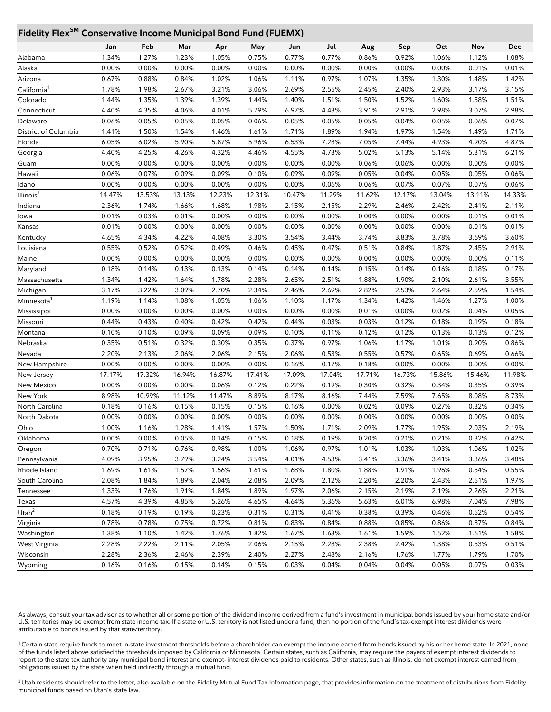# **Fidelity FlexSM Conservative Income Municipal Bond Fund (FUEMX)**

| <b>FINETLY LIEY</b><br>Conservative income ividincipat bond Fund (FOLIVIA) |        |        |        |        |        |        |        |        |        |        |                |        |
|----------------------------------------------------------------------------|--------|--------|--------|--------|--------|--------|--------|--------|--------|--------|----------------|--------|
|                                                                            | Jan    | Feb    | Mar    | Apr    | May    | Jun    | Jul    | Aug    | Sep    | Oct    | Nov            | Dec    |
| Alabama                                                                    | 1.34%  | 1.27%  | 1.23%  | 1.05%  | 0.75%  | 0.77%  | 0.77%  | 0.86%  | 0.92%  | 1.06%  | 1.12%          | 1.08%  |
| Alaska                                                                     | 0.00%  | 0.00%  | 0.00%  | 0.00%  | 0.00%  | 0.00%  | 0.00%  | 0.00%  | 0.00%  | 0.00%  | 0.01%          | 0.01%  |
| Arizona                                                                    | 0.67%  | 0.88%  | 0.84%  | 1.02%  | 1.06%  | 1.11%  | 0.97%  | 1.07%  | 1.35%  | 1.30%  | 1.48%          | 1.42%  |
| California'                                                                | 1.78%  | 1.98%  | 2.67%  | 3.21%  | 3.06%  | 2.69%  | 2.55%  | 2.45%  | 2.40%  | 2.93%  | 3.17%          | 3.15%  |
| Colorado                                                                   | 1.44%  | 1.35%  | 1.39%  | 1.39%  | 1.44%  | 1.40%  | 1.51%  | 1.50%  | 1.52%  | 1.60%  | 1.58%          | 1.51%  |
| Connecticut                                                                | 4.40%  | 4.35%  | 4.06%  | 4.01%  | 5.79%  | 6.97%  | 4.43%  | 3.91%  | 2.91%  | 2.98%  | 3.07%          | 2.98%  |
| Delaware                                                                   | 0.06%  | 0.05%  | 0.05%  | 0.05%  | 0.06%  | 0.05%  | 0.05%  | 0.05%  | 0.04%  | 0.05%  | 0.06%          | 0.07%  |
| District of Columbia                                                       | 1.41%  | 1.50%  | 1.54%  | 1.46%  | 1.61%  | 1.71%  | 1.89%  | 1.94%  | 1.97%  | 1.54%  | 1.49%          | 1.71%  |
| Florida                                                                    | 6.05%  | 6.02%  | 5.90%  | 5.87%  | 5.96%  | 6.53%  | 7.28%  | 7.05%  | 7.44%  | 4.93%  | 4.90%          | 4.87%  |
| Georgia                                                                    | 4.40%  | 4.25%  | 4.26%  | 4.32%  | 4.46%  | 4.55%  | 4.73%  | 5.02%  | 5.13%  | 5.14%  | 5.31%          | 6.21%  |
| Guam                                                                       | 0.00%  | 0.00%  | 0.00%  | 0.00%  | 0.00%  | 0.00%  | 0.00%  | 0.06%  | 0.06%  | 0.00%  | 0.00%          | 0.00%  |
| Hawaii                                                                     | 0.06%  | 0.07%  | 0.09%  | 0.09%  | 0.10%  | 0.09%  | 0.09%  | 0.05%  | 0.04%  | 0.05%  | 0.05%          | 0.06%  |
| Idaho                                                                      | 0.00%  | 0.00%  | 0.00%  | 0.00%  | 0.00%  | 0.00%  | 0.06%  | 0.06%  | 0.07%  | 0.07%  | 0.07%          | 0.06%  |
| Illinois <sup>1</sup>                                                      | 14.47% | 13.53% | 13.13% | 12.23% | 12.31% | 10.47% | 11.29% | 11.62% | 12.17% | 13.04% | 13.11%         | 14.33% |
| Indiana                                                                    | 2.36%  | 1.74%  | 1.66%  | 1.68%  | 1.98%  | 2.15%  | 2.15%  | 2.29%  | 2.46%  | 2.42%  | 2.41%          | 2.11%  |
| lowa                                                                       | 0.01%  | 0.03%  | 0.01%  | 0.00%  | 0.00%  | 0.00%  | 0.00%  | 0.00%  | 0.00%  | 0.00%  | 0.01%          | 0.01%  |
| Kansas                                                                     | 0.01%  | 0.00%  | 0.00%  | 0.00%  | 0.00%  | 0.00%  | 0.00%  | 0.00%  | 0.00%  | 0.00%  | 0.01%          | 0.01%  |
| Kentucky                                                                   | 4.65%  | 4.34%  | 4.22%  | 4.08%  | 3.30%  | 3.54%  | 3.44%  | 3.74%  | 3.83%  | 3.78%  | 3.69%          | 3.60%  |
| Louisiana                                                                  | 0.55%  | 0.52%  | 0.52%  | 0.49%  | 0.46%  | 0.45%  | 0.47%  | 0.51%  | 0.84%  | 1.87%  | 2.45%          | 2.91%  |
| Maine                                                                      | 0.00%  | 0.00%  | 0.00%  | 0.00%  | 0.00%  | 0.00%  | 0.00%  | 0.00%  | 0.00%  | 0.00%  | 0.00%          | 0.11%  |
| Maryland                                                                   | 0.18%  | 0.14%  | 0.13%  | 0.13%  | 0.14%  | 0.14%  | 0.14%  | 0.15%  | 0.14%  | 0.16%  | 0.18%          | 0.17%  |
| Massachusetts                                                              | 1.34%  | 1.42%  | 1.64%  | 1.78%  | 2.28%  | 2.65%  | 2.51%  | 1.88%  | 1.90%  | 2.10%  | 2.61%          | 3.55%  |
| Michigan                                                                   | 3.17%  | 3.22%  | 3.09%  | 2.70%  | 2.34%  | 2.46%  | 2.69%  | 2.82%  | 2.53%  | 2.64%  | 2.59%          | 1.54%  |
| Minnesota <sup>1</sup>                                                     | 1.19%  | 1.14%  | 1.08%  | 1.05%  | 1.06%  | 1.10%  | 1.17%  | 1.34%  | 1.42%  | 1.46%  | 1.27%          | 1.00%  |
| Mississippi                                                                | 0.00%  | 0.00%  | 0.00%  | 0.00%  | 0.00%  | 0.00%  | 0.00%  | 0.01%  | 0.00%  | 0.02%  | 0.04%          | 0.05%  |
| Missouri                                                                   | 0.44%  | 0.43%  | 0.40%  | 0.42%  | 0.42%  | 0.44%  | 0.03%  | 0.03%  | 0.12%  | 0.18%  | 0.19%          | 0.18%  |
| Montana                                                                    | 0.10%  | 0.10%  | 0.09%  | 0.09%  | 0.09%  | 0.10%  | 0.11%  | 0.12%  | 0.12%  | 0.13%  | 0.13%          | 0.12%  |
| Nebraska                                                                   | 0.35%  | 0.51%  | 0.32%  | 0.30%  | 0.35%  | 0.37%  | 0.97%  | 1.06%  | 1.17%  | 1.01%  | 0.90%          | 0.86%  |
| Nevada                                                                     | 2.20%  | 2.13%  | 2.06%  | 2.06%  | 2.15%  | 2.06%  | 0.53%  | 0.55%  | 0.57%  | 0.65%  | 0.69%          | 0.66%  |
| New Hampshire                                                              | 0.00%  | 0.00%  | 0.00%  | 0.00%  | 0.00%  | 0.16%  | 0.17%  | 0.18%  | 0.00%  | 0.00%  | 0.00%          | 0.00%  |
| New Jersey                                                                 | 17.17% | 17.32% | 16.94% | 16.87% | 17.41% | 17.09% | 17.04% | 17.71% | 16.73% | 15.86% | 15.46%         | 11.98% |
| New Mexico                                                                 | 0.00%  | 0.00%  | 0.00%  | 0.06%  | 0.12%  | 0.22%  | 0.19%  | 0.30%  | 0.32%  | 0.34%  | 0.35%          | 0.39%  |
| New York                                                                   | 8.98%  | 10.99% | 11.12% | 11.47% | 8.89%  | 8.17%  | 8.16%  | 7.44%  | 7.59%  | 7.65%  | 8.08%          | 8.73%  |
| North Carolina                                                             | 0.18%  | 0.16%  | 0.15%  | 0.15%  | 0.15%  | 0.16%  | 0.00%  | 0.02%  | 0.09%  | 0.27%  | 0.32%          | 0.34%  |
| North Dakota                                                               | 0.00%  | 0.00%  | 0.00%  | 0.00%  | 0.00%  | 0.00%  | 0.00%  | 0.00%  | 0.00%  | 0.00%  | 0.00%          | 0.00%  |
| Ohio                                                                       | 1.00%  | 1.16%  | 1.28%  | 1.41%  | 1.57%  | 1.50%  | 1.71%  | 2.09%  | 1.77%  | 1.95%  | 2.03%          | 2.19%  |
| Oklahoma                                                                   | 0.00%  | 0.00%  | 0.05%  | 0.14%  | 0.15%  | 0.18%  | 0.19%  | 0.20%  | 0.21%  | 0.21%  | 0.32%          | 0.42%  |
|                                                                            | 0.70%  | 0.71%  |        | 0.98%  | 1.00%  |        | 0.97%  | 1.01%  | 1.03%  |        |                | 1.02%  |
| Oregon                                                                     |        |        | 0.76%  |        |        | 1.06%  |        |        |        | 1.03%  | 1.06%<br>3.36% |        |
| Pennsylvania                                                               | 4.09%  | 3.95%  | 3.79%  | 3.24%  | 3.54%  | 4.01%  | 4.53%  | 3.41%  | 3.36%  | 3.41%  |                | 3.48%  |
| Rhode Island                                                               | 1.69%  | 1.61%  | 1.57%  | 1.56%  | 1.61%  | 1.68%  | 1.80%  | 1.88%  | 1.91%  | 1.96%  | 0.54%          | 0.55%  |
| South Carolina                                                             | 2.08%  | 1.84%  | 1.89%  | 2.04%  | 2.08%  | 2.09%  | 2.12%  | 2.20%  | 2.20%  | 2.43%  | 2.51%          | 1.97%  |
| Tennessee                                                                  | 1.33%  | 1.76%  | 1.91%  | 1.84%  | 1.89%  | 1.97%  | 2.06%  | 2.15%  | 2.19%  | 2.19%  | 2.26%          | 2.21%  |
| Texas                                                                      | 4.57%  | 4.39%  | 4.85%  | 5.26%  | 4.65%  | 4.64%  | 5.36%  | 5.63%  | 6.01%  | 6.98%  | 7.04%          | 7.98%  |
| Utah <sup>2</sup>                                                          | 0.18%  | 0.19%  | 0.19%  | 0.23%  | 0.31%  | 0.31%  | 0.41%  | 0.38%  | 0.39%  | 0.46%  | 0.52%          | 0.54%  |
| Virginia                                                                   | 0.78%  | 0.78%  | 0.75%  | 0.72%  | 0.81%  | 0.83%  | 0.84%  | 0.88%  | 0.85%  | 0.86%  | 0.87%          | 0.84%  |
| Washington                                                                 | 1.38%  | 1.10%  | 1.42%  | 1.76%  | 1.82%  | 1.67%  | 1.63%  | 1.61%  | 1.59%  | 1.52%  | 1.61%          | 1.58%  |
| West Virginia                                                              | 2.28%  | 2.22%  | 2.11%  | 2.05%  | 2.06%  | 2.15%  | 2.28%  | 2.38%  | 2.42%  | 1.38%  | 0.53%          | 0.51%  |
| Wisconsin                                                                  | 2.28%  | 2.36%  | 2.46%  | 2.39%  | 2.40%  | 2.27%  | 2.48%  | 2.16%  | 1.76%  | 1.77%  | 1.79%          | 1.70%  |
| Wyoming                                                                    | 0.16%  | 0.16%  | 0.15%  | 0.14%  | 0.15%  | 0.03%  | 0.04%  | 0.04%  | 0.04%  | 0.05%  | 0.07%          | 0.03%  |

As always, consult your tax advisor as to whether all or some portion of the dividend income derived from a fund's investment in municipal bonds issued by your home state and/or U.S. territories may be exempt from state income tax. If a state or U.S. territory is not listed under a fund, then no portion of the fund's tax-exempt interest dividends were attributable to bonds issued by that state/territory.

<sup>1</sup> Certain state require funds to meet in-state investment thresholds before a shareholder can exempt the income earned from bonds issued by his or her home state. In 2021, none of the funds listed above satisfied the thresholds imposed by California or Minnesota. Certain states, such as California, may require the payers of exempt interest dividends to report to the state tax authority any municipal bond interest and exempt- interest dividends paid to residents. Other states, such as Illinois, do not exempt interest earned from obligations issued by the state when held indirectly through a mutual fund.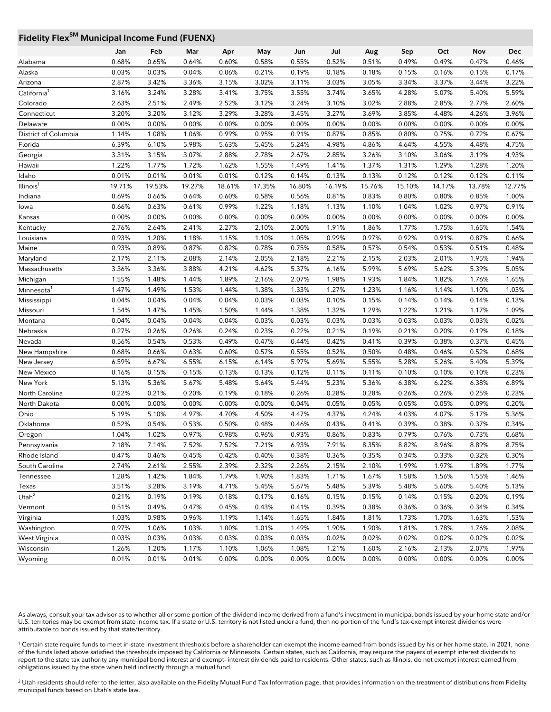# **Fidelity Flex<sup>SM</sup> Municipal Income Fund (FUENX)**

|                       | Jan    | Feb            | Mar    | Apr    | May    | Jun            | Jul            | Aug    | Sep    | Oct    | Nov            | Dec            |
|-----------------------|--------|----------------|--------|--------|--------|----------------|----------------|--------|--------|--------|----------------|----------------|
| Alabama               | 0.68%  | 0.65%          | 0.64%  | 0.60%  | 0.58%  | 0.55%          | 0.52%          | 0.51%  | 0.49%  | 0.49%  | 0.47%          | 0.46%          |
| Alaska                | 0.03%  | 0.03%          | 0.04%  | 0.06%  | 0.21%  | 0.19%          | 0.18%          | 0.18%  | 0.15%  | 0.16%  | 0.15%          | 0.17%          |
| Arizona               | 2.87%  | 3.42%          | 3.36%  | 3.15%  | 3.02%  | 3.11%          | 3.03%          | 3.05%  | 3.34%  | 3.37%  | 3.44%          | 3.22%          |
| California            | 3.16%  | 3.24%          | 3.28%  | 3.41%  | 3.75%  | 3.55%          | 3.74%          | 3.65%  | 4.28%  | 5.07%  | 5.40%          | 5.59%          |
| Colorado              | 2.63%  | 2.51%          | 2.49%  | 2.52%  | 3.12%  | 3.24%          | 3.10%          | 3.02%  | 2.88%  | 2.85%  | 2.77%          | 2.60%          |
| Connecticut           | 3.20%  | 3.20%          | 3.12%  | 3.29%  | 3.28%  | 3.45%          | 3.27%          | 3.69%  | 3.85%  | 4.48%  | 4.26%          | 3.96%          |
| Delaware              | 0.00%  | 0.00%          | 0.00%  | 0.00%  | 0.00%  | 0.00%          | 0.00%          | 0.00%  | 0.00%  | 0.00%  | 0.00%          | 0.00%          |
| District of Columbia  | 1.14%  | 1.08%          | 1.06%  | 0.99%  | 0.95%  | 0.91%          | 0.87%          | 0.85%  | 0.80%  | 0.75%  | 0.72%          | 0.67%          |
| Florida               | 6.39%  | 6.10%          | 5.98%  | 5.63%  | 5.45%  | 5.24%          | 4.98%          | 4.86%  | 4.64%  | 4.55%  | 4.48%          | 4.75%          |
| Georgia               | 3.31%  | 3.15%          | 3.07%  | 2.88%  | 2.78%  | 2.67%          | 2.85%          | 3.26%  | 3.10%  | 3.06%  | 3.19%          | 4.93%          |
| Hawaii                | 1.22%  | 1.77%          | 1.72%  | 1.62%  | 1.55%  | 1.49%          | 1.41%          | 1.37%  | 1.31%  | 1.29%  | 1.28%          | 1.20%          |
| Idaho                 | 0.01%  | 0.01%          | 0.01%  | 0.01%  | 0.12%  | 0.14%          | 0.13%          | 0.13%  | 0.12%  | 0.12%  | 0.12%          | 0.11%          |
| Illinois <sup>1</sup> | 19.71% | 19.53%         | 19.27% | 18.61% | 17.35% | 16.80%         | 16.19%         | 15.76% | 15.10% | 14.17% | 13.78%         | 12.77%         |
| Indiana               | 0.69%  | 0.66%          | 0.64%  | 0.60%  | 0.58%  | 0.56%          | 0.81%          | 0.83%  | 0.80%  | 0.80%  | 0.85%          | 1.00%          |
| lowa                  | 0.66%  | 0.63%          | 0.61%  | 0.99%  | 1.22%  | 1.18%          | 1.13%          | 1.10%  | 1.04%  | 1.02%  | 0.97%          | 0.91%          |
| Kansas                | 0.00%  | 0.00%          | 0.00%  | 0.00%  | 0.00%  | 0.00%          | 0.00%          | 0.00%  | 0.00%  | 0.00%  | 0.00%          | 0.00%          |
| Kentucky              | 2.76%  | 2.64%          | 2.41%  | 2.27%  | 2.10%  | 2.00%          | 1.91%          | 1.86%  | 1.77%  | 1.75%  | 1.65%          | 1.54%          |
| Louisiana             | 0.93%  | 1.20%          | 1.18%  | 1.15%  | 1.10%  | 1.05%          | 0.99%          | 0.97%  | 0.92%  | 0.91%  | 0.87%          | 0.66%          |
| Maine                 | 0.93%  | 0.89%          | 0.87%  | 0.82%  | 0.78%  | 0.75%          | 0.58%          | 0.57%  | 0.54%  | 0.53%  | 0.51%          | 0.48%          |
| Maryland              | 2.17%  | 2.11%          | 2.08%  | 2.14%  | 2.05%  | 2.18%          | 2.21%          | 2.15%  | 2.03%  | 2.01%  | 1.95%          | 1.94%          |
| Massachusetts         | 3.36%  | 3.36%          | 3.88%  | 4.21%  | 4.62%  | 5.37%          | 6.16%          | 5.99%  | 5.69%  | 5.62%  | 5.39%          | 5.05%          |
| Michigan              | 1.55%  | 1.48%          | 1.44%  | 1.89%  | 2.16%  | 2.07%          | 1.98%          | 1.93%  | 1.84%  | 1.82%  | 1.76%          | 1.65%          |
| Minnesota             | 1.47%  | 1.49%          | 1.53%  | 1.44%  | 1.38%  | 1.33%          | 1.27%          | 1.23%  | 1.16%  | 1.14%  | 1.10%          | 1.03%          |
| Mississippi           | 0.04%  | 0.04%          | 0.04%  | 0.04%  | 0.03%  | 0.03%          | 0.10%          | 0.15%  | 0.14%  | 0.14%  | 0.14%          | 0.13%          |
| Missouri              | 1.54%  | 1.47%          | 1.45%  | 1.50%  | 1.44%  | 1.38%          | 1.32%          | 1.29%  | 1.22%  | 1.21%  | 1.17%          | 1.09%          |
| Montana               | 0.04%  | 0.04%          | 0.04%  | 0.04%  | 0.03%  | 0.03%          | 0.03%          | 0.03%  | 0.03%  | 0.03%  | 0.03%          | 0.02%          |
| Nebraska              | 0.27%  | 0.26%          | 0.26%  | 0.24%  | 0.23%  | 0.22%          | 0.21%          | 0.19%  | 0.21%  | 0.20%  | 0.19%          | 0.18%          |
| Nevada                | 0.56%  | 0.54%          | 0.53%  | 0.49%  | 0.47%  | 0.44%          | 0.42%          | 0.41%  | 0.39%  | 0.38%  | 0.37%          | 0.45%          |
| New Hampshire         | 0.68%  | 0.66%          | 0.63%  | 0.60%  | 0.57%  | 0.55%          | 0.52%          | 0.50%  | 0.48%  | 0.46%  | 0.52%          | 0.68%          |
| New Jersey            | 6.59%  | 6.67%          | 6.55%  | 6.15%  | 6.14%  | 5.97%          | 5.69%          | 5.55%  | 5.28%  | 5.26%  | 5.40%          | 5.39%          |
| New Mexico            | 0.16%  | 0.15%          | 0.15%  | 0.13%  | 0.13%  | 0.12%          | 0.11%          | 0.11%  | 0.10%  | 0.10%  | 0.10%          | 0.23%          |
| New York              | 5.13%  | 5.36%          | 5.67%  | 5.48%  | 5.64%  | 5.44%          | 5.23%          | 5.36%  | 6.38%  | 6.22%  | 6.38%          | 6.89%          |
| North Carolina        | 0.22%  | 0.21%          | 0.20%  | 0.19%  | 0.18%  | 0.26%          | 0.28%          | 0.28%  | 0.26%  | 0.26%  | 0.25%          | 0.23%          |
| North Dakota          | 0.00%  | 0.00%          | 0.00%  | 0.00%  | 0.00%  | 0.04%          | 0.05%          | 0.05%  | 0.05%  | 0.05%  | 0.09%          | 0.20%          |
| Ohio                  | 5.19%  | 5.10%          | 4.97%  | 4.70%  | 4.50%  | 4.47%          | 4.37%          | 4.24%  | 4.03%  | 4.07%  | 5.17%          | 5.36%          |
| Oklahoma              | 0.52%  | 0.54%          | 0.53%  | 0.50%  | 0.48%  | 0.46%          | 0.43%          | 0.41%  | 0.39%  | 0.38%  | 0.37%          | 0.34%          |
| Oregon                | 1.04%  | 1.02%          | 0.97%  | 0.98%  | 0.96%  | 0.93%          | 0.86%          | 0.83%  | 0.79%  | 0.76%  | 0.73%          | 0.68%          |
| Pennsylvania          | 7.18%  | 7.14%          | 7.52%  | 7.52%  | 7.21%  | 6.93%          | 7.91%          | 8.35%  | 8.82%  | 8.96%  | 8.89%          | 8.75%          |
| Rhode Island          | 0.47%  | 0.46%          | 0.45%  | 0.42%  | 0.40%  | 0.38%          | 0.36%          | 0.35%  | 0.34%  | 0.33%  | 0.32%          | 0.30%          |
| South Carolina        | 2.74%  |                | 2.55%  | 2.39%  | 2.32%  |                |                | 2.10%  | 1.99%  | 1.97%  |                |                |
| Tennessee             | 1.28%  | 2.61%<br>1.42% | 1.84%  | 1.79%  | 1.90%  | 2.26%<br>1.83% | 2.15%<br>1.71% | 1.67%  | 1.58%  | 1.56%  | 1.89%<br>1.55% | 1.77%<br>1.46% |
|                       |        |                |        |        |        |                |                |        |        |        |                |                |
| Texas<br>Utah $2$     | 3.51%  | 3.28%          | 3.19%  | 4.71%  | 5.45%  | 5.67%          | 5.48%          | 5.39%  | 5.48%  | 5.60%  | 5.40%          | 5.13%          |
|                       | 0.21%  | 0.19%          | 0.19%  | 0.18%  | 0.17%  | 0.16%          | 0.15%          | 0.15%  | 0.14%  | 0.15%  | 0.20%          | 0.19%          |
| Vermont               | 0.51%  | 0.49%          | 0.47%  | 0.45%  | 0.43%  | 0.41%          | 0.39%          | 0.38%  | 0.36%  | 0.36%  | 0.34%          | 0.34%          |
| Virginia              | 1.03%  | 0.98%          | 0.96%  | 1.19%  | 1.14%  | 1.65%          | 1.84%          | 1.81%  | 1.73%  | 1.70%  | 1.63%          | 1.53%          |
| Washington            | 0.97%  | 1.06%          | 1.03%  | 1.00%  | 1.01%  | 1.49%          | 1.90%          | 1.90%  | 1.81%  | 1.78%  | 1.76%          | 2.08%          |
| West Virginia         | 0.03%  | 0.03%          | 0.03%  | 0.03%  | 0.03%  | 0.03%          | 0.02%          | 0.02%  | 0.02%  | 0.02%  | 0.02%          | 0.02%          |
| Wisconsin             | 1.26%  | 1.20%          | 1.17%  | 1.10%  | 1.06%  | 1.08%          | 1.21%          | 1.60%  | 2.16%  | 2.13%  | 2.07%          | 1.97%          |
| Wyoming               | 0.01%  | 0.01%          | 0.01%  | 0.00%  | 0.00%  | 0.00%          | 0.00%          | 0.00%  | 0.00%  | 0.00%  | 0.00%          | 0.00%          |

As always, consult your tax advisor as to whether all or some portion of the dividend income derived from a fund's investment in municipal bonds issued by your home state and/or U.S. territories may be exempt from state income tax. If a state or U.S. territory is not listed under a fund, then no portion of the fund's tax-exempt interest dividends were attributable to bonds issued by that state/territory.

<sup>1</sup> Certain state require funds to meet in-state investment thresholds before a shareholder can exempt the income earned from bonds issued by his or her home state. In 2021, none of the funds listed above satisfied the thresholds imposed by California or Minnesota. Certain states, such as California, may require the payers of exempt interest dividends to report to the state tax authority any municipal bond interest and exempt- interest dividends paid to residents. Other states, such as Illinois, do not exempt interest earned from obligations issued by the state when held indirectly through a mutual fund.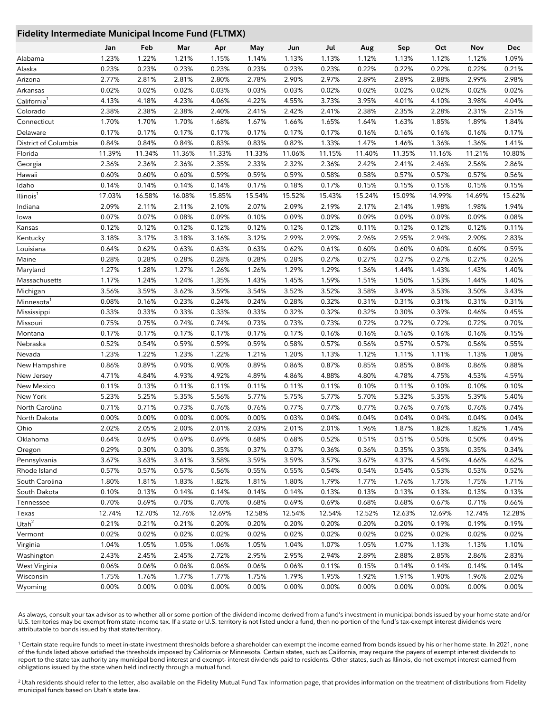#### **Fidelity Intermediate Municipal Income Fund (FLTMX)**

|                         | Jan    | Feb    | Mar    | Apr    | May    | Jun    | Jul    | Aug    | Sep    | Oct    | Nov    | <b>Dec</b> |
|-------------------------|--------|--------|--------|--------|--------|--------|--------|--------|--------|--------|--------|------------|
| Alabama                 | 1.23%  | 1.22%  | 1.21%  | 1.15%  | 1.14%  | 1.13%  | 1.13%  | 1.12%  | 1.13%  | 1.12%  | 1.12%  | 1.09%      |
| Alaska                  | 0.23%  | 0.23%  | 0.23%  | 0.23%  | 0.23%  | 0.23%  | 0.23%  | 0.22%  | 0.22%  | 0.22%  | 0.22%  | 0.21%      |
| Arizona                 | 2.77%  | 2.81%  | 2.81%  | 2.80%  | 2.78%  | 2.90%  | 2.97%  | 2.89%  | 2.89%  | 2.88%  | 2.99%  | 2.98%      |
| Arkansas                | 0.02%  | 0.02%  | 0.02%  | 0.03%  | 0.03%  | 0.03%  | 0.02%  | 0.02%  | 0.02%  | 0.02%  | 0.02%  | 0.02%      |
| California <sup>1</sup> | 4.13%  | 4.18%  | 4.23%  | 4.06%  | 4.22%  | 4.55%  | 3.73%  | 3.95%  | 4.01%  | 4.10%  | 3.98%  | 4.04%      |
| Colorado                | 2.38%  | 2.38%  | 2.38%  | 2.40%  | 2.41%  | 2.42%  | 2.41%  | 2.38%  | 2.35%  | 2.28%  | 2.31%  | 2.51%      |
| Connecticut             | 1.70%  | 1.70%  | 1.70%  | 1.68%  | 1.67%  | 1.66%  | 1.65%  | 1.64%  | 1.63%  | 1.85%  | 1.89%  | 1.84%      |
| Delaware                | 0.17%  | 0.17%  | 0.17%  | 0.17%  | 0.17%  | 0.17%  | 0.17%  | 0.16%  | 0.16%  | 0.16%  | 0.16%  | 0.17%      |
| District of Columbia    | 0.84%  | 0.84%  | 0.84%  | 0.83%  | 0.83%  | 0.82%  | 1.33%  | 1.47%  | 1.46%  | 1.36%  | 1.36%  | 1.41%      |
| Florida                 | 11.39% | 11.34% | 11.36% | 11.33% | 11.33% | 11.06% | 11.15% | 11.40% | 11.35% | 11.16% | 11.21% | 10.80%     |
| Georgia                 | 2.36%  | 2.36%  | 2.36%  | 2.35%  | 2.33%  | 2.32%  | 2.36%  | 2.42%  | 2.41%  | 2.46%  | 2.56%  | 2.86%      |
| Hawaii                  | 0.60%  | 0.60%  | 0.60%  | 0.59%  | 0.59%  | 0.59%  | 0.58%  | 0.58%  | 0.57%  | 0.57%  | 0.57%  | 0.56%      |
| Idaho                   | 0.14%  | 0.14%  | 0.14%  | 0.14%  | 0.17%  | 0.18%  | 0.17%  | 0.15%  | 0.15%  | 0.15%  | 0.15%  | 0.15%      |
| Illinois <sup>1</sup>   | 17.03% | 16.58% | 16.08% | 15.85% | 15.54% | 15.52% | 15.43% | 15.24% | 15.09% | 14.99% | 14.69% | 15.62%     |
| Indiana                 | 2.09%  | 2.11%  | 2.11%  | 2.10%  | 2.07%  | 2.09%  | 2.19%  | 2.17%  | 2.14%  | 1.98%  | 1.98%  | 1.94%      |
| lowa                    | 0.07%  | 0.07%  | 0.08%  | 0.09%  | 0.10%  | 0.09%  | 0.09%  | 0.09%  | 0.09%  | 0.09%  | 0.09%  | 0.08%      |
| Kansas                  | 0.12%  | 0.12%  | 0.12%  | 0.12%  | 0.12%  | 0.12%  | 0.12%  | 0.11%  | 0.12%  | 0.12%  | 0.12%  | 0.11%      |
| Kentucky                | 3.18%  | 3.17%  | 3.18%  | 3.16%  | 3.12%  | 2.99%  | 2.99%  | 2.96%  | 2.95%  | 2.94%  | 2.90%  | 2.83%      |
| Louisiana               | 0.64%  | 0.62%  | 0.63%  | 0.63%  | 0.63%  | 0.62%  | 0.61%  | 0.60%  | 0.60%  | 0.60%  | 0.60%  | 0.59%      |
| Maine                   | 0.28%  | 0.28%  | 0.28%  | 0.28%  | 0.28%  | 0.28%  | 0.27%  | 0.27%  | 0.27%  | 0.27%  | 0.27%  | 0.26%      |
| Maryland                | 1.27%  | 1.28%  | 1.27%  | 1.26%  | 1.26%  | 1.29%  | 1.29%  | 1.36%  | 1.44%  | 1.43%  | 1.43%  | 1.40%      |
| Massachusetts           | 1.17%  | 1.24%  | 1.24%  | 1.35%  | 1.43%  | 1.45%  | 1.59%  | 1.51%  | 1.50%  | 1.53%  | 1.44%  | 1.40%      |
| Michigan                | 3.56%  | 3.59%  | 3.62%  | 3.59%  | 3.54%  | 3.52%  | 3.52%  | 3.58%  | 3.49%  | 3.53%  | 3.50%  | 3.43%      |
| Minnesota               | 0.08%  | 0.16%  | 0.23%  | 0.24%  | 0.24%  | 0.28%  | 0.32%  | 0.31%  | 0.31%  | 0.31%  | 0.31%  | 0.31%      |
| Mississippi             | 0.33%  | 0.33%  | 0.33%  | 0.33%  | 0.33%  | 0.32%  | 0.32%  | 0.32%  | 0.30%  | 0.39%  | 0.46%  | 0.45%      |
| Missouri                | 0.75%  | 0.75%  | 0.74%  | 0.74%  | 0.73%  | 0.73%  | 0.73%  | 0.72%  | 0.72%  | 0.72%  | 0.72%  | 0.70%      |
| Montana                 | 0.17%  | 0.17%  | 0.17%  | 0.17%  | 0.17%  | 0.17%  | 0.16%  | 0.16%  | 0.16%  | 0.16%  | 0.16%  | 0.15%      |
| Nebraska                | 0.52%  | 0.54%  | 0.59%  | 0.59%  | 0.59%  | 0.58%  | 0.57%  | 0.56%  | 0.57%  | 0.57%  | 0.56%  | 0.55%      |
| Nevada                  | 1.23%  | 1.22%  | 1.23%  | 1.22%  | 1.21%  | 1.20%  | 1.13%  | 1.12%  | 1.11%  | 1.11%  | 1.13%  | 1.08%      |
| New Hampshire           | 0.86%  | 0.89%  | 0.90%  | 0.90%  | 0.89%  | 0.86%  | 0.87%  | 0.85%  | 0.85%  | 0.84%  | 0.86%  | 0.88%      |
| New Jersey              | 4.71%  | 4.84%  | 4.93%  | 4.92%  | 4.89%  | 4.86%  | 4.88%  | 4.80%  | 4.78%  | 4.75%  | 4.53%  | 4.59%      |
| New Mexico              | 0.11%  | 0.13%  | 0.11%  | 0.11%  | 0.11%  | 0.11%  | 0.11%  | 0.10%  | 0.11%  | 0.10%  | 0.10%  | 0.10%      |
| New York                | 5.23%  | 5.25%  | 5.35%  | 5.56%  | 5.77%  | 5.75%  | 5.77%  | 5.70%  | 5.32%  | 5.35%  | 5.39%  | 5.40%      |
| North Carolina          | 0.71%  | 0.71%  | 0.73%  | 0.76%  | 0.76%  | 0.77%  | 0.77%  | 0.77%  | 0.76%  | 0.76%  | 0.76%  | 0.74%      |
| North Dakota            | 0.00%  | 0.00%  | 0.00%  | 0.00%  | 0.00%  | 0.03%  | 0.04%  | 0.04%  | 0.04%  | 0.04%  | 0.04%  | 0.04%      |
| Ohio                    | 2.02%  | 2.05%  | 2.00%  | 2.01%  | 2.03%  | 2.01%  | 2.01%  | 1.96%  | 1.87%  | 1.82%  | 1.82%  | 1.74%      |
| Oklahoma                | 0.64%  | 0.69%  | 0.69%  | 0.69%  | 0.68%  | 0.68%  | 0.52%  | 0.51%  | 0.51%  | 0.50%  | 0.50%  | 0.49%      |
| Oregon                  | 0.29%  | 0.30%  | 0.30%  | 0.35%  | 0.37%  | 0.37%  | 0.36%  | 0.36%  | 0.35%  | 0.35%  | 0.35%  | 0.34%      |
| Pennsylvania            | 3.67%  | 3.63%  | 3.61%  | 3.58%  | 3.59%  | 3.59%  | 3.57%  | 3.67%  | 4.37%  | 4.54%  | 4.66%  | 4.62%      |
| Rhode Island            | 0.57%  | 0.57%  | 0.57%  | 0.56%  | 0.55%  | 0.55%  | 0.54%  | 0.54%  | 0.54%  | 0.53%  | 0.53%  | 0.52%      |
| South Carolina          | 1.80%  | 1.81%  | 1.83%  | 1.82%  | 1.81%  | 1.80%  | 1.79%  | 1.77%  | 1.76%  | 1.75%  | 1.75%  | 1.71%      |
| South Dakota            | 0.10%  | 0.13%  | 0.14%  | 0.14%  | 0.14%  | 0.14%  | 0.13%  | 0.13%  | 0.13%  | 0.13%  | 0.13%  | 0.13%      |
| Tennessee               | 0.70%  | 0.69%  | 0.70%  | 0.70%  | 0.68%  | 0.69%  | 0.69%  | 0.68%  | 0.68%  | 0.67%  | 0.71%  | 0.66%      |
| Texas                   | 12.74% | 12.70% | 12.76% | 12.69% | 12.58% | 12.54% | 12.54% | 12.52% | 12.63% | 12.69% | 12.74% | 12.28%     |
| Utah $^2$               | 0.21%  | 0.21%  | 0.21%  | 0.20%  | 0.20%  | 0.20%  | 0.20%  | 0.20%  | 0.20%  | 0.19%  | 0.19%  | 0.19%      |
| Vermont                 | 0.02%  | 0.02%  | 0.02%  | 0.02%  | 0.02%  | 0.02%  | 0.02%  | 0.02%  | 0.02%  | 0.02%  | 0.02%  | 0.02%      |
| Virginia                | 1.04%  | 1.05%  | 1.05%  | 1.06%  | 1.05%  | 1.04%  | 1.07%  | 1.05%  | 1.07%  | 1.13%  | 1.13%  | 1.10%      |
| Washington              | 2.43%  | 2.45%  | 2.45%  | 2.72%  | 2.95%  | 2.95%  | 2.94%  | 2.89%  | 2.88%  | 2.85%  | 2.86%  | 2.83%      |
| West Virginia           | 0.06%  | 0.06%  | 0.06%  | 0.06%  | 0.06%  | 0.06%  | 0.11%  | 0.15%  | 0.14%  | 0.14%  | 0.14%  | 0.14%      |
| Wisconsin               | 1.75%  | 1.76%  | 1.77%  | 1.77%  | 1.75%  | 1.79%  | 1.95%  | 1.92%  | 1.91%  | 1.90%  | 1.96%  | 2.02%      |
| Wyoming                 | 0.00%  | 0.00%  | 0.00%  | 0.00%  | 0.00%  | 0.00%  | 0.00%  | 0.00%  | 0.00%  | 0.00%  | 0.00%  | 0.00%      |
|                         |        |        |        |        |        |        |        |        |        |        |        |            |

As always, consult your tax advisor as to whether all or some portion of the dividend income derived from a fund's investment in municipal bonds issued by your home state and/or U.S. territories may be exempt from state income tax. If a state or U.S. territory is not listed under a fund, then no portion of the fund's tax-exempt interest dividends were attributable to bonds issued by that state/territory.

<sup>1</sup> Certain state require funds to meet in-state investment thresholds before a shareholder can exempt the income earned from bonds issued by his or her home state. In 2021, none of the funds listed above satisfied the thresholds imposed by California or Minnesota. Certain states, such as California, may require the payers of exempt interest dividends to report to the state tax authority any municipal bond interest and exempt- interest dividends paid to residents. Other states, such as Illinois, do not exempt interest earned from obligations issued by the state when held indirectly through a mutual fund.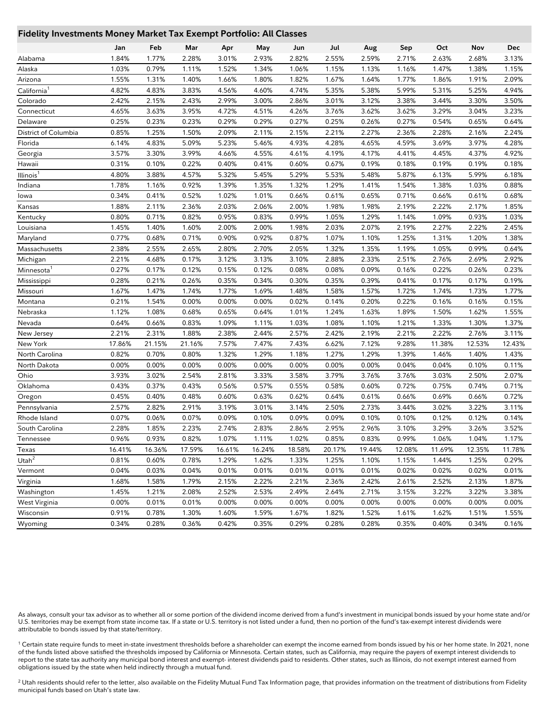#### **Fidelity Investments Money Market Tax Exempt Portfolio: All Classes**

|                         | Jan    | Feb    | Mar    | Apr    | May    | Jun    | Jul    | Aug    | Sep    | Oct    | Nov    | Dec    |
|-------------------------|--------|--------|--------|--------|--------|--------|--------|--------|--------|--------|--------|--------|
| Alabama                 | 1.84%  | 1.77%  | 2.28%  | 3.01%  | 2.93%  | 2.82%  | 2.55%  | 2.59%  | 2.71%  | 2.63%  | 2.68%  | 3.13%  |
| Alaska                  | 1.03%  | 0.79%  | 1.11%  | 1.52%  | 1.34%  | 1.06%  | 1.15%  | 1.13%  | 1.16%  | 1.47%  | 1.38%  | 1.15%  |
| Arizona                 | 1.55%  | 1.31%  | 1.40%  | 1.66%  | 1.80%  | 1.82%  | 1.67%  | 1.64%  | 1.77%  | 1.86%  | 1.91%  | 2.09%  |
| California <sup>1</sup> | 4.82%  | 4.83%  | 3.83%  | 4.56%  | 4.60%  | 4.74%  | 5.35%  | 5.38%  | 5.99%  | 5.31%  | 5.25%  | 4.94%  |
| Colorado                | 2.42%  | 2.15%  | 2.43%  | 2.99%  | 3.00%  | 2.86%  | 3.01%  | 3.12%  | 3.38%  | 3.44%  | 3.30%  | 3.50%  |
| Connecticut             | 4.65%  | 3.63%  | 3.95%  | 4.72%  | 4.51%  | 4.26%  | 3.76%  | 3.62%  | 3.62%  | 3.29%  | 3.04%  | 3.23%  |
| Delaware                | 0.25%  | 0.23%  | 0.23%  | 0.29%  | 0.29%  | 0.27%  | 0.25%  | 0.26%  | 0.27%  | 0.54%  | 0.65%  | 0.64%  |
| District of Columbia    | 0.85%  | 1.25%  | 1.50%  | 2.09%  | 2.11%  | 2.15%  | 2.21%  | 2.27%  | 2.36%  | 2.28%  | 2.16%  | 2.24%  |
| Florida                 | 6.14%  | 4.83%  | 5.09%  | 5.23%  | 5.46%  | 4.93%  | 4.28%  | 4.65%  | 4.59%  | 3.69%  | 3.97%  | 4.28%  |
| Georgia                 | 3.57%  | 3.30%  | 3.99%  | 4.66%  | 4.55%  | 4.61%  | 4.19%  | 4.17%  | 4.41%  | 4.45%  | 4.37%  | 4.92%  |
| Hawaii                  | 0.31%  | 0.10%  | 0.22%  | 0.40%  | 0.41%  | 0.60%  | 0.67%  | 0.19%  | 0.18%  | 0.19%  | 0.19%  | 0.18%  |
| Illinois <sup>1</sup>   | 4.80%  | 3.88%  | 4.57%  | 5.32%  | 5.45%  | 5.29%  | 5.53%  | 5.48%  | 5.87%  | 6.13%  | 5.99%  | 6.18%  |
| Indiana                 | 1.78%  | 1.16%  | 0.92%  | 1.39%  | 1.35%  | 1.32%  | 1.29%  | 1.41%  | 1.54%  | 1.38%  | 1.03%  | 0.88%  |
| lowa                    | 0.34%  | 0.41%  | 0.52%  | 1.02%  | 1.01%  | 0.66%  | 0.61%  | 0.65%  | 0.71%  | 0.66%  | 0.61%  | 0.68%  |
| Kansas                  | 1.88%  | 2.11%  | 2.36%  | 2.03%  | 2.06%  | 2.00%  | 1.98%  | 1.98%  | 2.19%  | 2.22%  | 2.17%  | 1.85%  |
| Kentucky                | 0.80%  | 0.71%  | 0.82%  | 0.95%  | 0.83%  | 0.99%  | 1.05%  | 1.29%  | 1.14%  | 1.09%  | 0.93%  | 1.03%  |
| Louisiana               | 1.45%  | 1.40%  | 1.60%  | 2.00%  | 2.00%  | 1.98%  | 2.03%  | 2.07%  | 2.19%  | 2.27%  | 2.22%  | 2.45%  |
| Maryland                | 0.77%  | 0.68%  | 0.71%  | 0.90%  | 0.92%  | 0.87%  | 1.07%  | 1.10%  | 1.25%  | 1.31%  | 1.20%  | 1.38%  |
| Massachusetts           | 2.38%  | 2.55%  | 2.65%  | 2.80%  | 2.70%  | 2.05%  | 1.32%  | 1.35%  | 1.19%  | 1.05%  | 0.99%  | 0.64%  |
| Michigan                | 2.21%  | 4.68%  | 0.17%  | 3.12%  | 3.13%  | 3.10%  | 2.88%  | 2.33%  | 2.51%  | 2.76%  | 2.69%  | 2.92%  |
| Minnesota <sup>1</sup>  | 0.27%  | 0.17%  | 0.12%  | 0.15%  | 0.12%  | 0.08%  | 0.08%  | 0.09%  | 0.16%  | 0.22%  | 0.26%  | 0.23%  |
| Mississippi             | 0.28%  | 0.21%  | 0.26%  | 0.35%  | 0.34%  | 0.30%  | 0.35%  | 0.39%  | 0.41%  | 0.17%  | 0.17%  | 0.19%  |
| Missouri                | 1.67%  | 1.47%  | 1.74%  | 1.77%  | 1.69%  | 1.48%  | 1.58%  | 1.57%  | 1.72%  | 1.74%  | 1.73%  | 1.77%  |
| Montana                 | 0.21%  | 1.54%  | 0.00%  | 0.00%  | 0.00%  | 0.02%  | 0.14%  | 0.20%  | 0.22%  | 0.16%  | 0.16%  | 0.15%  |
| Nebraska                | 1.12%  | 1.08%  | 0.68%  | 0.65%  | 0.64%  | 1.01%  | 1.24%  | 1.63%  | 1.89%  | 1.50%  | 1.62%  | 1.55%  |
| Nevada                  | 0.64%  | 0.66%  | 0.83%  | 1.09%  | 1.11%  | 1.03%  | 1.08%  | 1.10%  | 1.21%  | 1.33%  | 1.30%  | 1.37%  |
| New Jersey              | 2.21%  | 2.31%  | 1.88%  | 2.38%  | 2.44%  | 2.57%  | 2.42%  | 2.19%  | 2.21%  | 2.22%  | 2.76%  | 3.11%  |
| New York                | 17.86% | 21.15% | 21.16% | 7.57%  | 7.47%  | 7.43%  | 6.62%  | 7.12%  | 9.28%  | 11.38% | 12.53% | 12.43% |
| North Carolina          | 0.82%  | 0.70%  | 0.80%  | 1.32%  | 1.29%  | 1.18%  | 1.27%  | 1.29%  | 1.39%  | 1.46%  | 1.40%  | 1.43%  |
| North Dakota            | 0.00%  | 0.00%  | 0.00%  | 0.00%  | 0.00%  | 0.00%  | 0.00%  | 0.00%  | 0.04%  | 0.04%  | 0.10%  | 0.11%  |
| Ohio                    | 3.93%  | 3.02%  | 2.54%  | 2.81%  | 3.33%  | 3.58%  | 3.79%  | 3.76%  | 3.76%  | 3.03%  | 2.50%  | 2.07%  |
| Oklahoma                | 0.43%  | 0.37%  | 0.43%  | 0.56%  | 0.57%  | 0.55%  | 0.58%  | 0.60%  | 0.72%  | 0.75%  | 0.74%  | 0.71%  |
| Oregon                  | 0.45%  | 0.40%  | 0.48%  | 0.60%  | 0.63%  | 0.62%  | 0.64%  | 0.61%  | 0.66%  | 0.69%  | 0.66%  | 0.72%  |
| Pennsylvania            | 2.57%  | 2.82%  | 2.91%  | 3.19%  | 3.01%  | 3.14%  | 2.50%  | 2.73%  | 3.44%  | 3.02%  | 3.22%  | 3.11%  |
| Rhode Island            | 0.07%  | 0.06%  | 0.07%  | 0.09%  | 0.10%  | 0.09%  | 0.09%  | 0.10%  | 0.10%  | 0.12%  | 0.12%  | 0.14%  |
| South Carolina          | 2.28%  | 1.85%  | 2.23%  | 2.74%  | 2.83%  | 2.86%  | 2.95%  | 2.96%  | 3.10%  | 3.29%  | 3.26%  | 3.52%  |
| Tennessee               | 0.96%  | 0.93%  | 0.82%  | 1.07%  | 1.11%  | 1.02%  | 0.85%  | 0.83%  | 0.99%  | 1.06%  | 1.04%  | 1.17%  |
| Texas                   | 16.41% | 16.36% | 17.59% | 16.61% | 16.24% | 18.58% | 20.17% | 19.44% | 12.08% | 11.69% | 12.35% | 11.78% |
| Utah $^2$               | 0.81%  | 0.60%  | 0.78%  | 1.29%  | 1.62%  | 1.33%  | 1.25%  | 1.10%  | 1.15%  | 1.44%  | 1.25%  | 0.29%  |
| Vermont                 | 0.04%  | 0.03%  | 0.04%  | 0.01%  | 0.01%  | 0.01%  | 0.01%  | 0.01%  | 0.02%  | 0.02%  | 0.02%  | 0.01%  |
| Virginia                | 1.68%  | 1.58%  | 1.79%  | 2.15%  | 2.22%  | 2.21%  | 2.36%  | 2.42%  | 2.61%  | 2.52%  | 2.13%  | 1.87%  |
| Washington              | 1.45%  | 1.21%  | 2.08%  | 2.52%  | 2.53%  | 2.49%  | 2.64%  | 2.71%  | 3.15%  | 3.22%  | 3.22%  | 3.38%  |
| West Virginia           | 0.00%  | 0.01%  | 0.01%  | 0.00%  | 0.00%  | 0.00%  | 0.00%  | 0.00%  | 0.00%  | 0.00%  | 0.00%  | 0.00%  |
| Wisconsin               | 0.91%  | 0.78%  | 1.30%  | 1.60%  | 1.59%  | 1.67%  | 1.82%  | 1.52%  | 1.61%  | 1.62%  | 1.51%  | 1.55%  |
| Wyoming                 | 0.34%  | 0.28%  | 0.36%  | 0.42%  | 0.35%  | 0.29%  | 0.28%  | 0.28%  | 0.35%  | 0.40%  | 0.34%  | 0.16%  |

As always, consult your tax advisor as to whether all or some portion of the dividend income derived from a fund's investment in municipal bonds issued by your home state and/or U.S. territories may be exempt from state income tax. If a state or U.S. territory is not listed under a fund, then no portion of the fund's tax-exempt interest dividends were attributable to bonds issued by that state/territory.

<sup>1</sup> Certain state require funds to meet in-state investment thresholds before a shareholder can exempt the income earned from bonds issued by his or her home state. In 2021, none of the funds listed above satisfied the thresholds imposed by California or Minnesota. Certain states, such as California, may require the payers of exempt interest dividends to report to the state tax authority any municipal bond interest and exempt- interest dividends paid to residents. Other states, such as Illinois, do not exempt interest earned from obligations issued by the state when held indirectly through a mutual fund.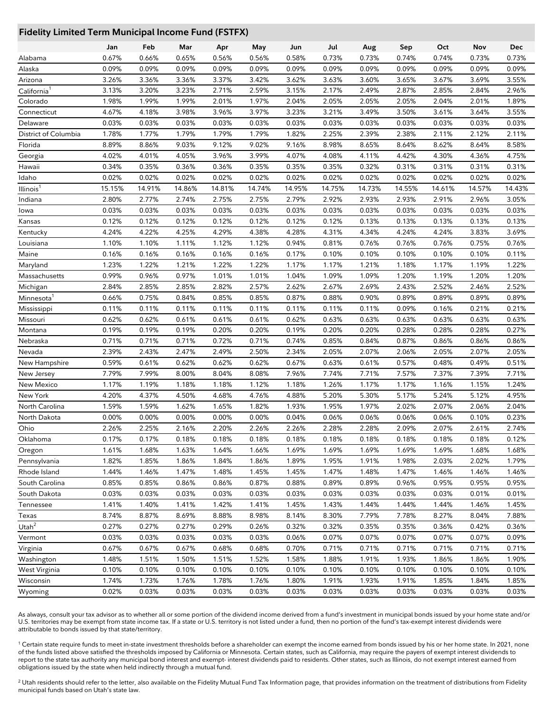## **Fidelity Limited Term Municipal Income Fund (FSTFX)**

|                         | Jan    | Feb    | Mar    | Apr    | May    | Jun    | Jul    | Aug    | Sep    | Oct    | Nov    | Dec    |
|-------------------------|--------|--------|--------|--------|--------|--------|--------|--------|--------|--------|--------|--------|
| Alabama                 | 0.67%  | 0.66%  | 0.65%  | 0.56%  | 0.56%  | 0.58%  | 0.73%  | 0.73%  | 0.74%  | 0.74%  | 0.73%  | 0.73%  |
| Alaska                  | 0.09%  | 0.09%  | 0.09%  | 0.09%  | 0.09%  | 0.09%  | 0.09%  | 0.09%  | 0.09%  | 0.09%  | 0.09%  | 0.09%  |
| Arizona                 | 3.26%  | 3.36%  | 3.36%  | 3.37%  | 3.42%  | 3.62%  | 3.63%  | 3.60%  | 3.65%  | 3.67%  | 3.69%  | 3.55%  |
| California <sup>1</sup> | 3.13%  | 3.20%  | 3.23%  | 2.71%  | 2.59%  | 3.15%  | 2.17%  | 2.49%  | 2.87%  | 2.85%  | 2.84%  | 2.96%  |
| Colorado                | 1.98%  | 1.99%  | 1.99%  | 2.01%  | 1.97%  | 2.04%  | 2.05%  | 2.05%  | 2.05%  | 2.04%  | 2.01%  | 1.89%  |
| Connecticut             | 4.67%  | 4.18%  | 3.98%  | 3.96%  | 3.97%  | 3.23%  | 3.21%  | 3.49%  | 3.50%  | 3.61%  | 3.64%  | 3.55%  |
| Delaware                | 0.03%  | 0.03%  | 0.03%  | 0.03%  | 0.03%  | 0.03%  | 0.03%  | 0.03%  | 0.03%  | 0.03%  | 0.03%  | 0.03%  |
| District of Columbia    | 1.78%  | 1.77%  | 1.79%  | 1.79%  | 1.79%  | 1.82%  | 2.25%  | 2.39%  | 2.38%  | 2.11%  | 2.12%  | 2.11%  |
| Florida                 | 8.89%  | 8.86%  | 9.03%  | 9.12%  | 9.02%  | 9.16%  | 8.98%  | 8.65%  | 8.64%  | 8.62%  | 8.64%  | 8.58%  |
| Georgia                 | 4.02%  | 4.01%  | 4.05%  | 3.96%  | 3.99%  | 4.07%  | 4.08%  | 4.11%  | 4.42%  | 4.30%  | 4.36%  | 4.75%  |
| Hawaii                  | 0.34%  | 0.35%  | 0.36%  | 0.36%  | 0.35%  | 0.35%  | 0.35%  | 0.32%  | 0.31%  | 0.31%  | 0.31%  | 0.31%  |
| Idaho                   | 0.02%  | 0.02%  | 0.02%  | 0.02%  | 0.02%  | 0.02%  | 0.02%  | 0.02%  | 0.02%  | 0.02%  | 0.02%  | 0.02%  |
| Illinois <sup>1</sup>   | 15.15% | 14.91% | 14.86% | 14.81% | 14.74% | 14.95% | 14.75% | 14.73% | 14.55% | 14.61% | 14.57% | 14.43% |
| Indiana                 | 2.80%  | 2.77%  | 2.74%  | 2.75%  | 2.75%  | 2.79%  | 2.92%  | 2.93%  | 2.93%  | 2.91%  | 2.96%  | 3.05%  |
| lowa                    | 0.03%  | 0.03%  | 0.03%  | 0.03%  | 0.03%  | 0.03%  | 0.03%  | 0.03%  | 0.03%  | 0.03%  | 0.03%  | 0.03%  |
| Kansas                  | 0.12%  | 0.12%  | 0.12%  | 0.12%  | 0.12%  | 0.12%  | 0.12%  | 0.13%  | 0.13%  | 0.13%  | 0.13%  | 0.13%  |
| Kentucky                | 4.24%  | 4.22%  | 4.25%  | 4.29%  | 4.38%  | 4.28%  | 4.31%  | 4.34%  | 4.24%  | 4.24%  | 3.83%  | 3.69%  |
| Louisiana               | 1.10%  | 1.10%  | 1.11%  | 1.12%  | 1.12%  | 0.94%  | 0.81%  | 0.76%  | 0.76%  | 0.76%  | 0.75%  | 0.76%  |
| Maine                   | 0.16%  | 0.16%  | 0.16%  | 0.16%  | 0.16%  | 0.17%  | 0.10%  | 0.10%  | 0.10%  | 0.10%  | 0.10%  | 0.11%  |
| Maryland                | 1.23%  | 1.22%  | 1.21%  | 1.22%  | 1.22%  | 1.17%  | 1.17%  | 1.21%  | 1.18%  | 1.17%  | 1.19%  | 1.22%  |
| Massachusetts           | 0.99%  | 0.96%  | 0.97%  | 1.01%  | 1.01%  | 1.04%  | 1.09%  | 1.09%  | 1.20%  | 1.19%  | 1.20%  | 1.20%  |
| Michigan                | 2.84%  | 2.85%  | 2.85%  | 2.82%  | 2.57%  | 2.62%  | 2.67%  | 2.69%  | 2.43%  | 2.52%  | 2.46%  | 2.52%  |
| Minnesota <sup>1</sup>  | 0.66%  | 0.75%  | 0.84%  | 0.85%  | 0.85%  | 0.87%  | 0.88%  | 0.90%  | 0.89%  | 0.89%  | 0.89%  | 0.89%  |
| Mississippi             | 0.11%  | 0.11%  | 0.11%  | 0.11%  | 0.11%  | 0.11%  | 0.11%  | 0.11%  | 0.09%  | 0.16%  | 0.21%  | 0.21%  |
| Missouri                | 0.62%  | 0.62%  | 0.61%  | 0.61%  | 0.61%  | 0.62%  | 0.63%  | 0.63%  | 0.63%  | 0.63%  | 0.63%  | 0.63%  |
| Montana                 | 0.19%  | 0.19%  | 0.19%  | 0.20%  | 0.20%  | 0.19%  | 0.20%  | 0.20%  | 0.28%  | 0.28%  | 0.28%  | 0.27%  |
| Nebraska                | 0.71%  | 0.71%  | 0.71%  | 0.72%  | 0.71%  | 0.74%  | 0.85%  | 0.84%  | 0.87%  | 0.86%  | 0.86%  | 0.86%  |
| Nevada                  | 2.39%  | 2.43%  | 2.47%  | 2.49%  | 2.50%  | 2.34%  | 2.05%  | 2.07%  | 2.06%  | 2.05%  | 2.07%  | 2.05%  |
| New Hampshire           | 0.59%  | 0.61%  | 0.62%  | 0.62%  | 0.62%  | 0.67%  | 0.63%  | 0.61%  | 0.57%  | 0.48%  | 0.49%  | 0.51%  |
| New Jersey              | 7.79%  | 7.99%  | 8.00%  | 8.04%  | 8.08%  | 7.96%  | 7.74%  | 7.71%  | 7.57%  | 7.37%  | 7.39%  | 7.71%  |
| New Mexico              | 1.17%  | 1.19%  | 1.18%  | 1.18%  | 1.12%  | 1.18%  | 1.26%  | 1.17%  | 1.17%  | 1.16%  | 1.15%  | 1.24%  |
| New York                | 4.20%  | 4.37%  | 4.50%  | 4.68%  | 4.76%  | 4.88%  | 5.20%  | 5.30%  | 5.17%  | 5.24%  | 5.12%  | 4.95%  |
| North Carolina          | 1.59%  | 1.59%  | 1.62%  | 1.65%  | 1.82%  | 1.93%  | 1.95%  | 1.97%  | 2.02%  | 2.07%  | 2.06%  | 2.04%  |
| North Dakota            | 0.00%  | 0.00%  | 0.00%  | 0.00%  | 0.00%  | 0.04%  | 0.06%  | 0.06%  | 0.06%  | 0.06%  | 0.10%  | 0.23%  |
| Ohio                    | 2.26%  | 2.25%  | 2.16%  | 2.20%  | 2.26%  | 2.26%  | 2.28%  | 2.28%  | 2.09%  | 2.07%  | 2.61%  | 2.74%  |
| Oklahoma                | 0.17%  | 0.17%  | 0.18%  | 0.18%  | 0.18%  | 0.18%  | 0.18%  | 0.18%  | 0.18%  | 0.18%  | 0.18%  | 0.12%  |
| Oregon                  | 1.61%  | 1.68%  | 1.63%  | 1.64%  | 1.66%  | 1.69%  | 1.69%  | 1.69%  | 1.69%  | 1.69%  | 1.68%  | 1.68%  |
| Pennsylvania            | 1.82%  | 1.85%  | 1.86%  | 1.84%  | 1.86%  | 1.89%  | 1.95%  | 1.91%  | 1.98%  | 2.03%  | 2.02%  | 1.79%  |
| Rhode Island            | 1.44%  | 1.46%  | 1.47%  | 1.48%  | 1.45%  | 1.45%  | 1.47%  | 1.48%  | 1.47%  | 1.46%  | 1.46%  | 1.46%  |
| South Carolina          | 0.85%  | 0.85%  | 0.86%  | 0.86%  | 0.87%  | 0.88%  | 0.89%  | 0.89%  | 0.96%  | 0.95%  | 0.95%  | 0.95%  |
| South Dakota            | 0.03%  | 0.03%  | 0.03%  | 0.03%  | 0.03%  | 0.03%  | 0.03%  | 0.03%  | 0.03%  | 0.03%  | 0.01%  | 0.01%  |
| Tennessee               | 1.41%  | 1.40%  | 1.41%  | 1.42%  | 1.41%  | 1.45%  | 1.43%  | 1.44%  | 1.44%  | 1.44%  | 1.46%  | 1.45%  |
| Texas                   | 8.74%  | 8.87%  | 8.69%  | 8.88%  | 8.98%  | 8.14%  | 8.30%  | 7.79%  | 7.78%  | 8.27%  | 8.04%  | 7.88%  |
| Utah $2$                | 0.27%  | 0.27%  | 0.27%  | 0.29%  | 0.26%  | 0.32%  | 0.32%  | 0.35%  | 0.35%  | 0.36%  | 0.42%  | 0.36%  |
| Vermont                 | 0.03%  | 0.03%  | 0.03%  | 0.03%  | 0.03%  | 0.06%  | 0.07%  | 0.07%  | 0.07%  | 0.07%  | 0.07%  | 0.09%  |
| Virginia                | 0.67%  | 0.67%  | 0.67%  | 0.68%  | 0.68%  | 0.70%  | 0.71%  | 0.71%  | 0.71%  | 0.71%  | 0.71%  | 0.71%  |
| Washington              | 1.48%  | 1.51%  | 1.50%  | 1.51%  | 1.52%  | 1.58%  | 1.88%  | 1.91%  | 1.93%  | 1.86%  | 1.86%  | 1.90%  |
| West Virginia           | 0.10%  | 0.10%  | 0.10%  | 0.10%  | 0.10%  | 0.10%  | 0.10%  | 0.10%  | 0.10%  | 0.10%  | 0.10%  | 0.10%  |
| Wisconsin               | 1.74%  | 1.73%  | 1.76%  | 1.78%  | 1.76%  | 1.80%  | 1.91%  | 1.93%  | 1.91%  | 1.85%  | 1.84%  | 1.85%  |
| Wyoming                 | 0.02%  | 0.03%  | 0.03%  | 0.03%  | 0.03%  | 0.03%  | 0.03%  | 0.03%  | 0.03%  | 0.03%  | 0.03%  | 0.03%  |

As always, consult your tax advisor as to whether all or some portion of the dividend income derived from a fund's investment in municipal bonds issued by your home state and/or U.S. territories may be exempt from state income tax. If a state or U.S. territory is not listed under a fund, then no portion of the fund's tax-exempt interest dividends were attributable to bonds issued by that state/territory.

<sup>1</sup> Certain state require funds to meet in-state investment thresholds before a shareholder can exempt the income earned from bonds issued by his or her home state. In 2021, none of the funds listed above satisfied the thresholds imposed by California or Minnesota. Certain states, such as California, may require the payers of exempt interest dividends to report to the state tax authority any municipal bond interest and exempt- interest dividends paid to residents. Other states, such as Illinois, do not exempt interest earned from obligations issued by the state when held indirectly through a mutual fund.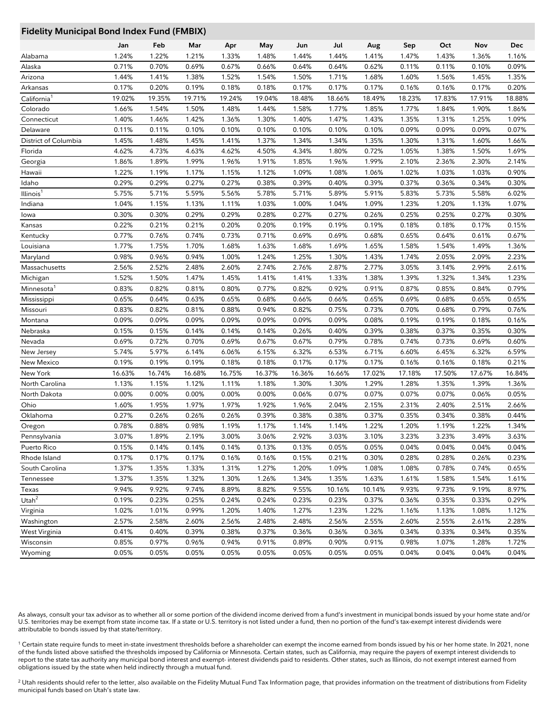# **Fidelity Municipal Bond Index Fund (FMBIX)**

| any manierpacaona in   |        | **** * ***** (* *********** |                |        |        |        |        |                |                |        |        |        |
|------------------------|--------|-----------------------------|----------------|--------|--------|--------|--------|----------------|----------------|--------|--------|--------|
|                        | Jan    | Feb                         | Mar            | Apr    | May    | Jun    | Jul    | Aug            | Sep            | Oct    | Nov    | Dec    |
| Alabama                | 1.24%  | 1.22%                       | 1.21%          | 1.33%  | 1.48%  | 1.44%  | 1.44%  | 1.41%          | 1.47%          | 1.43%  | 1.36%  | 1.16%  |
| Alaska                 | 0.71%  | 0.70%                       | 0.69%          | 0.67%  | 0.66%  | 0.64%  | 0.64%  | 0.62%          | 0.11%          | 0.11%  | 0.10%  | 0.09%  |
| Arizona                | 1.44%  | 1.41%                       | 1.38%          | 1.52%  | 1.54%  | 1.50%  | 1.71%  | 1.68%          | 1.60%          | 1.56%  | 1.45%  | 1.35%  |
| Arkansas               | 0.17%  | 0.20%                       | 0.19%          | 0.18%  | 0.18%  | 0.17%  | 0.17%  | 0.17%          | 0.16%          | 0.16%  | 0.17%  | 0.20%  |
| California             | 19.02% | 19.35%                      | 19.71%         | 19.24% | 19.04% | 18.48% | 18.66% | 18.49%         | 18.23%         | 17.83% | 17.91% | 18.88% |
| Colorado               | 1.66%  | 1.54%                       | 1.50%          | 1.48%  | 1.44%  | 1.58%  | 1.77%  | 1.85%          | 1.77%          | 1.84%  | 1.90%  | 1.86%  |
| Connecticut            | 1.40%  | 1.46%                       | 1.42%          | 1.36%  | 1.30%  | 1.40%  | 1.47%  | 1.43%          | 1.35%          | 1.31%  | 1.25%  | 1.09%  |
| Delaware               | 0.11%  | 0.11%                       | 0.10%          | 0.10%  | 0.10%  | 0.10%  | 0.10%  | 0.10%          | 0.09%          | 0.09%  | 0.09%  | 0.07%  |
| District of Columbia   | 1.45%  | 1.48%                       | 1.45%          | 1.41%  | 1.37%  | 1.34%  | 1.34%  | 1.35%          | 1.30%          | 1.31%  | 1.60%  | 1.66%  |
| Florida                | 4.62%  | 4.73%                       | 4.63%          | 4.62%  | 4.50%  | 4.34%  | 1.80%  | 0.72%          | 1.05%          | 1.38%  | 1.50%  | 1.69%  |
| Georgia                | 1.86%  | 1.89%                       | 1.99%          | 1.96%  | 1.91%  | 1.85%  | 1.96%  | 1.99%          | 2.10%          | 2.36%  | 2.30%  | 2.14%  |
| Hawaii                 | 1.22%  | 1.19%                       | 1.17%          | 1.15%  | 1.12%  | 1.09%  | 1.08%  | 1.06%          | 1.02%          | 1.03%  | 1.03%  | 0.90%  |
| Idaho                  | 0.29%  | 0.29%                       | 0.27%          | 0.27%  | 0.38%  | 0.39%  | 0.40%  | 0.39%          | 0.37%          | 0.36%  | 0.34%  | 0.30%  |
| Illinois <sup>1</sup>  | 5.75%  | 5.71%                       | 5.59%          | 5.56%  | 5.78%  | 5.71%  | 5.89%  | 5.91%          | 5.83%          | 5.73%  | 5.58%  | 6.02%  |
| Indiana                | 1.04%  | 1.15%                       | 1.13%          | 1.11%  | 1.03%  | 1.00%  | 1.04%  | 1.09%          | 1.23%          | 1.20%  | 1.13%  | 1.07%  |
| lowa                   | 0.30%  | 0.30%                       | 0.29%          | 0.29%  | 0.28%  | 0.27%  | 0.27%  | 0.26%          | 0.25%          | 0.25%  | 0.27%  | 0.30%  |
| Kansas                 | 0.22%  | 0.21%                       | 0.21%          | 0.20%  | 0.20%  | 0.19%  | 0.19%  | 0.19%          | 0.18%          | 0.18%  | 0.17%  | 0.15%  |
| Kentucky               | 0.77%  | 0.76%                       | 0.74%          | 0.73%  | 0.71%  | 0.69%  | 0.69%  | 0.68%          | 0.65%          | 0.64%  | 0.61%  | 0.67%  |
| Louisiana              | 1.77%  | 1.75%                       | 1.70%          | 1.68%  | 1.63%  | 1.68%  | 1.69%  | 1.65%          | 1.58%          | 1.54%  | 1.49%  | 1.36%  |
| Maryland               | 0.98%  | 0.96%                       | 0.94%          | 1.00%  | 1.24%  | 1.25%  | 1.30%  | 1.43%          | 1.74%          | 2.05%  | 2.09%  | 2.23%  |
| Massachusetts          | 2.56%  | 2.52%                       | 2.48%          | 2.60%  | 2.74%  | 2.76%  | 2.87%  | 2.77%          | 3.05%          | 3.14%  | 2.99%  | 2.61%  |
| Michigan               | 1.52%  | 1.50%                       | 1.47%          | 1.45%  | 1.41%  | 1.41%  | 1.33%  | 1.38%          | 1.39%          | 1.32%  | 1.34%  | 1.23%  |
| Minnesota <sup>1</sup> | 0.83%  | 0.82%                       | 0.81%          | 0.80%  | 0.77%  | 0.82%  | 0.92%  | 0.91%          | 0.87%          | 0.85%  | 0.84%  | 0.79%  |
| Mississippi            | 0.65%  | 0.64%                       | 0.63%          | 0.65%  | 0.68%  | 0.66%  | 0.66%  | 0.65%          | 0.69%          | 0.68%  | 0.65%  | 0.65%  |
| Missouri               | 0.83%  | 0.82%                       | 0.81%          | 0.88%  | 0.94%  | 0.82%  | 0.75%  | 0.73%          | 0.70%          | 0.68%  | 0.79%  | 0.76%  |
| Montana                | 0.09%  | 0.09%                       | 0.09%          | 0.09%  | 0.09%  | 0.09%  | 0.09%  | 0.08%          | 0.19%          | 0.19%  | 0.18%  | 0.16%  |
| Nebraska               | 0.15%  | 0.15%                       | 0.14%          | 0.14%  | 0.14%  | 0.26%  | 0.40%  | 0.39%          | 0.38%          | 0.37%  | 0.35%  | 0.30%  |
| Nevada                 | 0.69%  | 0.72%                       | 0.70%          | 0.69%  | 0.67%  | 0.67%  | 0.79%  | 0.78%          | 0.74%          | 0.73%  | 0.69%  | 0.60%  |
| New Jersey             | 5.74%  | 5.97%                       | 6.14%          | 6.06%  | 6.15%  | 6.32%  | 6.53%  | 6.71%          | 6.60%          | 6.45%  | 6.32%  | 6.59%  |
| New Mexico             | 0.19%  | 0.19%                       | 0.19%          | 0.18%  | 0.18%  | 0.17%  | 0.17%  | 0.17%          | 0.16%          | 0.16%  | 0.18%  | 0.21%  |
| New York               | 16.63% | 16.74%                      | 16.68%         | 16.75% | 16.37% | 16.36% | 16.66% | 17.02%         | 17.18%         | 17.50% | 17.67% | 16.84% |
| North Carolina         | 1.13%  | 1.15%                       | 1.12%          | 1.11%  | 1.18%  | 1.30%  | 1.30%  | 1.29%          | 1.28%          | 1.35%  | 1.39%  | 1.36%  |
| North Dakota           | 0.00%  | 0.00%                       | 0.00%          | 0.00%  | 0.00%  | 0.06%  | 0.07%  | 0.07%          | 0.07%          | 0.07%  | 0.06%  | 0.05%  |
| Ohio                   | 1.60%  | 1.95%                       | 1.97%          | 1.97%  | 1.92%  | 1.96%  | 2.04%  | 2.15%          | 2.31%          | 2.40%  | 2.51%  | 2.66%  |
| Oklahoma               | 0.27%  | 0.26%                       | 0.26%          | 0.26%  | 0.39%  | 0.38%  | 0.38%  | 0.37%          | 0.35%          | 0.34%  | 0.38%  | 0.44%  |
| Oregon                 | 0.78%  | 0.88%                       | 0.98%          | 1.19%  | 1.17%  | 1.14%  | 1.14%  | 1.22%          | 1.20%          | 1.19%  | 1.22%  | 1.34%  |
| Pennsylvania           | 3.07%  | 1.89%                       | 2.19%          | 3.00%  | 3.06%  | 2.92%  | 3.03%  | 3.10%          | 3.23%          | 3.23%  | 3.49%  | 3.63%  |
| Puerto Rico            | 0.15%  | 0.14%                       | 0.14%          | 0.14%  | 0.13%  | 0.13%  | 0.05%  | 0.05%          | 0.04%          | 0.04%  | 0.04%  | 0.04%  |
| Rhode Island           | 0.17%  | 0.17%                       | 0.17%          | 0.16%  | 0.16%  | 0.15%  | 0.21%  | 0.30%          | 0.28%          | 0.28%  | 0.26%  | 0.23%  |
| South Carolina         | 1.37%  | 1.35%                       | 1.33%          | 1.31%  | 1.27%  | 1.20%  | 1.09%  | 1.08%          | 1.08%          | 0.78%  | 0.74%  | 0.65%  |
| Tennessee              | 1.37%  | 1.35%                       | 1.32%          | 1.30%  | 1.26%  | 1.34%  | 1.35%  | 1.63%          | 1.61%          | 1.58%  | 1.54%  | 1.61%  |
| Texas                  | 9.94%  | 9.92%                       | 9.74%          | 8.89%  | 8.82%  | 9.55%  | 10.16% | 10.14%         | 9.93%          | 9.73%  | 9.19%  | 8.97%  |
| Utah $^2$              | 0.19%  | 0.23%                       | 0.25%          | 0.24%  | 0.24%  | 0.23%  | 0.23%  | 0.37%          | 0.36%          | 0.35%  | 0.33%  | 0.29%  |
| Virginia               | 1.02%  | 1.01%                       | 0.99%          | 1.20%  | 1.40%  | 1.27%  | 1.23%  |                |                | 1.13%  |        | 1.12%  |
|                        | 2.57%  | 2.58%                       |                | 2.56%  | 2.48%  | 2.48%  | 2.56%  | 1.22%<br>2.55% | 1.16%<br>2.60% | 2.55%  | 1.08%  | 2.28%  |
| Washington             |        |                             | 2.60%<br>0.39% |        |        |        |        |                |                | 0.33%  | 2.61%  | 0.35%  |
| West Virginia          | 0.41%  | 0.40%                       |                | 0.38%  | 0.37%  | 0.36%  | 0.36%  | 0.36%          | 0.34%          |        | 0.34%  |        |
| Wisconsin              | 0.85%  | 0.97%                       | 0.96%          | 0.94%  | 0.91%  | 0.89%  | 0.90%  | 0.91%          | 0.98%          | 1.07%  | 1.28%  | 1.72%  |
| Wyoming                | 0.05%  | 0.05%                       | 0.05%          | 0.05%  | 0.05%  | 0.05%  | 0.05%  | 0.05%          | 0.04%          | 0.04%  | 0.04%  | 0.04%  |

As always, consult your tax advisor as to whether all or some portion of the dividend income derived from a fund's investment in municipal bonds issued by your home state and/or U.S. territories may be exempt from state income tax. If a state or U.S. territory is not listed under a fund, then no portion of the fund's tax-exempt interest dividends were attributable to bonds issued by that state/territory.

<sup>1</sup> Certain state require funds to meet in-state investment thresholds before a shareholder can exempt the income earned from bonds issued by his or her home state. In 2021, none of the funds listed above satisfied the thresholds imposed by California or Minnesota. Certain states, such as California, may require the payers of exempt interest dividends to report to the state tax authority any municipal bond interest and exempt- interest dividends paid to residents. Other states, such as Illinois, do not exempt interest earned from obligations issued by the state when held indirectly through a mutual fund.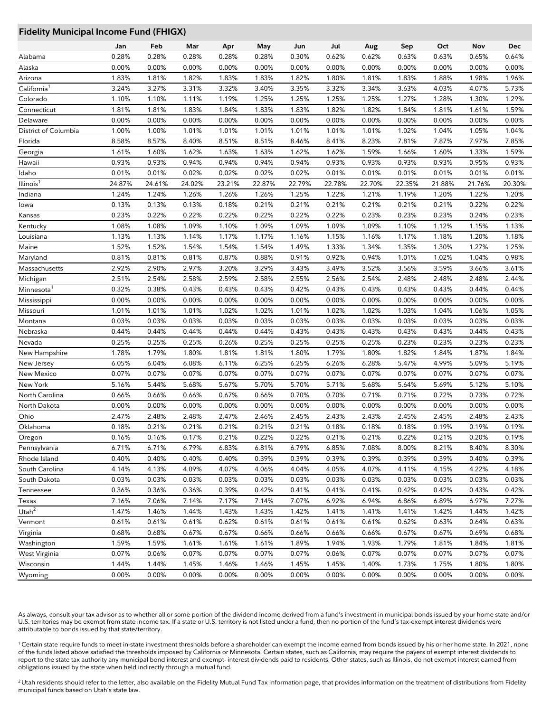## **Fidelity Municipal Income Fund (FHIGX)**

|                         | Jan    | Feb    | Mar    | Apr    | May    | Jun    | Jul    | Aug    | Sep    | Oct    | Nov    | <b>Dec</b> |
|-------------------------|--------|--------|--------|--------|--------|--------|--------|--------|--------|--------|--------|------------|
| Alabama                 | 0.28%  | 0.28%  | 0.28%  | 0.28%  | 0.28%  | 0.30%  | 0.62%  | 0.62%  | 0.63%  | 0.63%  | 0.65%  | 0.64%      |
| Alaska                  | 0.00%  | 0.00%  | 0.00%  | 0.00%  | 0.00%  | 0.00%  | 0.00%  | 0.00%  | 0.00%  | 0.00%  | 0.00%  | 0.00%      |
| Arizona                 | 1.83%  | 1.81%  | 1.82%  | 1.83%  | 1.83%  | 1.82%  | 1.80%  | 1.81%  | 1.83%  | 1.88%  | 1.98%  | 1.96%      |
| California <sup>1</sup> | 3.24%  | 3.27%  | 3.31%  | 3.32%  | 3.40%  | 3.35%  | 3.32%  | 3.34%  | 3.63%  | 4.03%  | 4.07%  | 5.73%      |
| Colorado                | 1.10%  | 1.10%  | 1.11%  | 1.19%  | 1.25%  | 1.25%  | 1.25%  | 1.25%  | 1.27%  | 1.28%  | 1.30%  | 1.29%      |
|                         |        |        |        |        |        |        |        |        |        |        |        |            |
| Connecticut             | 1.81%  | 1.81%  | 1.83%  | 1.84%  | 1.83%  | 1.83%  | 1.82%  | 1.82%  | 1.84%  | 1.81%  | 1.61%  | 1.59%      |
| Delaware                | 0.00%  | 0.00%  | 0.00%  | 0.00%  | 0.00%  | 0.00%  | 0.00%  | 0.00%  | 0.00%  | 0.00%  | 0.00%  | 0.00%      |
| District of Columbia    | 1.00%  | 1.00%  | 1.01%  | 1.01%  | 1.01%  | 1.01%  | 1.01%  | 1.01%  | 1.02%  | 1.04%  | 1.05%  | 1.04%      |
| Florida                 | 8.58%  | 8.57%  | 8.40%  | 8.51%  | 8.51%  | 8.46%  | 8.41%  | 8.23%  | 7.81%  | 7.87%  | 7.97%  | 7.85%      |
| Georgia                 | 1.61%  | 1.60%  | 1.62%  | 1.63%  | 1.63%  | 1.62%  | 1.62%  | 1.59%  | 1.66%  | 1.60%  | 1.33%  | 1.59%      |
| Hawaii                  | 0.93%  | 0.93%  | 0.94%  | 0.94%  | 0.94%  | 0.94%  | 0.93%  | 0.93%  | 0.93%  | 0.93%  | 0.95%  | 0.93%      |
| Idaho                   | 0.01%  | 0.01%  | 0.02%  | 0.02%  | 0.02%  | 0.02%  | 0.01%  | 0.01%  | 0.01%  | 0.01%  | 0.01%  | 0.01%      |
| Illinois <sup>1</sup>   | 24.87% | 24.61% | 24.02% | 23.21% | 22.87% | 22.79% | 22.78% | 22.70% | 22.35% | 21.88% | 21.76% | 20.30%     |
| Indiana                 | 1.24%  | 1.24%  | 1.26%  | 1.26%  | 1.26%  | 1.25%  | 1.22%  | 1.21%  | 1.19%  | 1.20%  | 1.22%  | 1.20%      |
| lowa                    | 0.13%  | 0.13%  | 0.13%  | 0.18%  | 0.21%  | 0.21%  | 0.21%  | 0.21%  | 0.21%  | 0.21%  | 0.22%  | 0.22%      |
| Kansas                  | 0.23%  | 0.22%  | 0.22%  | 0.22%  | 0.22%  | 0.22%  | 0.22%  | 0.23%  | 0.23%  | 0.23%  | 0.24%  | 0.23%      |
| Kentucky                | 1.08%  | 1.08%  | 1.09%  | 1.10%  | 1.09%  | 1.09%  | 1.09%  | 1.09%  | 1.10%  | 1.12%  | 1.15%  | 1.13%      |
| Louisiana               | 1.13%  | 1.13%  | 1.14%  | 1.17%  | 1.17%  | 1.16%  | 1.15%  | 1.16%  | 1.17%  | 1.18%  | 1.20%  | 1.18%      |
| Maine                   | 1.52%  | 1.52%  | 1.54%  | 1.54%  | 1.54%  | 1.49%  | 1.33%  | 1.34%  | 1.35%  | 1.30%  | 1.27%  | 1.25%      |
| Maryland                | 0.81%  | 0.81%  | 0.81%  | 0.87%  | 0.88%  | 0.91%  | 0.92%  | 0.94%  | 1.01%  | 1.02%  | 1.04%  | 0.98%      |
| Massachusetts           | 2.92%  | 2.90%  | 2.97%  | 3.20%  | 3.29%  | 3.43%  | 3.49%  | 3.52%  | 3.56%  | 3.59%  | 3.66%  | 3.61%      |
| Michigan                | 2.51%  | 2.54%  | 2.58%  | 2.59%  | 2.58%  | 2.55%  | 2.56%  | 2.54%  | 2.48%  | 2.48%  | 2.48%  | 2.44%      |
| Minnesota               | 0.32%  | 0.38%  | 0.43%  | 0.43%  | 0.43%  | 0.42%  | 0.43%  | 0.43%  | 0.43%  | 0.43%  | 0.44%  | 0.44%      |
| Mississippi             | 0.00%  | 0.00%  | 0.00%  | 0.00%  | 0.00%  | 0.00%  | 0.00%  | 0.00%  | 0.00%  | 0.00%  | 0.00%  | 0.00%      |
| Missouri                | 1.01%  | 1.01%  | 1.01%  | 1.02%  | 1.02%  | 1.01%  | 1.02%  | 1.02%  | 1.03%  | 1.04%  | 1.06%  | 1.05%      |
| Montana                 | 0.03%  | 0.03%  | 0.03%  | 0.03%  | 0.03%  | 0.03%  | 0.03%  | 0.03%  | 0.03%  | 0.03%  | 0.03%  | 0.03%      |
| Nebraska                | 0.44%  | 0.44%  | 0.44%  | 0.44%  | 0.44%  | 0.43%  | 0.43%  | 0.43%  | 0.43%  | 0.43%  | 0.44%  | 0.43%      |
| Nevada                  | 0.25%  | 0.25%  | 0.25%  | 0.26%  | 0.25%  | 0.25%  | 0.25%  | 0.25%  | 0.23%  | 0.23%  | 0.23%  | 0.23%      |
| New Hampshire           | 1.78%  | 1.79%  | 1.80%  | 1.81%  | 1.81%  | 1.80%  | 1.79%  | 1.80%  | 1.82%  | 1.84%  | 1.87%  | 1.84%      |
| New Jersey              | 6.05%  | 6.04%  | 6.08%  | 6.11%  | 6.25%  | 6.25%  | 6.26%  | 6.28%  | 5.47%  | 4.99%  | 5.09%  | 5.19%      |
| New Mexico              | 0.07%  | 0.07%  | 0.07%  | 0.07%  | 0.07%  | 0.07%  | 0.07%  | 0.07%  | 0.07%  | 0.07%  | 0.07%  | 0.07%      |
| New York                | 5.16%  | 5.44%  | 5.68%  | 5.67%  | 5.70%  | 5.70%  | 5.71%  | 5.68%  | 5.64%  | 5.69%  | 5.12%  | 5.10%      |
| North Carolina          | 0.66%  | 0.66%  | 0.66%  | 0.67%  | 0.66%  | 0.70%  | 0.70%  | 0.71%  | 0.71%  | 0.72%  | 0.73%  | 0.72%      |
| North Dakota            | 0.00%  | 0.00%  | 0.00%  | 0.00%  | 0.00%  | 0.00%  | 0.00%  | 0.00%  | 0.00%  | 0.00%  | 0.00%  | 0.00%      |
| Ohio                    | 2.47%  | 2.48%  | 2.48%  | 2.47%  | 2.46%  | 2.45%  | 2.43%  | 2.43%  | 2.45%  | 2.45%  | 2.48%  | 2.43%      |
| Oklahoma                | 0.18%  | 0.21%  | 0.21%  | 0.21%  | 0.21%  | 0.21%  | 0.18%  | 0.18%  | 0.18%  | 0.19%  | 0.19%  | 0.19%      |
| Oregon                  | 0.16%  | 0.16%  | 0.17%  | 0.21%  | 0.22%  | 0.22%  | 0.21%  | 0.21%  | 0.22%  | 0.21%  | 0.20%  | 0.19%      |
| Pennsylvania            | 6.71%  | 6.71%  | 6.79%  | 6.83%  | 6.81%  | 6.79%  | 6.85%  | 7.08%  | 8.00%  | 8.21%  | 8.40%  | 8.30%      |
| Rhode Island            | 0.40%  | 0.40%  | 0.40%  | 0.40%  | 0.39%  | 0.39%  | 0.39%  | 0.39%  | 0.39%  | 0.39%  | 0.40%  | 0.39%      |
| South Carolina          | 4.14%  | 4.13%  | 4.09%  | 4.07%  | 4.06%  | 4.04%  | 4.05%  | 4.07%  | 4.11%  | 4.15%  | 4.22%  | 4.18%      |
| South Dakota            | 0.03%  | 0.03%  | 0.03%  | 0.03%  | 0.03%  | 0.03%  | 0.03%  | 0.03%  | 0.03%  | 0.03%  | 0.03%  | 0.03%      |
| Tennessee               | 0.36%  | 0.36%  | 0.36%  | 0.39%  | 0.42%  | 0.41%  | 0.41%  | 0.41%  | 0.42%  | 0.42%  | 0.43%  | 0.42%      |
| Texas                   | 7.16%  | 7.06%  | 7.14%  | 7.17%  | 7.14%  | 7.07%  | 6.92%  | 6.94%  | 6.86%  | 6.89%  | 6.97%  | 7.27%      |
| Utah $2$                | 1.47%  | 1.46%  | 1.44%  | 1.43%  | 1.43%  | 1.42%  | 1.41%  | 1.41%  | 1.41%  | 1.42%  | 1.44%  | 1.42%      |
| Vermont                 | 0.61%  | 0.61%  | 0.61%  | 0.62%  | 0.61%  | 0.61%  | 0.61%  | 0.61%  | 0.62%  | 0.63%  | 0.64%  | 0.63%      |
| Virginia                | 0.68%  | 0.68%  | 0.67%  | 0.67%  | 0.66%  | 0.66%  | 0.66%  | 0.66%  | 0.67%  | 0.67%  | 0.69%  | 0.68%      |
| Washington              | 1.59%  | 1.59%  | 1.61%  | 1.61%  | 1.61%  | 1.89%  | 1.94%  | 1.93%  | 1.79%  | 1.81%  | 1.84%  | 1.81%      |
| West Virginia           | 0.07%  | 0.06%  | 0.07%  | 0.07%  | 0.07%  | 0.07%  | 0.06%  | 0.07%  | 0.07%  | 0.07%  | 0.07%  | 0.07%      |
| Wisconsin               | 1.44%  | 1.44%  | 1.45%  | 1.46%  | 1.46%  | 1.45%  | 1.45%  | 1.40%  | 1.73%  | 1.75%  | 1.80%  | 1.80%      |
| Wyoming                 | 0.00%  | 0.00%  | 0.00%  | 0.00%  | 0.00%  | 0.00%  | 0.00%  | 0.00%  | 0.00%  | 0.00%  | 0.00%  | 0.00%      |

As always, consult your tax advisor as to whether all or some portion of the dividend income derived from a fund's investment in municipal bonds issued by your home state and/or U.S. territories may be exempt from state income tax. If a state or U.S. territory is not listed under a fund, then no portion of the fund's tax-exempt interest dividends were attributable to bonds issued by that state/territory.

<sup>1</sup> Certain state require funds to meet in-state investment thresholds before a shareholder can exempt the income earned from bonds issued by his or her home state. In 2021, none of the funds listed above satisfied the thresholds imposed by California or Minnesota. Certain states, such as California, may require the payers of exempt interest dividends to report to the state tax authority any municipal bond interest and exempt- interest dividends paid to residents. Other states, such as Illinois, do not exempt interest earned from obligations issued by the state when held indirectly through a mutual fund.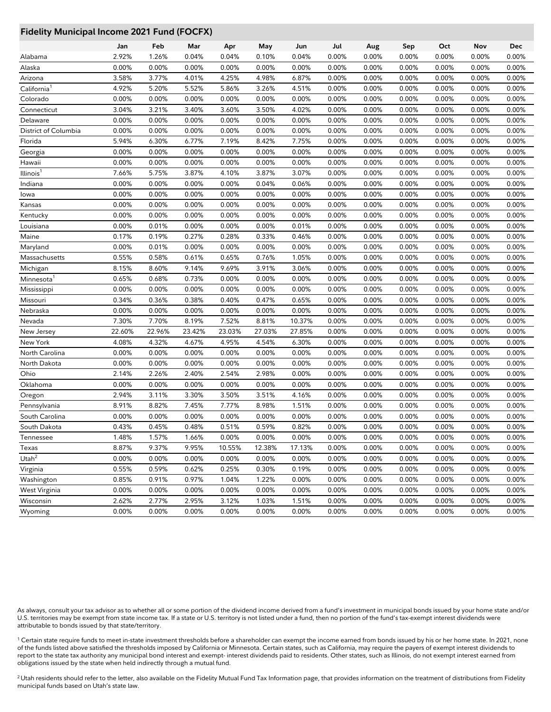## **Fidelity Municipal Income 2021 Fund (FOCFX)**

|                         | Jan    | Feb    | Mar    | Apr    | May    | Jun    | Jul   | Aug   | Sep   | Oct   | Nov      | Dec   |
|-------------------------|--------|--------|--------|--------|--------|--------|-------|-------|-------|-------|----------|-------|
| Alabama                 | 2.92%  | 1.26%  | 0.04%  | 0.04%  | 0.10%  | 0.04%  | 0.00% | 0.00% | 0.00% | 0.00% | 0.00%    | 0.00% |
| Alaska                  | 0.00%  | 0.00%  | 0.00%  | 0.00%  | 0.00%  | 0.00%  | 0.00% | 0.00% | 0.00% | 0.00% | 0.00%    | 0.00% |
| Arizona                 | 3.58%  | 3.77%  | 4.01%  | 4.25%  | 4.98%  | 6.87%  | 0.00% | 0.00% | 0.00% | 0.00% | 0.00%    | 0.00% |
| California <sup>1</sup> | 4.92%  | 5.20%  | 5.52%  | 5.86%  | 3.26%  | 4.51%  | 0.00% | 0.00% | 0.00% | 0.00% | 0.00%    | 0.00% |
| Colorado                | 0.00%  | 0.00%  | 0.00%  | 0.00%  | 0.00%  | 0.00%  | 0.00% | 0.00% | 0.00% | 0.00% | 0.00%    | 0.00% |
| Connecticut             | 3.04%  | 3.21%  | 3.40%  | 3.60%  | 3.50%  | 4.02%  | 0.00% | 0.00% | 0.00% | 0.00% | 0.00%    | 0.00% |
| Delaware                | 0.00%  | 0.00%  | 0.00%  | 0.00%  | 0.00%  | 0.00%  | 0.00% | 0.00% | 0.00% | 0.00% | $0.00\%$ | 0.00% |
| District of Columbia    | 0.00%  | 0.00%  | 0.00%  | 0.00%  | 0.00%  | 0.00%  | 0.00% | 0.00% | 0.00% | 0.00% | 0.00%    | 0.00% |
| Florida                 | 5.94%  | 6.30%  | 6.77%  | 7.19%  | 8.42%  | 7.75%  | 0.00% | 0.00% | 0.00% | 0.00% | 0.00%    | 0.00% |
| Georgia                 | 0.00%  | 0.00%  | 0.00%  | 0.00%  | 0.00%  | 0.00%  | 0.00% | 0.00% | 0.00% | 0.00% | 0.00%    | 0.00% |
| Hawaii                  | 0.00%  | 0.00%  | 0.00%  | 0.00%  | 0.00%  | 0.00%  | 0.00% | 0.00% | 0.00% | 0.00% | 0.00%    | 0.00% |
| Illinois                | 7.66%  | 5.75%  | 3.87%  | 4.10%  | 3.87%  | 3.07%  | 0.00% | 0.00% | 0.00% | 0.00% | 0.00%    | 0.00% |
| Indiana                 | 0.00%  | 0.00%  | 0.00%  | 0.00%  | 0.04%  | 0.06%  | 0.00% | 0.00% | 0.00% | 0.00% | 0.00%    | 0.00% |
| lowa                    | 0.00%  | 0.00%  | 0.00%  | 0.00%  | 0.00%  | 0.00%  | 0.00% | 0.00% | 0.00% | 0.00% | 0.00%    | 0.00% |
| Kansas                  | 0.00%  | 0.00%  | 0.00%  | 0.00%  | 0.00%  | 0.00%  | 0.00% | 0.00% | 0.00% | 0.00% | 0.00%    | 0.00% |
| Kentucky                | 0.00%  | 0.00%  | 0.00%  | 0.00%  | 0.00%  | 0.00%  | 0.00% | 0.00% | 0.00% | 0.00% | 0.00%    | 0.00% |
| Louisiana               | 0.00%  | 0.01%  | 0.00%  | 0.00%  | 0.00%  | 0.01%  | 0.00% | 0.00% | 0.00% | 0.00% | $0.00\%$ | 0.00% |
| Maine                   | 0.17%  | 0.19%  | 0.27%  | 0.28%  | 0.33%  | 0.46%  | 0.00% | 0.00% | 0.00% | 0.00% | 0.00%    | 0.00% |
| Maryland                | 0.00%  | 0.01%  | 0.00%  | 0.00%  | 0.00%  | 0.00%  | 0.00% | 0.00% | 0.00% | 0.00% | $0.00\%$ | 0.00% |
| Massachusetts           | 0.55%  | 0.58%  | 0.61%  | 0.65%  | 0.76%  | 1.05%  | 0.00% | 0.00% | 0.00% | 0.00% | 0.00%    | 0.00% |
| Michigan                | 8.15%  | 8.60%  | 9.14%  | 9.69%  | 3.91%  | 3.06%  | 0.00% | 0.00% | 0.00% | 0.00% | 0.00%    | 0.00% |
| Minnesota               | 0.65%  | 0.68%  | 0.73%  | 0.00%  | 0.00%  | 0.00%  | 0.00% | 0.00% | 0.00% | 0.00% | 0.00%    | 0.00% |
| Mississippi             | 0.00%  | 0.00%  | 0.00%  | 0.00%  | 0.00%  | 0.00%  | 0.00% | 0.00% | 0.00% | 0.00% | 0.00%    | 0.00% |
| Missouri                | 0.34%  | 0.36%  | 0.38%  | 0.40%  | 0.47%  | 0.65%  | 0.00% | 0.00% | 0.00% | 0.00% | 0.00%    | 0.00% |
| Nebraska                | 0.00%  | 0.00%  | 0.00%  | 0.00%  | 0.00%  | 0.00%  | 0.00% | 0.00% | 0.00% | 0.00% | 0.00%    | 0.00% |
| Nevada                  | 7.30%  | 7.70%  | 8.19%  | 7.52%  | 8.81%  | 10.37% | 0.00% | 0.00% | 0.00% | 0.00% | 0.00%    | 0.00% |
| New Jersey              | 22.60% | 22.96% | 23.42% | 23.03% | 27.03% | 27.85% | 0.00% | 0.00% | 0.00% | 0.00% | 0.00%    | 0.00% |
| New York                | 4.08%  | 4.32%  | 4.67%  | 4.95%  | 4.54%  | 6.30%  | 0.00% | 0.00% | 0.00% | 0.00% | 0.00%    | 0.00% |
| North Carolina          | 0.00%  | 0.00%  | 0.00%  | 0.00%  | 0.00%  | 0.00%  | 0.00% | 0.00% | 0.00% | 0.00% | 0.00%    | 0.00% |
| North Dakota            | 0.00%  | 0.00%  | 0.00%  | 0.00%  | 0.00%  | 0.00%  | 0.00% | 0.00% | 0.00% | 0.00% | 0.00%    | 0.00% |
| Ohio                    | 2.14%  | 2.26%  | 2.40%  | 2.54%  | 2.98%  | 0.00%  | 0.00% | 0.00% | 0.00% | 0.00% | 0.00%    | 0.00% |
| Oklahoma                | 0.00%  | 0.00%  | 0.00%  | 0.00%  | 0.00%  | 0.00%  | 0.00% | 0.00% | 0.00% | 0.00% | 0.00%    | 0.00% |
| Oregon                  | 2.94%  | 3.11%  | 3.30%  | 3.50%  | 3.51%  | 4.16%  | 0.00% | 0.00% | 0.00% | 0.00% | 0.00%    | 0.00% |
| Pennsylvania            | 8.91%  | 8.82%  | 7.45%  | 7.77%  | 8.98%  | 1.51%  | 0.00% | 0.00% | 0.00% | 0.00% | 0.00%    | 0.00% |
| South Carolina          | 0.00%  | 0.00%  | 0.00%  | 0.00%  | 0.00%  | 0.00%  | 0.00% | 0.00% | 0.00% | 0.00% | 0.00%    | 0.00% |
| South Dakota            | 0.43%  | 0.45%  | 0.48%  | 0.51%  | 0.59%  | 0.82%  | 0.00% | 0.00% | 0.00% | 0.00% | 0.00%    | 0.00% |
| Tennessee               | 1.48%  | 1.57%  | 1.66%  | 0.00%  | 0.00%  | 0.00%  | 0.00% | 0.00% | 0.00% | 0.00% | 0.00%    | 0.00% |
| Texas                   | 8.87%  | 9.37%  | 9.95%  | 10.55% | 12.38% | 17.13% | 0.00% | 0.00% | 0.00% | 0.00% | 0.00%    | 0.00% |
| Utah $^2$               | 0.00%  | 0.00%  | 0.00%  | 0.00%  | 0.00%  | 0.00%  | 0.00% | 0.00% | 0.00% | 0.00% | 0.00%    | 0.00% |
| Virginia                | 0.55%  | 0.59%  | 0.62%  | 0.25%  | 0.30%  | 0.19%  | 0.00% | 0.00% | 0.00% | 0.00% | 0.00%    | 0.00% |
| Washington              | 0.85%  | 0.91%  | 0.97%  | 1.04%  | 1.22%  | 0.00%  | 0.00% | 0.00% | 0.00% | 0.00% | 0.00%    | 0.00% |
| West Virginia           | 0.00%  | 0.00%  | 0.00%  | 0.00%  | 0.00%  | 0.00%  | 0.00% | 0.00% | 0.00% | 0.00% | 0.00%    | 0.00% |
| Wisconsin               | 2.62%  | 2.77%  | 2.95%  | 3.12%  | 1.03%  | 1.51%  | 0.00% | 0.00% | 0.00% | 0.00% | 0.00%    | 0.00% |
| Wyoming                 | 0.00%  | 0.00%  | 0.00%  | 0.00%  | 0.00%  | 0.00%  | 0.00% | 0.00% | 0.00% | 0.00% | 0.00%    | 0.00% |

As always, consult your tax advisor as to whether all or some portion of the dividend income derived from a fund's investment in municipal bonds issued by your home state and/or U.S. territories may be exempt from state income tax. If a state or U.S. territory is not listed under a fund, then no portion of the fund's tax-exempt interest dividends were attributable to bonds issued by that state/territory.

<sup>1</sup> Certain state require funds to meet in-state investment thresholds before a shareholder can exempt the income earned from bonds issued by his or her home state. In 2021, none of the funds listed above satisfied the thresholds imposed by California or Minnesota. Certain states, such as California, may require the payers of exempt interest dividends to report to the state tax authority any municipal bond interest and exempt- interest dividends paid to residents. Other states, such as Illinois, do not exempt interest earned from obligations issued by the state when held indirectly through a mutual fund.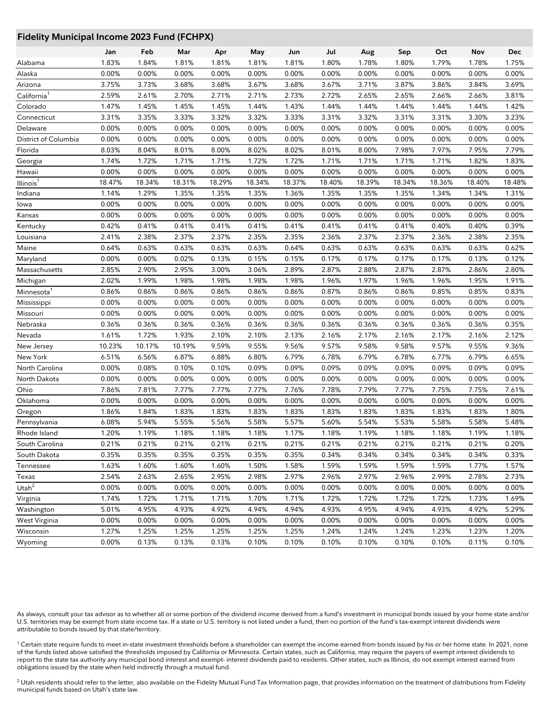## **Fidelity Municipal Income 2023 Fund (FCHPX)**

|                                 |              | Feb            |                |              |                |                |              |                |                | Oct    | Nov            | <b>Dec</b> |
|---------------------------------|--------------|----------------|----------------|--------------|----------------|----------------|--------------|----------------|----------------|--------|----------------|------------|
|                                 | Jan<br>1.83% | 1.84%          | Mar<br>1.81%   | Apr<br>1.81% | May            | Jun            | Jul<br>1.80% | Aug<br>1.78%   | Sep<br>1.80%   | 1.79%  | 1.78%          | 1.75%      |
| Alabama<br>Alaska               | 0.00%        | 0.00%          | 0.00%          | 0.00%        | 1.81%<br>0.00% | 1.81%<br>0.00% | 0.00%        | 0.00%          | 0.00%          | 0.00%  | 0.00%          | 0.00%      |
| Arizona                         | 3.75%        | 3.73%          | 3.68%          | 3.68%        | 3.67%          | 3.68%          | 3.67%        | 3.71%          | 3.87%          | 3.86%  | 3.84%          | 3.69%      |
|                                 | 2.59%        |                | 2.70%          | 2.71%        | 2.71%          | 2.73%          | 2.72%        | 2.65%          | 2.65%          | 2.66%  |                | 3.81%      |
| California <sup>1</sup>         | 1.47%        | 2.61%<br>1.45% |                | 1.45%        |                |                | 1.44%        |                |                | 1.44%  | 2.66%          | 1.42%      |
| Colorado                        | 3.31%        | 3.35%          | 1.45%          | 3.32%        | 1.44%          | 1.43%          | 3.31%        | 1.44%          | 1.44%          | 3.31%  | 1.44%          | 3.23%      |
| Connecticut<br>Delaware         | 0.00%        | 0.00%          | 3.33%<br>0.00% | 0.00%        | 3.32%<br>0.00% | 3.33%<br>0.00% | 0.00%        | 3.32%<br>0.00% | 3.31%<br>0.00% | 0.00%  | 3.30%<br>0.00% | 0.00%      |
|                                 | 0.00%        | 0.00%          | 0.00%          | 0.00%        | 0.00%          | 0.00%          | 0.00%        | 0.00%          | 0.00%          | 0.00%  | 0.00%          | 0.00%      |
| District of Columbia<br>Florida | 8.03%        | 8.04%          | 8.01%          | 8.00%        | 8.02%          | 8.02%          | 8.01%        | 8.00%          | 7.98%          | 7.97%  | 7.95%          | 7.79%      |
|                                 | 1.74%        | 1.72%          | 1.71%          | 1.71%        | 1.72%          | 1.72%          | 1.71%        | 1.71%          | 1.71%          | 1.71%  | 1.82%          | 1.83%      |
| Georgia                         |              |                |                |              |                |                |              |                |                |        |                | 0.00%      |
| Hawaii                          | 0.00%        | 0.00%          | 0.00%          | 0.00%        | 0.00%          | 0.00%          | 0.00%        | 0.00%          | 0.00%          | 0.00%  | 0.00%          |            |
| Illinois <sup>1</sup>           | 18.47%       | 18.34%         | 18.31%         | 18.29%       | 18.34%         | 18.37%         | 18.40%       | 18.39%         | 18.34%         | 18.36% | 18.40%         | 18.48%     |
| Indiana                         | 1.14%        | 1.29%          | 1.35%          | 1.35%        | 1.35%          | 1.36%          | 1.35%        | 1.35%          | 1.35%          | 1.34%  | 1.34%          | 1.31%      |
| lowa                            | 0.00%        | 0.00%          | 0.00%          | 0.00%        | 0.00%          | 0.00%          | 0.00%        | 0.00%          | 0.00%          | 0.00%  | 0.00%          | 0.00%      |
| Kansas                          | 0.00%        | 0.00%          | 0.00%          | 0.00%        | 0.00%          | 0.00%          | 0.00%        | 0.00%          | 0.00%          | 0.00%  | 0.00%          | 0.00%      |
| Kentucky                        | 0.42%        | 0.41%          | 0.41%          | 0.41%        | 0.41%          | 0.41%          | 0.41%        | 0.41%          | 0.41%          | 0.40%  | 0.40%          | 0.39%      |
| Louisiana                       | 2.41%        | 2.38%          | 2.37%          | 2.37%        | 2.35%          | 2.35%          | 2.36%        | 2.37%          | 2.37%          | 2.36%  | 2.38%          | 2.35%      |
| Maine                           | 0.64%        | 0.63%          | 0.63%          | 0.63%        | 0.63%          | 0.64%          | 0.63%        | 0.63%          | 0.63%          | 0.63%  | 0.63%          | 0.62%      |
| Maryland                        | 0.00%        | 0.00%          | 0.02%          | 0.13%        | 0.15%          | 0.15%          | 0.17%        | 0.17%          | 0.17%          | 0.17%  | 0.13%          | 0.12%      |
| Massachusetts                   | 2.85%        | 2.90%          | 2.95%          | 3.00%        | 3.06%          | 2.89%          | 2.87%        | 2.88%          | 2.87%          | 2.87%  | 2.86%          | 2.80%      |
| Michigan                        | 2.02%        | 1.99%          | 1.98%          | 1.98%        | 1.98%          | 1.98%          | 1.96%        | 1.97%          | 1.96%          | 1.96%  | 1.95%          | 1.91%      |
| Minnesota <sup>1</sup>          | 0.86%        | 0.86%          | 0.86%          | 0.86%        | 0.86%          | 0.86%          | 0.87%        | 0.86%          | 0.86%          | 0.85%  | 0.85%          | 0.83%      |
| Mississippi                     | 0.00%        | 0.00%          | 0.00%          | 0.00%        | 0.00%          | 0.00%          | 0.00%        | 0.00%          | 0.00%          | 0.00%  | 0.00%          | 0.00%      |
| Missouri                        | 0.00%        | 0.00%          | 0.00%          | 0.00%        | 0.00%          | 0.00%          | 0.00%        | 0.00%          | 0.00%          | 0.00%  | 0.00%          | 0.00%      |
| Nebraska                        | 0.36%        | 0.36%          | 0.36%          | 0.36%        | 0.36%          | 0.36%          | 0.36%        | 0.36%          | 0.36%          | 0.36%  | 0.36%          | 0.35%      |
| Nevada                          | 1.61%        | 1.72%          | 1.93%          | 2.10%        | 2.10%          | 2.13%          | 2.16%        | 2.17%          | 2.16%          | 2.17%  | 2.16%          | 2.12%      |
| New Jersey                      | 10.23%       | 10.17%         | 10.19%         | 9.59%        | 9.55%          | 9.56%          | 9.57%        | 9.58%          | 9.58%          | 9.57%  | 9.55%          | 9.36%      |
| New York                        | 6.51%        | 6.56%          | 6.87%          | 6.88%        | 6.80%          | 6.79%          | 6.78%        | 6.79%          | 6.78%          | 6.77%  | 6.79%          | 6.65%      |
| North Carolina                  | 0.00%        | 0.08%          | 0.10%          | 0.10%        | 0.09%          | 0.09%          | 0.09%        | 0.09%          | 0.09%          | 0.09%  | 0.09%          | 0.09%      |
| North Dakota                    | 0.00%        | 0.00%          | 0.00%          | 0.00%        | 0.00%          | 0.00%          | 0.00%        | 0.00%          | 0.00%          | 0.00%  | 0.00%          | 0.00%      |
| Ohio                            | 7.86%        | 7.81%          | 7.77%          | 7.77%        | 7.77%          | 7.76%          | 7.78%        | 7.79%          | 7.77%          | 7.75%  | 7.75%          | 7.61%      |
| Oklahoma                        | 0.00%        | 0.00%          | 0.00%          | 0.00%        | 0.00%          | 0.00%          | 0.00%        | 0.00%          | 0.00%          | 0.00%  | 0.00%          | 0.00%      |
| Oregon                          | 1.86%        | 1.84%          | 1.83%          | 1.83%        | 1.83%          | 1.83%          | 1.83%        | 1.83%          | 1.83%          | 1.83%  | 1.83%          | 1.80%      |
| Pennsylvania                    | 6.08%        | 5.94%          | 5.55%          | 5.56%        | 5.58%          | 5.57%          | 5.60%        | 5.54%          | 5.53%          | 5.58%  | 5.58%          | 5.48%      |
| Rhode Island                    | 1.20%        | 1.19%          | 1.18%          | 1.18%        | 1.18%          | 1.17%          | 1.18%        | 1.19%          | 1.18%          | 1.18%  | 1.19%          | 1.18%      |
| South Carolina                  | 0.21%        | 0.21%          | 0.21%          | 0.21%        | 0.21%          | 0.21%          | 0.21%        | 0.21%          | 0.21%          | 0.21%  | 0.21%          | 0.20%      |
| South Dakota                    | 0.35%        | 0.35%          | 0.35%          | 0.35%        | 0.35%          | 0.35%          | 0.34%        | 0.34%          | 0.34%          | 0.34%  | 0.34%          | 0.33%      |
| Tennessee                       | 1.63%        | 1.60%          | 1.60%          | 1.60%        | 1.50%          | 1.58%          | 1.59%        | 1.59%          | 1.59%          | 1.59%  | 1.77%          | 1.57%      |
| Texas                           | 2.54%        | 2.63%          | 2.65%          | 2.95%        | 2.98%          | 2.97%          | 2.96%        | 2.97%          | 2.96%          | 2.99%  | 2.78%          | 2.73%      |
| Utah $^2$                       | 0.00%        | 0.00%          | 0.00%          | 0.00%        | 0.00%          | 0.00%          | 0.00%        | 0.00%          | 0.00%          | 0.00%  | 0.00%          | 0.00%      |
| Virginia                        | 1.74%        | 1.72%          | 1.71%          | 1.71%        | 1.70%          | 1.71%          | 1.72%        | 1.72%          | 1.72%          | 1.72%  | 1.73%          | 1.69%      |
| Washington                      | 5.01%        | 4.95%          | 4.93%          | 4.92%        | 4.94%          | 4.94%          | 4.93%        | 4.95%          | 4.94%          | 4.93%  | 4.92%          | 5.29%      |
| West Virginia                   | 0.00%        | 0.00%          | 0.00%          | 0.00%        | 0.00%          | 0.00%          | 0.00%        | 0.00%          | 0.00%          | 0.00%  | 0.00%          | 0.00%      |
| Wisconsin                       | 1.27%        | 1.25%          | 1.25%          | 1.25%        | 1.25%          | 1.25%          | 1.24%        | 1.24%          | 1.24%          | 1.23%  | 1.23%          | 1.20%      |
| Wyoming                         | 0.00%        | 0.13%          | 0.13%          | 0.13%        | 0.10%          | 0.10%          | 0.10%        | 0.10%          | 0.10%          | 0.10%  | 0.11%          | 0.10%      |

As always, consult your tax advisor as to whether all or some portion of the dividend income derived from a fund's investment in municipal bonds issued by your home state and/or U.S. territories may be exempt from state income tax. If a state or U.S. territory is not listed under a fund, then no portion of the fund's tax-exempt interest dividends were attributable to bonds issued by that state/territory.

<sup>1</sup> Certain state require funds to meet in-state investment thresholds before a shareholder can exempt the income earned from bonds issued by his or her home state. In 2021, none of the funds listed above satisfied the thresholds imposed by California or Minnesota. Certain states, such as California, may require the payers of exempt interest dividends to report to the state tax authority any municipal bond interest and exempt- interest dividends paid to residents. Other states, such as Illinois, do not exempt interest earned from obligations issued by the state when held indirectly through a mutual fund.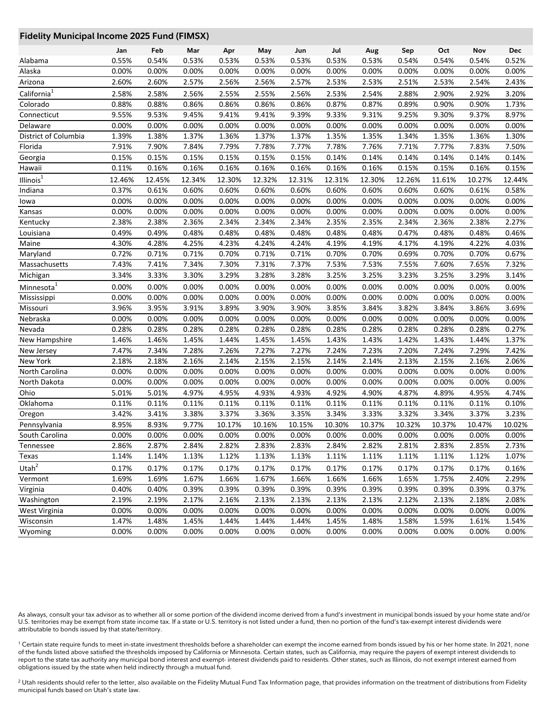#### **Fidelity Municipal Income 2025 Fund (FIMSX)**

|                         | Jan    | Feb    | Mar    | Apr    | May    | Jun    | Jul    | Aug    | Sep    | Oct    | Nov    | <b>Dec</b> |
|-------------------------|--------|--------|--------|--------|--------|--------|--------|--------|--------|--------|--------|------------|
| Alabama                 | 0.55%  | 0.54%  | 0.53%  | 0.53%  | 0.53%  | 0.53%  | 0.53%  | 0.53%  | 0.54%  | 0.54%  | 0.54%  | 0.52%      |
| Alaska                  | 0.00%  | 0.00%  | 0.00%  | 0.00%  | 0.00%  | 0.00%  | 0.00%  | 0.00%  | 0.00%  | 0.00%  | 0.00%  | 0.00%      |
| Arizona                 | 2.60%  | 2.60%  | 2.57%  | 2.56%  | 2.56%  | 2.57%  | 2.53%  | 2.53%  | 2.51%  | 2.53%  | 2.54%  | 2.43%      |
| California <sup>1</sup> | 2.58%  | 2.58%  | 2.56%  | 2.55%  | 2.55%  | 2.56%  | 2.53%  | 2.54%  | 2.88%  | 2.90%  | 2.92%  | 3.20%      |
| Colorado                | 0.88%  | 0.88%  | 0.86%  | 0.86%  | 0.86%  | 0.86%  | 0.87%  | 0.87%  | 0.89%  | 0.90%  | 0.90%  | 1.73%      |
| Connecticut             | 9.55%  | 9.53%  | 9.45%  | 9.41%  | 9.41%  | 9.39%  | 9.33%  | 9.31%  | 9.25%  | 9.30%  | 9.37%  | 8.97%      |
| Delaware                | 0.00%  | 0.00%  | 0.00%  | 0.00%  | 0.00%  | 0.00%  | 0.00%  | 0.00%  | 0.00%  | 0.00%  | 0.00%  | 0.00%      |
| District of Columbia    | 1.39%  | 1.38%  | 1.37%  | 1.36%  | 1.37%  | 1.37%  | 1.35%  | 1.35%  | 1.34%  | 1.35%  | 1.36%  | 1.30%      |
| Florida                 | 7.91%  | 7.90%  | 7.84%  | 7.79%  | 7.78%  | 7.77%  | 7.78%  | 7.76%  | 7.71%  | 7.77%  | 7.83%  | 7.50%      |
| Georgia                 | 0.15%  | 0.15%  | 0.15%  | 0.15%  | 0.15%  | 0.15%  | 0.14%  | 0.14%  | 0.14%  | 0.14%  | 0.14%  | 0.14%      |
| Hawaii                  | 0.11%  | 0.16%  | 0.16%  | 0.16%  | 0.16%  | 0.16%  | 0.16%  | 0.16%  | 0.15%  | 0.15%  | 0.16%  | 0.15%      |
| Illinois <sup>1</sup>   | 12.46% | 12.45% | 12.34% | 12.30% | 12.32% | 12.31% | 12.31% | 12.30% | 12.26% | 11.61% | 10.27% | 12.44%     |
| Indiana                 | 0.37%  | 0.61%  | 0.60%  | 0.60%  | 0.60%  | 0.60%  | 0.60%  | 0.60%  | 0.60%  | 0.60%  | 0.61%  | 0.58%      |
| lowa                    | 0.00%  | 0.00%  | 0.00%  | 0.00%  | 0.00%  | 0.00%  | 0.00%  | 0.00%  | 0.00%  | 0.00%  | 0.00%  | 0.00%      |
| Kansas                  | 0.00%  | 0.00%  | 0.00%  | 0.00%  | 0.00%  | 0.00%  | 0.00%  | 0.00%  | 0.00%  | 0.00%  | 0.00%  | 0.00%      |
| Kentucky                | 2.38%  | 2.38%  | 2.36%  | 2.34%  | 2.34%  | 2.34%  | 2.35%  | 2.35%  | 2.34%  | 2.36%  | 2.38%  | 2.27%      |
| Louisiana               | 0.49%  | 0.49%  | 0.48%  | 0.48%  | 0.48%  | 0.48%  | 0.48%  | 0.48%  | 0.47%  | 0.48%  | 0.48%  | 0.46%      |
| Maine                   | 4.30%  | 4.28%  | 4.25%  | 4.23%  | 4.24%  | 4.24%  | 4.19%  | 4.19%  | 4.17%  | 4.19%  | 4.22%  | 4.03%      |
| Maryland                | 0.72%  | 0.71%  | 0.71%  | 0.70%  | 0.71%  | 0.71%  | 0.70%  | 0.70%  | 0.69%  | 0.70%  | 0.70%  | 0.67%      |
| Massachusetts           | 7.43%  | 7.41%  | 7.34%  | 7.30%  | 7.31%  | 7.37%  | 7.53%  | 7.53%  | 7.55%  | 7.60%  | 7.65%  | 7.32%      |
| Michigan                | 3.34%  | 3.33%  | 3.30%  | 3.29%  | 3.28%  | 3.28%  | 3.25%  | 3.25%  | 3.23%  | 3.25%  | 3.29%  | 3.14%      |
| Minnesota <sup>1</sup>  | 0.00%  | 0.00%  | 0.00%  | 0.00%  | 0.00%  | 0.00%  | 0.00%  | 0.00%  | 0.00%  | 0.00%  | 0.00%  | 0.00%      |
| Mississippi             | 0.00%  | 0.00%  | 0.00%  | 0.00%  | 0.00%  | 0.00%  | 0.00%  | 0.00%  | 0.00%  | 0.00%  | 0.00%  | 0.00%      |
| Missouri                | 3.96%  | 3.95%  | 3.91%  | 3.89%  | 3.90%  | 3.90%  | 3.85%  | 3.84%  | 3.82%  | 3.84%  | 3.86%  | 3.69%      |
| Nebraska                | 0.00%  | 0.00%  | 0.00%  | 0.00%  | 0.00%  | 0.00%  | 0.00%  | 0.00%  | 0.00%  | 0.00%  | 0.00%  | 0.00%      |
| Nevada                  | 0.28%  | 0.28%  | 0.28%  | 0.28%  | 0.28%  | 0.28%  | 0.28%  | 0.28%  | 0.28%  | 0.28%  | 0.28%  | 0.27%      |
| New Hampshire           | 1.46%  | 1.46%  | 1.45%  | 1.44%  | 1.45%  | 1.45%  | 1.43%  | 1.43%  | 1.42%  | 1.43%  | 1.44%  | 1.37%      |
| New Jersey              | 7.47%  | 7.34%  | 7.28%  | 7.26%  | 7.27%  | 7.27%  | 7.24%  | 7.23%  | 7.20%  | 7.24%  | 7.29%  | 7.42%      |
| New York                | 2.18%  | 2.18%  | 2.16%  | 2.14%  | 2.15%  | 2.15%  | 2.14%  | 2.14%  | 2.13%  | 2.15%  | 2.16%  | 2.06%      |
| North Carolina          | 0.00%  | 0.00%  | 0.00%  | 0.00%  | 0.00%  | 0.00%  | 0.00%  | 0.00%  | 0.00%  | 0.00%  | 0.00%  | 0.00%      |
| North Dakota            | 0.00%  | 0.00%  | 0.00%  | 0.00%  | 0.00%  | 0.00%  | 0.00%  | 0.00%  | 0.00%  | 0.00%  | 0.00%  | 0.00%      |
| Ohio                    | 5.01%  | 5.01%  | 4.97%  | 4.95%  | 4.93%  | 4.93%  | 4.92%  | 4.90%  | 4.87%  | 4.89%  | 4.95%  | 4.74%      |
| Oklahoma                | 0.11%  | 0.11%  | 0.11%  | 0.11%  | 0.11%  | 0.11%  | 0.11%  | 0.11%  | 0.11%  | 0.11%  | 0.11%  | 0.10%      |
| Oregon                  | 3.42%  | 3.41%  | 3.38%  | 3.37%  | 3.36%  | 3.35%  | 3.34%  | 3.33%  | 3.32%  | 3.34%  | 3.37%  | 3.23%      |
| Pennsylvania            | 8.95%  | 8.93%  | 9.77%  | 10.17% | 10.16% | 10.15% | 10.30% | 10.37% | 10.32% | 10.37% | 10.47% | 10.02%     |
| South Carolina          | 0.00%  | 0.00%  | 0.00%  | 0.00%  | 0.00%  | 0.00%  | 0.00%  | 0.00%  | 0.00%  | 0.00%  | 0.00%  | 0.00%      |
| Tennessee               | 2.86%  | 2.87%  | 2.84%  | 2.82%  | 2.83%  | 2.83%  | 2.84%  | 2.82%  | 2.81%  | 2.83%  | 2.85%  | 2.73%      |
| Texas                   | 1.14%  | 1.14%  | 1.13%  | 1.12%  | 1.13%  | 1.13%  | 1.11%  | 1.11%  | 1.11%  | 1.11%  | 1.12%  | 1.07%      |
| Utah $\overline{a}$     | 0.17%  | 0.17%  | 0.17%  | 0.17%  | 0.17%  | 0.17%  | 0.17%  | 0.17%  | 0.17%  | 0.17%  | 0.17%  | 0.16%      |
| Vermont                 | 1.69%  | 1.69%  | 1.67%  | 1.66%  | 1.67%  | 1.66%  | 1.66%  | 1.66%  | 1.65%  | 1.75%  | 2.40%  | 2.29%      |
| Virginia                | 0.40%  | 0.40%  | 0.39%  | 0.39%  | 0.39%  | 0.39%  | 0.39%  | 0.39%  | 0.39%  | 0.39%  | 0.39%  | 0.37%      |
| Washington              | 2.19%  | 2.19%  | 2.17%  | 2.16%  | 2.13%  | 2.13%  | 2.13%  | 2.13%  | 2.12%  | 2.13%  | 2.18%  | 2.08%      |
| West Virginia           | 0.00%  | 0.00%  | 0.00%  | 0.00%  | 0.00%  | 0.00%  | 0.00%  | 0.00%  | 0.00%  | 0.00%  | 0.00%  | 0.00%      |
| Wisconsin               | 1.47%  | 1.48%  | 1.45%  | 1.44%  | 1.44%  | 1.44%  | 1.45%  | 1.48%  | 1.58%  | 1.59%  | 1.61%  | 1.54%      |
| Wyoming                 | 0.00%  | 0.00%  | 0.00%  | 0.00%  | 0.00%  | 0.00%  | 0.00%  | 0.00%  | 0.00%  | 0.00%  | 0.00%  | 0.00%      |

As always, consult your tax advisor as to whether all or some portion of the dividend income derived from a fund's investment in municipal bonds issued by your home state and/or U.S. territories may be exempt from state income tax. If a state or U.S. territory is not listed under a fund, then no portion of the fund's tax-exempt interest dividends were attributable to bonds issued by that state/territory.

<sup>1</sup> Certain state require funds to meet in-state investment thresholds before a shareholder can exempt the income earned from bonds issued by his or her home state. In 2021, none of the funds listed above satisfied the thresholds imposed by California or Minnesota. Certain states, such as California, may require the payers of exempt interest dividends to report to the state tax authority any municipal bond interest and exempt- interest dividends paid to residents. Other states, such as Illinois, do not exempt interest earned from obligations issued by the state when held indirectly through a mutual fund.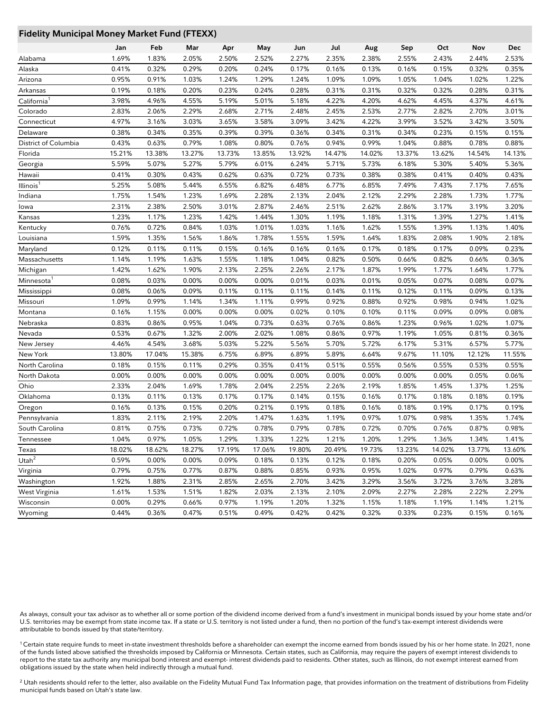#### **Fidelity Municipal Money Market Fund (FTEXX)**

|                         | Jan    | Feb    | Mar    | Apr    | May    | Jun    | Jul    | Aug    | Sep    | Oct    | Nov    | Dec    |
|-------------------------|--------|--------|--------|--------|--------|--------|--------|--------|--------|--------|--------|--------|
| Alabama                 | 1.69%  | 1.83%  | 2.05%  | 2.50%  | 2.52%  | 2.27%  | 2.35%  | 2.38%  | 2.55%  | 2.43%  | 2.44%  | 2.53%  |
| Alaska                  | 0.41%  | 0.32%  | 0.29%  | 0.20%  | 0.24%  | 0.17%  | 0.16%  | 0.13%  | 0.16%  | 0.15%  | 0.32%  | 0.35%  |
| Arizona                 | 0.95%  | 0.91%  | 1.03%  | 1.24%  | 1.29%  | 1.24%  | 1.09%  | 1.09%  | 1.05%  | 1.04%  | 1.02%  | 1.22%  |
| Arkansas                | 0.19%  | 0.18%  | 0.20%  | 0.23%  | 0.24%  | 0.28%  | 0.31%  | 0.31%  | 0.32%  | 0.32%  | 0.28%  | 0.31%  |
| California <sup>1</sup> | 3.98%  | 4.96%  | 4.55%  | 5.19%  | 5.01%  | 5.18%  | 4.22%  | 4.20%  | 4.62%  | 4.45%  | 4.37%  | 4.61%  |
| Colorado                | 2.83%  | 2.06%  | 2.29%  | 2.68%  | 2.71%  | 2.48%  | 2.45%  | 2.53%  | 2.77%  | 2.82%  | 2.70%  | 3.01%  |
| Connecticut             | 4.97%  | 3.16%  | 3.03%  | 3.65%  | 3.58%  | 3.09%  | 3.42%  | 4.22%  | 3.99%  | 3.52%  | 3.42%  | 3.50%  |
| Delaware                | 0.38%  | 0.34%  | 0.35%  | 0.39%  | 0.39%  | 0.36%  | 0.34%  | 0.31%  | 0.34%  | 0.23%  | 0.15%  | 0.15%  |
| District of Columbia    | 0.43%  | 0.63%  | 0.79%  | 1.08%  | 0.80%  | 0.76%  | 0.94%  | 0.99%  | 1.04%  | 0.88%  | 0.78%  | 0.88%  |
| Florida                 | 15.21% | 13.38% | 13.27% | 13.73% | 13.85% | 13.92% | 14.47% | 14.02% | 13.37% | 13.62% | 14.54% | 14.13% |
| Georgia                 | 5.59%  | 5.07%  | 5.27%  | 5.79%  | 6.01%  | 6.24%  | 5.71%  | 5.73%  | 6.18%  | 5.30%  | 5.40%  | 5.36%  |
| Hawaii                  | 0.41%  | 0.30%  | 0.43%  | 0.62%  | 0.63%  | 0.72%  | 0.73%  | 0.38%  | 0.38%  | 0.41%  | 0.40%  | 0.43%  |
| Illinois <sup>1</sup>   | 5.25%  | 5.08%  | 5.44%  | 6.55%  | 6.82%  | 6.48%  | 6.77%  | 6.85%  | 7.49%  | 7.43%  | 7.17%  | 7.65%  |
| Indiana                 | 1.75%  | 1.54%  | 1.23%  | 1.69%  | 2.28%  | 2.13%  | 2.04%  | 2.12%  | 2.29%  | 2.28%  | 1.73%  | 1.77%  |
| lowa                    | 2.31%  | 2.38%  | 2.50%  | 3.01%  | 2.87%  | 2.46%  | 2.51%  | 2.62%  | 2.86%  | 3.17%  | 3.19%  | 3.20%  |
| Kansas                  | 1.23%  | 1.17%  | 1.23%  | 1.42%  | 1.44%  | 1.30%  | 1.19%  | 1.18%  | 1.31%  | 1.39%  | 1.27%  | 1.41%  |
| Kentucky                | 0.76%  | 0.72%  | 0.84%  | 1.03%  | 1.01%  | 1.03%  | 1.16%  | 1.62%  | 1.55%  | 1.39%  | 1.13%  | 1.40%  |
| Louisiana               | 1.59%  | 1.35%  | 1.56%  | 1.86%  | 1.78%  | 1.55%  | 1.59%  | 1.64%  | 1.83%  | 2.08%  | 1.90%  | 2.18%  |
| Maryland                | 0.12%  | 0.11%  | 0.11%  | 0.15%  | 0.16%  | 0.16%  | 0.16%  | 0.17%  | 0.18%  | 0.17%  | 0.09%  | 0.23%  |
| Massachusetts           | 1.14%  | 1.19%  | 1.63%  | 1.55%  | 1.18%  | 1.04%  | 0.82%  | 0.50%  | 0.66%  | 0.82%  | 0.66%  | 0.36%  |
| Michigan                | 1.42%  | 1.62%  | 1.90%  | 2.13%  | 2.25%  | 2.26%  | 2.17%  | 1.87%  | 1.99%  | 1.77%  | 1.64%  | 1.77%  |
| Minnesota <sup>1</sup>  | 0.08%  | 0.03%  | 0.00%  | 0.00%  | 0.00%  | 0.01%  | 0.03%  | 0.01%  | 0.05%  | 0.07%  | 0.08%  | 0.07%  |
| Mississippi             | 0.08%  | 0.06%  | 0.09%  | 0.11%  | 0.11%  | 0.11%  | 0.14%  | 0.11%  | 0.12%  | 0.11%  | 0.09%  | 0.13%  |
| Missouri                | 1.09%  | 0.99%  | 1.14%  | 1.34%  | 1.11%  | 0.99%  | 0.92%  | 0.88%  | 0.92%  | 0.98%  | 0.94%  | 1.02%  |
| Montana                 | 0.16%  | 1.15%  | 0.00%  | 0.00%  | 0.00%  | 0.02%  | 0.10%  | 0.10%  | 0.11%  | 0.09%  | 0.09%  | 0.08%  |
| Nebraska                | 0.83%  | 0.86%  | 0.95%  | 1.04%  | 0.73%  | 0.63%  | 0.76%  | 0.86%  | 1.23%  | 0.96%  | 1.02%  | 1.07%  |
| Nevada                  | 0.53%  | 0.67%  | 1.32%  | 2.00%  | 2.02%  | 1.08%  | 0.86%  | 0.97%  | 1.19%  | 1.05%  | 0.81%  | 0.36%  |
| New Jersey              | 4.46%  | 4.54%  | 3.68%  | 5.03%  | 5.22%  | 5.56%  | 5.70%  | 5.72%  | 6.17%  | 5.31%  | 6.57%  | 5.77%  |
| New York                | 13.80% | 17.04% | 15.38% | 6.75%  | 6.89%  | 6.89%  | 5.89%  | 6.64%  | 9.67%  | 11.10% | 12.12% | 11.55% |
| North Carolina          | 0.18%  | 0.15%  | 0.11%  | 0.29%  | 0.35%  | 0.41%  | 0.51%  | 0.55%  | 0.56%  | 0.55%  | 0.53%  | 0.55%  |
| North Dakota            | 0.00%  | 0.00%  | 0.00%  | 0.00%  | 0.00%  | 0.00%  | 0.00%  | 0.00%  | 0.00%  | 0.00%  | 0.05%  | 0.06%  |
| Ohio                    | 2.33%  | 2.04%  | 1.69%  | 1.78%  | 2.04%  | 2.25%  | 2.26%  | 2.19%  | 1.85%  | 1.45%  | 1.37%  | 1.25%  |
| Oklahoma                | 0.13%  | 0.11%  | 0.13%  | 0.17%  | 0.17%  | 0.14%  | 0.15%  | 0.16%  | 0.17%  | 0.18%  | 0.18%  | 0.19%  |
| Oregon                  | 0.16%  | 0.13%  | 0.15%  | 0.20%  | 0.21%  | 0.19%  | 0.18%  | 0.16%  | 0.18%  | 0.19%  | 0.17%  | 0.19%  |
| Pennsylvania            | 1.83%  | 2.11%  | 2.19%  | 2.20%  | 1.47%  | 1.63%  | 1.19%  | 0.97%  | 1.07%  | 0.98%  | 1.35%  | 1.74%  |
| South Carolina          | 0.81%  | 0.75%  | 0.73%  | 0.72%  | 0.78%  | 0.79%  | 0.78%  | 0.72%  | 0.70%  | 0.76%  | 0.87%  | 0.98%  |
| Tennessee               | 1.04%  | 0.97%  | 1.05%  | 1.29%  | 1.33%  | 1.22%  | 1.21%  | 1.20%  | 1.29%  | 1.36%  | 1.34%  | 1.41%  |
| Texas                   | 18.02% | 18.62% | 18.27% | 17.19% | 17.06% | 19.80% | 20.49% | 19.73% | 13.23% | 14.02% | 13.77% | 13.60% |
| Utah $2$                | 0.59%  | 0.00%  | 0.00%  | 0.09%  | 0.18%  | 0.13%  | 0.12%  | 0.18%  | 0.20%  | 0.05%  | 0.00%  | 0.00%  |
| Virginia                | 0.79%  | 0.75%  | 0.77%  | 0.87%  | 0.88%  | 0.85%  | 0.93%  | 0.95%  | 1.02%  | 0.97%  | 0.79%  | 0.63%  |
| Washington              | 1.92%  | 1.88%  | 2.31%  | 2.85%  | 2.65%  | 2.70%  | 3.42%  | 3.29%  | 3.56%  | 3.72%  | 3.76%  | 3.28%  |
| West Virginia           | 1.61%  | 1.53%  | 1.51%  | 1.82%  | 2.03%  | 2.13%  | 2.10%  | 2.09%  | 2.27%  | 2.28%  | 2.22%  | 2.29%  |
| Wisconsin               | 0.00%  | 0.29%  | 0.66%  | 0.97%  | 1.19%  | 1.20%  | 1.32%  | 1.15%  | 1.18%  | 1.19%  | 1.14%  | 1.21%  |
| Wyoming                 | 0.44%  | 0.36%  | 0.47%  | 0.51%  | 0.49%  | 0.42%  | 0.42%  | 0.32%  | 0.33%  | 0.23%  | 0.15%  | 0.16%  |

As always, consult your tax advisor as to whether all or some portion of the dividend income derived from a fund's investment in municipal bonds issued by your home state and/or U.S. territories may be exempt from state income tax. If a state or U.S. territory is not listed under a fund, then no portion of the fund's tax-exempt interest dividends were attributable to bonds issued by that state/territory.

<sup>1</sup> Certain state require funds to meet in-state investment thresholds before a shareholder can exempt the income earned from bonds issued by his or her home state. In 2021, none of the funds listed above satisfied the thresholds imposed by California or Minnesota. Certain states, such as California, may require the payers of exempt interest dividends to report to the state tax authority any municipal bond interest and exempt- interest dividends paid to residents. Other states, such as Illinois, do not exempt interest earned from obligations issued by the state when held indirectly through a mutual fund.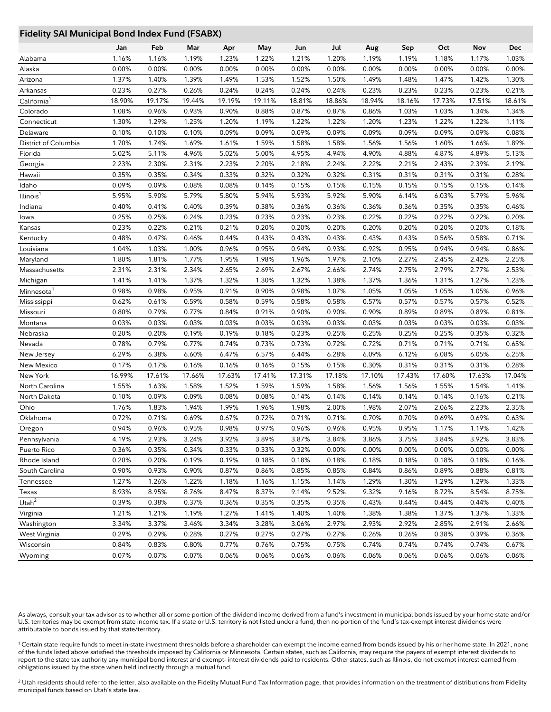#### **Fidelity SAI Municipal Bond Index Fund (FSABX)**

|                         | Jan    | Feb    | Mar    | Apr    | May    | Jun    | Jul    | Aug    | Sep    | Oct    | Nov    | Dec    |
|-------------------------|--------|--------|--------|--------|--------|--------|--------|--------|--------|--------|--------|--------|
| Alabama                 | 1.16%  | 1.16%  | 1.19%  | 1.23%  | 1.22%  | 1.21%  | 1.20%  | 1.19%  | 1.19%  | 1.18%  | 1.17%  | 1.03%  |
| Alaska                  | 0.00%  | 0.00%  | 0.00%  | 0.00%  | 0.00%  | 0.00%  | 0.00%  | 0.00%  | 0.00%  | 0.00%  | 0.00%  | 0.00%  |
| Arizona                 | 1.37%  | 1.40%  | 1.39%  | 1.49%  | 1.53%  | 1.52%  | 1.50%  | 1.49%  | 1.48%  | 1.47%  | 1.42%  | 1.30%  |
| Arkansas                | 0.23%  | 0.27%  | 0.26%  | 0.24%  | 0.24%  | 0.24%  | 0.24%  | 0.23%  | 0.23%  | 0.23%  | 0.23%  | 0.21%  |
| California <sup>1</sup> | 18.90% | 19.17% | 19.44% | 19.19% | 19.11% | 18.81% | 18.86% | 18.94% | 18.16% | 17.73% | 17.51% | 18.61% |
| Colorado                | 1.08%  | 0.96%  | 0.93%  | 0.90%  | 0.88%  | 0.87%  | 0.87%  | 0.86%  | 1.03%  | 1.03%  | 1.34%  | 1.34%  |
| Connecticut             | 1.30%  | 1.29%  | 1.25%  | 1.20%  | 1.19%  | 1.22%  | 1.22%  | 1.20%  | 1.23%  | 1.22%  | 1.22%  | 1.11%  |
| Delaware                | 0.10%  | 0.10%  | 0.10%  | 0.09%  | 0.09%  | 0.09%  | 0.09%  | 0.09%  | 0.09%  | 0.09%  | 0.09%  | 0.08%  |
| District of Columbia    | 1.70%  | 1.74%  | 1.69%  | 1.61%  | 1.59%  | 1.58%  | 1.58%  | 1.56%  | 1.56%  | 1.60%  | 1.66%  | 1.89%  |
| Florida                 | 5.02%  | 5.11%  | 4.96%  | 5.02%  | 5.00%  | 4.95%  | 4.94%  | 4.90%  | 4.88%  | 4.87%  | 4.89%  | 5.13%  |
| Georgia                 | 2.23%  | 2.30%  | 2.31%  | 2.23%  | 2.20%  | 2.18%  | 2.24%  | 2.22%  | 2.21%  | 2.43%  | 2.39%  | 2.19%  |
| Hawaii                  | 0.35%  | 0.35%  | 0.34%  | 0.33%  | 0.32%  | 0.32%  | 0.32%  | 0.31%  | 0.31%  | 0.31%  | 0.31%  | 0.28%  |
| Idaho                   | 0.09%  | 0.09%  | 0.08%  | 0.08%  | 0.14%  | 0.15%  | 0.15%  | 0.15%  | 0.15%  | 0.15%  | 0.15%  | 0.14%  |
| Illinois <sup>1</sup>   | 5.95%  | 5.90%  | 5.79%  | 5.80%  | 5.94%  | 5.93%  | 5.92%  | 5.90%  | 6.14%  | 6.03%  | 5.79%  | 5.96%  |
| Indiana                 | 0.40%  | 0.41%  | 0.40%  | 0.39%  | 0.38%  | 0.36%  | 0.36%  | 0.36%  | 0.36%  | 0.35%  | 0.35%  | 0.46%  |
| lowa                    | 0.25%  | 0.25%  | 0.24%  | 0.23%  | 0.23%  | 0.23%  | 0.23%  | 0.22%  | 0.22%  | 0.22%  | 0.22%  | 0.20%  |
| Kansas                  | 0.23%  | 0.22%  | 0.21%  | 0.21%  | 0.20%  | 0.20%  | 0.20%  | 0.20%  | 0.20%  | 0.20%  | 0.20%  | 0.18%  |
| Kentucky                | 0.48%  | 0.47%  | 0.46%  | 0.44%  | 0.43%  | 0.43%  | 0.43%  | 0.43%  | 0.43%  | 0.56%  | 0.58%  | 0.71%  |
| Louisiana               | 1.04%  | 1.03%  | 1.00%  | 0.96%  | 0.95%  | 0.94%  | 0.93%  | 0.92%  | 0.95%  | 0.94%  | 0.94%  | 0.86%  |
| Maryland                | 1.80%  | 1.81%  | 1.77%  | 1.95%  | 1.98%  | 1.96%  | 1.97%  | 2.10%  | 2.27%  | 2.45%  | 2.42%  | 2.25%  |
| Massachusetts           | 2.31%  | 2.31%  | 2.34%  | 2.65%  | 2.69%  | 2.67%  | 2.66%  | 2.74%  | 2.75%  | 2.79%  | 2.77%  | 2.53%  |
| Michigan                | 1.41%  | 1.41%  | 1.37%  | 1.32%  | 1.30%  | 1.32%  | 1.38%  | 1.37%  | 1.36%  | 1.31%  | 1.27%  | 1.23%  |
| Minnesota <sup>1</sup>  | 0.98%  | 0.98%  | 0.95%  | 0.91%  | 0.90%  | 0.98%  | 1.07%  | 1.05%  | 1.05%  | 1.05%  | 1.05%  | 0.96%  |
| Mississippi             | 0.62%  | 0.61%  | 0.59%  | 0.58%  | 0.59%  | 0.58%  | 0.58%  | 0.57%  | 0.57%  | 0.57%  | 0.57%  | 0.52%  |
| Missouri                | 0.80%  | 0.79%  | 0.77%  | 0.84%  | 0.91%  | 0.90%  | 0.90%  | 0.90%  | 0.89%  | 0.89%  | 0.89%  | 0.81%  |
| Montana                 | 0.03%  | 0.03%  | 0.03%  | 0.03%  | 0.03%  | 0.03%  | 0.03%  | 0.03%  | 0.03%  | 0.03%  | 0.03%  | 0.03%  |
| Nebraska                | 0.20%  | 0.20%  | 0.19%  | 0.19%  | 0.18%  | 0.23%  | 0.25%  | 0.25%  | 0.25%  | 0.25%  | 0.35%  | 0.32%  |
| Nevada                  | 0.78%  | 0.79%  | 0.77%  | 0.74%  | 0.73%  | 0.73%  | 0.72%  | 0.72%  | 0.71%  | 0.71%  | 0.71%  | 0.65%  |
| New Jersey              | 6.29%  | 6.38%  | 6.60%  | 6.47%  | 6.57%  | 6.44%  | 6.28%  | 6.09%  | 6.12%  | 6.08%  | 6.05%  | 6.25%  |
| New Mexico              | 0.17%  | 0.17%  | 0.16%  | 0.16%  | 0.16%  | 0.15%  | 0.15%  | 0.30%  | 0.31%  | 0.31%  | 0.31%  | 0.28%  |
| New York                | 16.99% | 17.61% | 17.66% | 17.63% | 17.41% | 17.31% | 17.18% | 17.10% | 17.43% | 17.60% | 17.63% | 17.04% |
| North Carolina          | 1.55%  | 1.63%  | 1.58%  | 1.52%  | 1.59%  | 1.59%  | 1.58%  | 1.56%  | 1.56%  | 1.55%  | 1.54%  | 1.41%  |
| North Dakota            | 0.10%  | 0.09%  | 0.09%  | 0.08%  | 0.08%  | 0.14%  | 0.14%  | 0.14%  | 0.14%  | 0.14%  | 0.16%  | 0.21%  |
| Ohio                    | 1.76%  | 1.83%  | 1.94%  | 1.99%  | 1.96%  | 1.98%  | 2.00%  | 1.98%  | 2.07%  | 2.06%  | 2.23%  | 2.35%  |
| Oklahoma                | 0.72%  | 0.71%  | 0.69%  | 0.67%  | 0.72%  | 0.71%  | 0.71%  | 0.70%  | 0.70%  | 0.69%  | 0.69%  | 0.63%  |
| Oregon                  | 0.94%  | 0.96%  | 0.95%  | 0.98%  | 0.97%  | 0.96%  | 0.96%  | 0.95%  | 0.95%  | 1.17%  | 1.19%  | 1.42%  |
| Pennsylvania            | 4.19%  | 2.93%  | 3.24%  | 3.92%  | 3.89%  | 3.87%  | 3.84%  | 3.86%  | 3.75%  | 3.84%  | 3.92%  | 3.83%  |
| Puerto Rico             | 0.36%  | 0.35%  | 0.34%  | 0.33%  | 0.33%  | 0.32%  | 0.00%  | 0.00%  | 0.00%  | 0.00%  | 0.00%  | 0.00%  |
| Rhode Island            | 0.20%  | 0.20%  | 0.19%  | 0.19%  | 0.18%  | 0.18%  | 0.18%  | 0.18%  | 0.18%  | 0.18%  | 0.18%  | 0.16%  |
| South Carolina          | 0.90%  | 0.93%  | 0.90%  | 0.87%  | 0.86%  | 0.85%  | 0.85%  | 0.84%  | 0.86%  | 0.89%  | 0.88%  | 0.81%  |
| Tennessee               | 1.27%  | 1.26%  | 1.22%  | 1.18%  | 1.16%  | 1.15%  | 1.14%  | 1.29%  | 1.30%  | 1.29%  | 1.29%  | 1.33%  |
| Texas                   | 8.93%  | 8.95%  | 8.76%  | 8.47%  | 8.37%  | 9.14%  | 9.52%  | 9.32%  | 9.16%  | 8.72%  | 8.54%  | 8.75%  |
| Utah <sup>2</sup>       | 0.39%  | 0.38%  | 0.37%  | 0.36%  | 0.35%  | 0.35%  | 0.35%  | 0.43%  | 0.44%  | 0.44%  | 0.44%  | 0.40%  |
| Virginia                | 1.21%  | 1.21%  | 1.19%  | 1.27%  | 1.41%  | 1.40%  | 1.40%  | 1.38%  | 1.38%  | 1.37%  | 1.37%  | 1.33%  |
| Washington              | 3.34%  | 3.37%  | 3.46%  | 3.34%  | 3.28%  | 3.06%  | 2.97%  | 2.93%  | 2.92%  | 2.85%  | 2.91%  | 2.66%  |
| West Virginia           | 0.29%  | 0.29%  | 0.28%  | 0.27%  | 0.27%  | 0.27%  | 0.27%  | 0.26%  | 0.26%  | 0.38%  | 0.39%  | 0.36%  |
| Wisconsin               | 0.84%  | 0.83%  | 0.80%  | 0.77%  | 0.76%  | 0.75%  | 0.75%  | 0.74%  | 0.74%  | 0.74%  | 0.74%  | 0.67%  |
| Wyoming                 | 0.07%  | 0.07%  | 0.07%  | 0.06%  | 0.06%  | 0.06%  | 0.06%  | 0.06%  | 0.06%  | 0.06%  | 0.06%  | 0.06%  |

As always, consult your tax advisor as to whether all or some portion of the dividend income derived from a fund's investment in municipal bonds issued by your home state and/or U.S. territories may be exempt from state income tax. If a state or U.S. territory is not listed under a fund, then no portion of the fund's tax-exempt interest dividends were attributable to bonds issued by that state/territory.

<sup>1</sup> Certain state require funds to meet in-state investment thresholds before a shareholder can exempt the income earned from bonds issued by his or her home state. In 2021, none of the funds listed above satisfied the thresholds imposed by California or Minnesota. Certain states, such as California, may require the payers of exempt interest dividends to report to the state tax authority any municipal bond interest and exempt- interest dividends paid to residents. Other states, such as Illinois, do not exempt interest earned from obligations issued by the state when held indirectly through a mutual fund.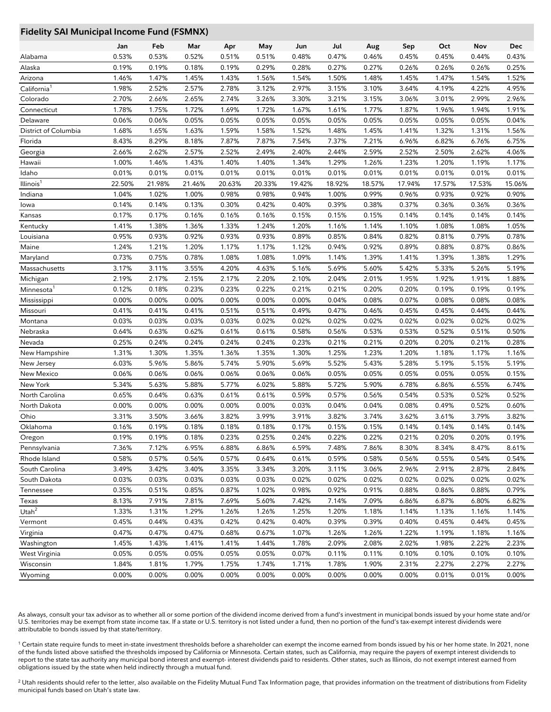## **Fidelity SAI Municipal Income Fund (FSMNX)**

|                         | Jan    | Feb    | Mar    | Apr    | May    | Jun    | Jul    | Aug    | Sep    | Oct    | Nov    | Dec    |
|-------------------------|--------|--------|--------|--------|--------|--------|--------|--------|--------|--------|--------|--------|
| Alabama                 | 0.53%  | 0.53%  | 0.52%  | 0.51%  | 0.51%  | 0.48%  | 0.47%  | 0.46%  | 0.45%  | 0.45%  | 0.44%  | 0.43%  |
| Alaska                  | 0.19%  | 0.19%  | 0.18%  | 0.19%  | 0.29%  | 0.28%  | 0.27%  | 0.27%  | 0.26%  | 0.26%  | 0.26%  | 0.25%  |
| Arizona                 | 1.46%  | 1.47%  | 1.45%  | 1.43%  | 1.56%  | 1.54%  | 1.50%  | 1.48%  | 1.45%  | 1.47%  | 1.54%  | 1.52%  |
| California <sup>1</sup> | 1.98%  | 2.52%  | 2.57%  | 2.78%  | 3.12%  | 2.97%  | 3.15%  | 3.10%  | 3.64%  | 4.19%  | 4.22%  | 4.95%  |
| Colorado                | 2.70%  | 2.66%  | 2.65%  | 2.74%  | 3.26%  | 3.30%  | 3.21%  | 3.15%  | 3.06%  | 3.01%  | 2.99%  | 2.96%  |
| Connecticut             | 1.78%  | 1.75%  | 1.72%  | 1.69%  | 1.72%  | 1.67%  | 1.61%  | 1.77%  | 1.87%  | 1.96%  | 1.94%  | 1.91%  |
| Delaware                | 0.06%  | 0.06%  | 0.05%  | 0.05%  | 0.05%  | 0.05%  | 0.05%  | 0.05%  | 0.05%  | 0.05%  | 0.05%  | 0.04%  |
| District of Columbia    | 1.68%  | 1.65%  | 1.63%  | 1.59%  | 1.58%  | 1.52%  | 1.48%  | 1.45%  | 1.41%  | 1.32%  | 1.31%  | 1.56%  |
| Florida                 | 8.43%  | 8.29%  | 8.18%  | 7.87%  | 7.87%  | 7.54%  | 7.37%  | 7.21%  | 6.96%  | 6.82%  | 6.76%  | 6.75%  |
| Georgia                 | 2.66%  | 2.62%  | 2.57%  | 2.52%  | 2.49%  | 2.40%  | 2.44%  | 2.59%  | 2.52%  | 2.50%  | 2.62%  | 4.06%  |
| Hawaii                  | 1.00%  | 1.46%  | 1.43%  | 1.40%  | 1.40%  | 1.34%  | 1.29%  | 1.26%  | 1.23%  | 1.20%  | 1.19%  | 1.17%  |
| Idaho                   | 0.01%  | 0.01%  | 0.01%  | 0.01%  | 0.01%  | 0.01%  | 0.01%  | 0.01%  | 0.01%  | 0.01%  | 0.01%  | 0.01%  |
| Illinois <sup>1</sup>   | 22.50% | 21.98% | 21.46% | 20.63% | 20.33% | 19.42% | 18.92% | 18.57% | 17.94% | 17.57% | 17.53% | 15.06% |
| Indiana                 | 1.04%  | 1.02%  | 1.00%  | 0.98%  | 0.98%  | 0.94%  | 1.00%  | 0.99%  | 0.96%  | 0.93%  | 0.92%  | 0.90%  |
| lowa                    | 0.14%  | 0.14%  | 0.13%  | 0.30%  | 0.42%  | 0.40%  | 0.39%  | 0.38%  | 0.37%  | 0.36%  | 0.36%  | 0.36%  |
| Kansas                  | 0.17%  | 0.17%  | 0.16%  | 0.16%  | 0.16%  | 0.15%  | 0.15%  | 0.15%  | 0.14%  | 0.14%  | 0.14%  | 0.14%  |
| Kentucky                | 1.41%  | 1.38%  | 1.36%  | 1.33%  | 1.24%  | 1.20%  | 1.16%  | 1.14%  | 1.10%  | 1.08%  | 1.08%  | 1.05%  |
| Louisiana               | 0.95%  | 0.93%  | 0.92%  | 0.93%  | 0.93%  | 0.89%  | 0.85%  | 0.84%  | 0.82%  | 0.81%  | 0.79%  | 0.78%  |
| Maine                   | 1.24%  | 1.21%  | 1.20%  | 1.17%  | 1.17%  | 1.12%  | 0.94%  | 0.92%  | 0.89%  | 0.88%  | 0.87%  | 0.86%  |
| Maryland                | 0.73%  | 0.75%  | 0.78%  | 1.08%  | 1.08%  | 1.09%  | 1.14%  | 1.39%  | 1.41%  | 1.39%  | 1.38%  | 1.29%  |
| Massachusetts           | 3.17%  | 3.11%  | 3.55%  | 4.20%  | 4.63%  | 5.16%  | 5.69%  | 5.60%  | 5.42%  | 5.33%  | 5.26%  | 5.19%  |
| Michigan                | 2.19%  | 2.17%  | 2.15%  | 2.17%  | 2.20%  | 2.10%  | 2.04%  | 2.01%  | 1.95%  | 1.92%  | 1.91%  | 1.88%  |
| Minnesota <sup>1</sup>  | 0.12%  | 0.18%  | 0.23%  | 0.23%  | 0.22%  | 0.21%  | 0.21%  | 0.20%  | 0.20%  | 0.19%  | 0.19%  | 0.19%  |
| Mississippi             | 0.00%  | 0.00%  | 0.00%  | 0.00%  | 0.00%  | 0.00%  | 0.04%  | 0.08%  | 0.07%  | 0.08%  | 0.08%  | 0.08%  |
| Missouri                | 0.41%  | 0.41%  | 0.41%  | 0.51%  | 0.51%  | 0.49%  | 0.47%  | 0.46%  | 0.45%  | 0.45%  | 0.44%  | 0.44%  |
| Montana                 | 0.03%  | 0.03%  | 0.03%  | 0.03%  | 0.02%  | 0.02%  | 0.02%  | 0.02%  | 0.02%  | 0.02%  | 0.02%  | 0.02%  |
| Nebraska                | 0.64%  | 0.63%  | 0.62%  | 0.61%  | 0.61%  | 0.58%  | 0.56%  | 0.53%  | 0.53%  | 0.52%  | 0.51%  | 0.50%  |
| Nevada                  | 0.25%  | 0.24%  | 0.24%  | 0.24%  | 0.24%  | 0.23%  | 0.21%  | 0.21%  | 0.20%  | 0.20%  | 0.21%  | 0.28%  |
| New Hampshire           | 1.31%  | 1.30%  | 1.35%  | 1.36%  | 1.35%  | 1.30%  | 1.25%  | 1.23%  | 1.20%  | 1.18%  | 1.17%  | 1.16%  |
| New Jersey              | 6.03%  | 5.96%  | 5.86%  | 5.74%  | 5.90%  | 5.69%  | 5.52%  | 5.43%  | 5.28%  | 5.19%  | 5.15%  | 5.19%  |
| New Mexico              | 0.06%  | 0.06%  | 0.06%  | 0.06%  | 0.06%  | 0.06%  | 0.05%  | 0.05%  | 0.05%  | 0.05%  | 0.05%  | 0.15%  |
| New York                | 5.34%  | 5.63%  | 5.88%  | 5.77%  | 6.02%  | 5.88%  | 5.72%  | 5.90%  | 6.78%  | 6.86%  | 6.55%  | 6.74%  |
| North Carolina          | 0.65%  | 0.64%  | 0.63%  | 0.61%  | 0.61%  | 0.59%  | 0.57%  | 0.56%  | 0.54%  | 0.53%  | 0.52%  | 0.52%  |
| North Dakota            | 0.00%  | 0.00%  | 0.00%  | 0.00%  | 0.00%  | 0.03%  | 0.04%  | 0.04%  | 0.08%  | 0.49%  | 0.52%  | 0.60%  |
| Ohio                    | 3.31%  | 3.50%  | 3.66%  | 3.82%  | 3.99%  | 3.91%  | 3.82%  | 3.74%  | 3.62%  | 3.61%  | 3.79%  | 3.82%  |
| Oklahoma                | 0.16%  | 0.19%  | 0.18%  | 0.18%  | 0.18%  | 0.17%  | 0.15%  | 0.15%  | 0.14%  | 0.14%  | 0.14%  | 0.14%  |
| Oregon                  | 0.19%  | 0.19%  | 0.18%  | 0.23%  | 0.25%  | 0.24%  | 0.22%  | 0.22%  | 0.21%  | 0.20%  | 0.20%  | 0.19%  |
| Pennsylvania            | 7.36%  | 7.12%  | 6.95%  | 6.88%  | 6.86%  | 6.59%  | 7.48%  | 7.86%  | 8.30%  | 8.34%  | 8.47%  | 8.61%  |
| Rhode Island            | 0.58%  | 0.57%  | 0.56%  | 0.57%  | 0.64%  | 0.61%  | 0.59%  | 0.58%  | 0.56%  | 0.55%  | 0.54%  | 0.54%  |
| South Carolina          | 3.49%  | 3.42%  | 3.40%  | 3.35%  | 3.34%  | 3.20%  | 3.11%  | 3.06%  | 2.96%  | 2.91%  | 2.87%  | 2.84%  |
| South Dakota            | 0.03%  | 0.03%  | 0.03%  | 0.03%  | 0.03%  | 0.02%  | 0.02%  | 0.02%  | 0.02%  | 0.02%  | 0.02%  | 0.02%  |
| Tennessee               | 0.35%  | 0.51%  | 0.85%  | 0.87%  | 1.02%  | 0.98%  | 0.92%  | 0.91%  | 0.88%  | 0.86%  | 0.88%  | 0.79%  |
| Texas                   | 8.13%  | 7.91%  | 7.81%  | 7.69%  | 5.60%  | 7.42%  | 7.14%  | 7.09%  | 6.86%  | 6.87%  | 6.80%  | 6.82%  |
| Utah $^2$               | 1.33%  | 1.31%  | 1.29%  | 1.26%  | 1.26%  | 1.25%  | 1.20%  | 1.18%  | 1.14%  | 1.13%  | 1.16%  | 1.14%  |
| Vermont                 | 0.45%  | 0.44%  | 0.43%  | 0.42%  | 0.42%  | 0.40%  | 0.39%  | 0.39%  | 0.40%  | 0.45%  | 0.44%  | 0.45%  |
| Virginia                | 0.47%  | 0.47%  | 0.47%  | 0.68%  | 0.67%  | 1.07%  | 1.26%  | 1.26%  | 1.22%  | 1.19%  | 1.18%  | 1.16%  |
| Washington              | 1.45%  | 1.43%  | 1.41%  | 1.41%  | 1.44%  | 1.78%  | 2.09%  | 2.08%  | 2.02%  | 1.98%  | 2.22%  | 2.23%  |
| West Virginia           | 0.05%  | 0.05%  | 0.05%  | 0.05%  | 0.05%  | 0.07%  | 0.11%  | 0.11%  | 0.10%  | 0.10%  | 0.10%  | 0.10%  |
| Wisconsin               | 1.84%  | 1.81%  | 1.79%  | 1.75%  | 1.74%  | 1.71%  | 1.78%  | 1.90%  | 2.31%  | 2.27%  | 2.27%  | 2.27%  |
| Wyoming                 | 0.00%  | 0.00%  | 0.00%  | 0.00%  | 0.00%  | 0.00%  | 0.00%  | 0.00%  | 0.00%  | 0.01%  | 0.01%  | 0.00%  |

As always, consult your tax advisor as to whether all or some portion of the dividend income derived from a fund's investment in municipal bonds issued by your home state and/or U.S. territories may be exempt from state income tax. If a state or U.S. territory is not listed under a fund, then no portion of the fund's tax-exempt interest dividends were attributable to bonds issued by that state/territory.

<sup>1</sup> Certain state require funds to meet in-state investment thresholds before a shareholder can exempt the income earned from bonds issued by his or her home state. In 2021, none of the funds listed above satisfied the thresholds imposed by California or Minnesota. Certain states, such as California, may require the payers of exempt interest dividends to report to the state tax authority any municipal bond interest and exempt- interest dividends paid to residents. Other states, such as Illinois, do not exempt interest earned from obligations issued by the state when held indirectly through a mutual fund.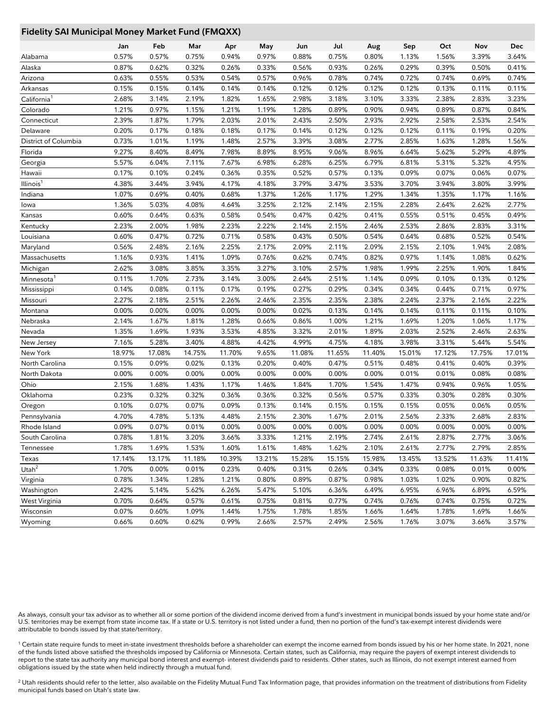## **Fidelity SAI Municipal Money Market Fund (FMQXX)**

|                         | Jan    | Feb    | Mar    | Apr    | May    | Jun    | Jul    | Aug    | Sep    | Oct    | Nov    | Dec    |
|-------------------------|--------|--------|--------|--------|--------|--------|--------|--------|--------|--------|--------|--------|
| Alabama                 | 0.57%  | 0.57%  | 0.75%  | 0.94%  | 0.97%  | 0.88%  | 0.75%  | 0.80%  | 1.13%  | 1.56%  | 3.39%  | 3.64%  |
| Alaska                  | 0.87%  | 0.62%  | 0.32%  | 0.26%  | 0.33%  | 0.56%  | 0.93%  | 0.26%  | 0.29%  | 0.39%  | 0.50%  | 0.41%  |
| Arizona                 | 0.63%  | 0.55%  | 0.53%  | 0.54%  | 0.57%  | 0.96%  | 0.78%  | 0.74%  | 0.72%  | 0.74%  | 0.69%  | 0.74%  |
| Arkansas                | 0.15%  | 0.15%  | 0.14%  | 0.14%  | 0.14%  | 0.12%  | 0.12%  | 0.12%  | 0.12%  | 0.13%  | 0.11%  | 0.11%  |
| California <sup>1</sup> | 2.68%  | 3.14%  | 2.19%  | 1.82%  | 1.65%  | 2.98%  | 3.18%  | 3.10%  | 3.33%  | 2.38%  | 2.83%  | 3.23%  |
| Colorado                | 1.21%  | 0.97%  | 1.15%  | 1.21%  | 1.19%  | 1.28%  | 0.89%  | 0.90%  | 0.94%  | 0.89%  | 0.87%  | 0.84%  |
| Connecticut             | 2.39%  | 1.87%  | 1.79%  | 2.03%  | 2.01%  | 2.43%  | 2.50%  | 2.93%  | 2.92%  | 2.58%  | 2.53%  | 2.54%  |
| Delaware                | 0.20%  | 0.17%  | 0.18%  | 0.18%  | 0.17%  | 0.14%  | 0.12%  | 0.12%  | 0.12%  | 0.11%  | 0.19%  | 0.20%  |
| District of Columbia    | 0.73%  | 1.01%  | 1.19%  | 1.48%  | 2.57%  | 3.39%  | 3.08%  | 2.77%  | 2.85%  | 1.63%  | 1.28%  | 1.56%  |
| Florida                 | 9.27%  | 8.40%  | 8.49%  | 7.98%  | 8.89%  | 8.95%  | 9.06%  | 8.96%  | 6.64%  | 5.62%  | 5.29%  | 4.89%  |
| Georgia                 | 5.57%  | 6.04%  | 7.11%  | 7.67%  | 6.98%  | 6.28%  | 6.25%  | 6.79%  | 6.81%  | 5.31%  | 5.32%  | 4.95%  |
| Hawaii                  | 0.17%  | 0.10%  | 0.24%  | 0.36%  | 0.35%  | 0.52%  | 0.57%  | 0.13%  | 0.09%  | 0.07%  | 0.06%  | 0.07%  |
| Illinois <sup>1</sup>   | 4.38%  | 3.44%  | 3.94%  | 4.17%  | 4.18%  | 3.79%  | 3.47%  | 3.53%  | 3.70%  | 3.94%  | 3.80%  | 3.99%  |
| Indiana                 | 1.07%  | 0.69%  | 0.40%  | 0.68%  | 1.37%  | 1.26%  | 1.17%  | 1.29%  | 1.34%  | 1.35%  | 1.17%  | 1.16%  |
| lowa                    | 1.36%  | 5.03%  | 4.08%  | 4.64%  | 3.25%  | 2.12%  | 2.14%  | 2.15%  | 2.28%  | 2.64%  | 2.62%  | 2.77%  |
| Kansas                  | 0.60%  | 0.64%  | 0.63%  | 0.58%  | 0.54%  | 0.47%  | 0.42%  | 0.41%  | 0.55%  | 0.51%  | 0.45%  | 0.49%  |
| Kentucky                | 2.23%  | 2.00%  | 1.98%  | 2.23%  | 2.22%  | 2.14%  | 2.15%  | 2.46%  | 2.53%  | 2.86%  | 2.83%  | 3.31%  |
| Louisiana               | 0.60%  | 0.47%  | 0.72%  | 0.71%  | 0.58%  | 0.43%  | 0.50%  | 0.54%  | 0.64%  | 0.68%  | 0.52%  | 0.54%  |
| Maryland                | 0.56%  | 2.48%  | 2.16%  | 2.25%  | 2.17%  | 2.09%  | 2.11%  | 2.09%  | 2.15%  | 2.10%  | 1.94%  | 2.08%  |
| Massachusetts           | 1.16%  | 0.93%  | 1.41%  | 1.09%  | 0.76%  | 0.62%  | 0.74%  | 0.82%  | 0.97%  | 1.14%  | 1.08%  | 0.62%  |
| Michigan                | 2.62%  | 3.08%  | 3.85%  | 3.35%  | 3.27%  | 3.10%  | 2.57%  | 1.98%  | 1.99%  | 2.25%  | 1.90%  | 1.84%  |
| Minnesota               | 0.11%  | 1.70%  | 2.73%  | 3.14%  | 3.00%  | 2.64%  | 2.51%  | 1.14%  | 0.09%  | 0.10%  | 0.13%  | 0.12%  |
| Mississippi             | 0.14%  | 0.08%  | 0.11%  | 0.17%  | 0.19%  | 0.27%  | 0.29%  | 0.34%  | 0.34%  | 0.44%  | 0.71%  | 0.97%  |
| Missouri                | 2.27%  | 2.18%  | 2.51%  | 2.26%  | 2.46%  | 2.35%  | 2.35%  | 2.38%  | 2.24%  | 2.37%  | 2.16%  | 2.22%  |
| Montana                 | 0.00%  | 0.00%  | 0.00%  | 0.00%  | 0.00%  | 0.02%  | 0.13%  | 0.14%  | 0.14%  | 0.11%  | 0.11%  | 0.10%  |
| Nebraska                | 2.14%  | 1.67%  | 1.81%  | 1.28%  | 0.66%  | 0.86%  | 1.00%  | 1.21%  | 1.69%  | 1.20%  | 1.06%  | 1.17%  |
| Nevada                  | 1.35%  | 1.69%  | 1.93%  | 3.53%  | 4.85%  | 3.32%  | 2.01%  | 1.89%  | 2.03%  | 2.52%  | 2.46%  | 2.63%  |
| New Jersey              | 7.16%  | 5.28%  | 3.40%  | 4.88%  | 4.42%  | 4.99%  | 4.75%  | 4.18%  | 3.98%  | 3.31%  | 5.44%  | 5.54%  |
| New York                | 18.97% | 17.08% | 14.75% | 11.70% | 9.65%  | 11.08% | 11.65% | 11.40% | 15.01% | 17.12% | 17.75% | 17.01% |
| North Carolina          | 0.15%  | 0.09%  | 0.02%  | 0.13%  | 0.20%  | 0.40%  | 0.47%  | 0.51%  | 0.48%  | 0.41%  | 0.40%  | 0.39%  |
| North Dakota            | 0.00%  | 0.00%  | 0.00%  | 0.00%  | 0.00%  | 0.00%  | 0.00%  | 0.00%  | 0.01%  | 0.01%  | 0.08%  | 0.08%  |
| Ohio                    | 2.15%  | 1.68%  | 1.43%  | 1.17%  | 1.46%  | 1.84%  | 1.70%  | 1.54%  | 1.47%  | 0.94%  | 0.96%  | 1.05%  |
| Oklahoma                | 0.23%  | 0.32%  | 0.32%  | 0.36%  | 0.36%  | 0.32%  | 0.56%  | 0.57%  | 0.33%  | 0.30%  | 0.28%  | 0.30%  |
| Oregon                  | 0.10%  | 0.07%  | 0.07%  | 0.09%  | 0.13%  | 0.14%  | 0.15%  | 0.15%  | 0.15%  | 0.05%  | 0.06%  | 0.05%  |
| Pennsylvania            | 4.70%  | 4.78%  | 5.13%  | 4.48%  | 2.15%  | 2.30%  | 1.67%  | 2.01%  | 2.56%  | 2.33%  | 2.68%  | 2.83%  |
| Rhode Island            | 0.09%  | 0.07%  | 0.01%  | 0.00%  | 0.00%  | 0.00%  | 0.00%  | 0.00%  | 0.00%  | 0.00%  | 0.00%  | 0.00%  |
| South Carolina          | 0.78%  | 1.81%  | 3.20%  | 3.66%  | 3.33%  | 1.21%  | 2.19%  | 2.74%  | 2.61%  | 2.87%  | 2.77%  | 3.06%  |
| Tennessee               | 1.78%  | 1.69%  | 1.53%  | 1.60%  | 1.61%  | 1.48%  | 1.62%  | 2.10%  | 2.61%  | 2.77%  | 2.79%  | 2.85%  |
| Texas                   | 17.14% | 13.17% | 11.18% | 10.39% | 13.21% | 15.28% | 15.15% | 15.98% | 13.45% | 13.52% | 11.63% | 11.41% |
| Utah $^2$               | 1.70%  | 0.00%  | 0.01%  | 0.23%  | 0.40%  | 0.31%  | 0.26%  | 0.34%  | 0.33%  | 0.08%  | 0.01%  | 0.00%  |
| Virginia                | 0.78%  | 1.34%  | 1.28%  | 1.21%  | 0.80%  | 0.89%  | 0.87%  | 0.98%  | 1.03%  | 1.02%  | 0.90%  | 0.82%  |
| Washington              | 2.42%  | 5.14%  | 5.62%  | 6.26%  | 5.47%  | 5.10%  | 6.36%  | 6.49%  | 6.95%  | 6.96%  | 6.89%  | 6.59%  |
| West Virginia           | 0.70%  | 0.64%  | 0.57%  | 0.61%  | 0.75%  | 0.81%  | 0.77%  | 0.74%  | 0.76%  | 0.74%  | 0.75%  | 0.72%  |
| Wisconsin               | 0.07%  | 0.60%  | 1.09%  | 1.44%  | 1.75%  | 1.78%  | 1.85%  | 1.66%  | 1.64%  | 1.78%  | 1.69%  | 1.66%  |
| Wyoming                 | 0.66%  | 0.60%  | 0.62%  | 0.99%  | 2.66%  | 2.57%  | 2.49%  | 2.56%  | 1.76%  | 3.07%  | 3.66%  | 3.57%  |

As always, consult your tax advisor as to whether all or some portion of the dividend income derived from a fund's investment in municipal bonds issued by your home state and/or U.S. territories may be exempt from state income tax. If a state or U.S. territory is not listed under a fund, then no portion of the fund's tax-exempt interest dividends were attributable to bonds issued by that state/territory.

<sup>1</sup> Certain state require funds to meet in-state investment thresholds before a shareholder can exempt the income earned from bonds issued by his or her home state. In 2021, none of the funds listed above satisfied the thresholds imposed by California or Minnesota. Certain states, such as California, may require the payers of exempt interest dividends to report to the state tax authority any municipal bond interest and exempt- interest dividends paid to residents. Other states, such as Illinois, do not exempt interest earned from obligations issued by the state when held indirectly through a mutual fund.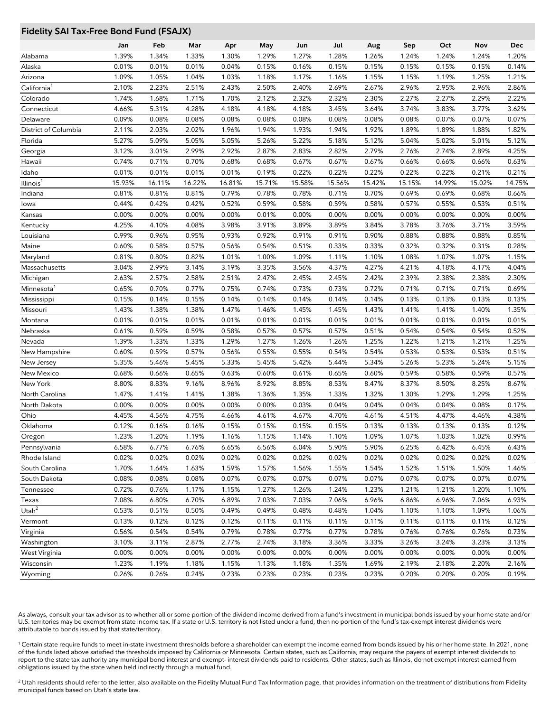## **Fidelity SAI Tax-Free Bond Fund (FSAJX)**

|                         | Jan    | Feb    | Mar    | Apr    | May    | Jun    | Jul    | Aug    | Sep    | Oct    | Nov    | Dec    |
|-------------------------|--------|--------|--------|--------|--------|--------|--------|--------|--------|--------|--------|--------|
| Alabama                 | 1.39%  | 1.34%  | 1.33%  | 1.30%  | 1.29%  | 1.27%  | 1.28%  | 1.26%  | 1.24%  | 1.24%  | 1.24%  | 1.20%  |
| Alaska                  | 0.01%  | 0.01%  | 0.01%  | 0.04%  | 0.15%  | 0.16%  | 0.15%  | 0.15%  | 0.15%  | 0.15%  | 0.15%  | 0.14%  |
| Arizona                 | 1.09%  | 1.05%  | 1.04%  | 1.03%  | 1.18%  | 1.17%  | 1.16%  | 1.15%  | 1.15%  | 1.19%  | 1.25%  | 1.21%  |
| California <sup>1</sup> | 2.10%  | 2.23%  | 2.51%  | 2.43%  | 2.50%  | 2.40%  | 2.69%  | 2.67%  | 2.96%  | 2.95%  | 2.96%  | 2.86%  |
| Colorado                | 1.74%  | 1.68%  | 1.71%  | 1.70%  | 2.12%  | 2.32%  | 2.32%  | 2.30%  | 2.27%  | 2.27%  | 2.29%  | 2.22%  |
| Connecticut             | 4.66%  | 5.31%  | 4.28%  | 4.18%  | 4.18%  | 4.18%  | 3.45%  | 3.64%  | 3.74%  | 3.83%  | 3.77%  | 3.62%  |
| Delaware                | 0.09%  | 0.08%  | 0.08%  | 0.08%  | 0.08%  | 0.08%  | 0.08%  | 0.08%  | 0.08%  | 0.07%  | 0.07%  | 0.07%  |
| District of Columbia    | 2.11%  | 2.03%  | 2.02%  | 1.96%  | 1.94%  | 1.93%  | 1.94%  | 1.92%  | 1.89%  | 1.89%  | 1.88%  | 1.82%  |
| Florida                 | 5.27%  | 5.09%  | 5.05%  | 5.05%  | 5.26%  | 5.22%  | 5.18%  | 5.12%  | 5.04%  | 5.02%  | 5.01%  | 5.12%  |
| Georgia                 | 3.12%  | 3.01%  | 2.99%  | 2.92%  | 2.87%  | 2.83%  | 2.82%  | 2.79%  | 2.76%  | 2.74%  | 2.89%  | 4.25%  |
| Hawaii                  | 0.74%  | 0.71%  | 0.70%  | 0.68%  | 0.68%  | 0.67%  | 0.67%  | 0.67%  | 0.66%  | 0.66%  | 0.66%  | 0.63%  |
| Idaho                   | 0.01%  | 0.01%  | 0.01%  | 0.01%  | 0.19%  | 0.22%  | 0.22%  | 0.22%  | 0.22%  | 0.22%  | 0.21%  | 0.21%  |
| Illinois <sup>1</sup>   | 15.93% | 16.11% | 16.22% | 16.81% | 15.71% | 15.58% | 15.56% | 15.42% | 15.15% | 14.99% | 15.02% | 14.75% |
| Indiana                 | 0.81%  | 0.81%  | 0.81%  | 0.79%  | 0.78%  | 0.78%  | 0.71%  | 0.70%  | 0.69%  | 0.69%  | 0.68%  | 0.66%  |
| lowa                    | 0.44%  | 0.42%  | 0.42%  | 0.52%  | 0.59%  | 0.58%  | 0.59%  | 0.58%  | 0.57%  | 0.55%  | 0.53%  | 0.51%  |
| Kansas                  | 0.00%  | 0.00%  | 0.00%  | 0.00%  | 0.01%  | 0.00%  | 0.00%  | 0.00%  | 0.00%  | 0.00%  | 0.00%  | 0.00%  |
| Kentucky                | 4.25%  | 4.10%  | 4.08%  | 3.98%  | 3.91%  | 3.89%  | 3.89%  | 3.84%  | 3.78%  | 3.76%  | 3.71%  | 3.59%  |
| Louisiana               | 0.99%  | 0.96%  | 0.95%  | 0.93%  | 0.92%  | 0.91%  | 0.91%  | 0.90%  | 0.88%  | 0.88%  | 0.88%  | 0.85%  |
| Maine                   | 0.60%  | 0.58%  | 0.57%  | 0.56%  | 0.54%  | 0.51%  | 0.33%  | 0.33%  | 0.32%  | 0.32%  | 0.31%  | 0.28%  |
| Maryland                | 0.81%  | 0.80%  | 0.82%  | 1.01%  | 1.00%  | 1.09%  | 1.11%  | 1.10%  | 1.08%  | 1.07%  | 1.07%  | 1.15%  |
| Massachusetts           | 3.04%  | 2.99%  | 3.14%  | 3.19%  | 3.35%  | 3.56%  | 4.37%  | 4.27%  | 4.21%  | 4.18%  | 4.17%  | 4.04%  |
| Michigan                | 2.63%  | 2.57%  | 2.58%  | 2.51%  | 2.47%  | 2.45%  | 2.45%  | 2.42%  | 2.39%  | 2.38%  | 2.38%  | 2.30%  |
| Minnesota <sup>1</sup>  | 0.65%  | 0.70%  | 0.77%  | 0.75%  | 0.74%  | 0.73%  | 0.73%  | 0.72%  | 0.71%  | 0.71%  | 0.71%  | 0.69%  |
| Mississippi             | 0.15%  | 0.14%  | 0.15%  | 0.14%  | 0.14%  | 0.14%  | 0.14%  | 0.14%  | 0.13%  | 0.13%  | 0.13%  | 0.13%  |
| Missouri                | 1.43%  | 1.38%  | 1.38%  | 1.47%  | 1.46%  | 1.45%  | 1.45%  | 1.43%  | 1.41%  | 1.41%  | 1.40%  | 1.35%  |
| Montana                 | 0.01%  | 0.01%  | 0.01%  | 0.01%  | 0.01%  | 0.01%  | 0.01%  | 0.01%  | 0.01%  | 0.01%  | 0.01%  | 0.01%  |
| Nebraska                | 0.61%  | 0.59%  | 0.59%  | 0.58%  | 0.57%  | 0.57%  | 0.57%  | 0.51%  | 0.54%  | 0.54%  | 0.54%  | 0.52%  |
| Nevada                  | 1.39%  | 1.33%  | 1.33%  | 1.29%  | 1.27%  | 1.26%  | 1.26%  | 1.25%  | 1.22%  | 1.21%  | 1.21%  | 1.25%  |
| New Hampshire           | 0.60%  | 0.59%  | 0.57%  | 0.56%  | 0.55%  | 0.55%  | 0.54%  | 0.54%  | 0.53%  | 0.53%  | 0.53%  | 0.51%  |
| New Jersey              | 5.35%  | 5.46%  | 5.45%  | 5.33%  | 5.45%  | 5.42%  | 5.44%  | 5.34%  | 5.26%  | 5.23%  | 5.24%  | 5.15%  |
| New Mexico              | 0.68%  | 0.66%  | 0.65%  | 0.63%  | 0.60%  | 0.61%  | 0.65%  | 0.60%  | 0.59%  | 0.58%  | 0.59%  | 0.57%  |
| New York                | 8.80%  | 8.83%  | 9.16%  | 8.96%  | 8.92%  | 8.85%  | 8.53%  | 8.47%  | 8.37%  | 8.50%  | 8.25%  | 8.67%  |
| North Carolina          | 1.47%  | 1.41%  | 1.41%  | 1.38%  | 1.36%  | 1.35%  | 1.33%  | 1.32%  | 1.30%  | 1.29%  | 1.29%  | 1.25%  |
| North Dakota            | 0.00%  | 0.00%  | 0.00%  | 0.00%  | 0.00%  | 0.03%  | 0.04%  | 0.04%  | 0.04%  | 0.04%  | 0.08%  | 0.17%  |
| Ohio                    | 4.45%  | 4.56%  | 4.75%  | 4.66%  | 4.61%  | 4.67%  | 4.70%  | 4.61%  | 4.51%  | 4.47%  | 4.46%  | 4.38%  |
| Oklahoma                | 0.12%  | 0.16%  | 0.16%  | 0.15%  | 0.15%  | 0.15%  | 0.15%  | 0.13%  | 0.13%  | 0.13%  | 0.13%  | 0.12%  |
| Oregon                  | 1.23%  | 1.20%  | 1.19%  | 1.16%  | 1.15%  | 1.14%  | 1.10%  | 1.09%  | 1.07%  | 1.03%  | 1.02%  | 0.99%  |
| Pennsylvania            | 6.58%  | 6.77%  | 6.76%  | 6.65%  | 6.56%  | 6.04%  | 5.90%  | 5.90%  | 6.25%  | 6.42%  | 6.45%  | 6.43%  |
| Rhode Island            | 0.02%  | 0.02%  | 0.02%  | 0.02%  | 0.02%  | 0.02%  | 0.02%  | 0.02%  | 0.02%  | 0.02%  | 0.02%  | 0.02%  |
| South Carolina          | 1.70%  | 1.64%  | 1.63%  | 1.59%  | 1.57%  | 1.56%  | 1.55%  | 1.54%  | 1.52%  | 1.51%  | 1.50%  | 1.46%  |
| South Dakota            | 0.08%  | 0.08%  | 0.08%  | 0.07%  | 0.07%  | 0.07%  | 0.07%  | 0.07%  | 0.07%  | 0.07%  | 0.07%  | 0.07%  |
| Tennessee               | 0.72%  | 0.76%  | 1.17%  | 1.15%  | 1.27%  | 1.26%  | 1.24%  | 1.23%  | 1.21%  | 1.21%  | 1.20%  | 1.10%  |
| Texas                   | 7.08%  | 6.80%  | 6.70%  | 6.89%  | 7.03%  | 7.03%  | 7.06%  | 6.96%  | 6.86%  | 6.96%  | 7.06%  | 6.93%  |
| Utah $^2$               | 0.53%  | 0.51%  | 0.50%  | 0.49%  | 0.49%  | 0.48%  | 0.48%  | 1.04%  | 1.10%  | 1.10%  | 1.09%  | 1.06%  |
| Vermont                 | 0.13%  | 0.12%  | 0.12%  | 0.12%  | 0.11%  | 0.11%  | 0.11%  | 0.11%  | 0.11%  | 0.11%  | 0.11%  | 0.12%  |
| Virginia                | 0.56%  | 0.54%  | 0.54%  | 0.79%  | 0.78%  | 0.77%  | 0.77%  | 0.78%  | 0.76%  | 0.76%  | 0.76%  | 0.73%  |
| Washington              | 3.10%  | 3.11%  | 2.87%  | 2.77%  | 2.74%  | 3.18%  | 3.36%  | 3.33%  | 3.26%  | 3.24%  | 3.23%  | 3.13%  |
| West Virginia           | 0.00%  | 0.00%  | 0.00%  | 0.00%  | 0.00%  | 0.00%  | 0.00%  | 0.00%  | 0.00%  | 0.00%  | 0.00%  | 0.00%  |
| Wisconsin               | 1.23%  | 1.19%  | 1.18%  | 1.15%  | 1.13%  | 1.18%  | 1.35%  | 1.69%  | 2.19%  | 2.18%  | 2.20%  | 2.16%  |
| Wyoming                 | 0.26%  | 0.26%  | 0.24%  | 0.23%  | 0.23%  | 0.23%  | 0.23%  | 0.23%  | 0.20%  | 0.20%  | 0.20%  | 0.19%  |

As always, consult your tax advisor as to whether all or some portion of the dividend income derived from a fund's investment in municipal bonds issued by your home state and/or U.S. territories may be exempt from state income tax. If a state or U.S. territory is not listed under a fund, then no portion of the fund's tax-exempt interest dividends were attributable to bonds issued by that state/territory.

<sup>1</sup> Certain state require funds to meet in-state investment thresholds before a shareholder can exempt the income earned from bonds issued by his or her home state. In 2021, none of the funds listed above satisfied the thresholds imposed by California or Minnesota. Certain states, such as California, may require the payers of exempt interest dividends to report to the state tax authority any municipal bond interest and exempt- interest dividends paid to residents. Other states, such as Illinois, do not exempt interest earned from obligations issued by the state when held indirectly through a mutual fund.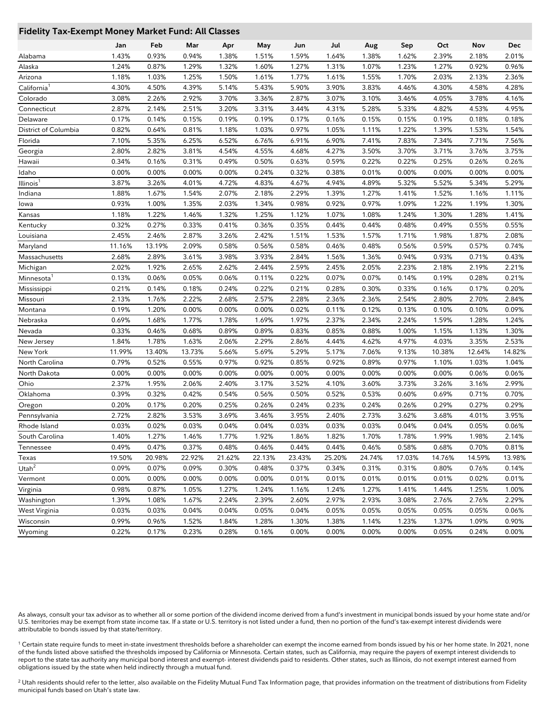#### **Fidelity Tax-Exempt Money Market Fund: All Classes**

|                         | Jan    | Feb    | Mar    | Apr    | May    | Jun    | Jul    | Aug    | Sep    | Oct    | Nov    | Dec    |
|-------------------------|--------|--------|--------|--------|--------|--------|--------|--------|--------|--------|--------|--------|
| Alabama                 | 1.43%  | 0.93%  | 0.94%  | 1.38%  | 1.51%  | 1.59%  | 1.64%  | 1.38%  | 1.62%  | 2.39%  | 2.18%  | 2.01%  |
| Alaska                  | 1.24%  | 0.87%  | 1.29%  | 1.32%  | 1.60%  | 1.27%  | 1.31%  | 1.07%  | 1.23%  | 1.27%  | 0.92%  | 0.96%  |
| Arizona                 | 1.18%  | 1.03%  | 1.25%  | 1.50%  | 1.61%  | 1.77%  | 1.61%  | 1.55%  | 1.70%  | 2.03%  | 2.13%  | 2.36%  |
| California <sup>1</sup> | 4.30%  | 4.50%  | 4.39%  | 5.14%  | 5.43%  | 5.90%  | 3.90%  | 3.83%  | 4.46%  | 4.30%  | 4.58%  | 4.28%  |
| Colorado                | 3.08%  | 2.26%  | 2.92%  | 3.70%  | 3.36%  | 2.87%  | 3.07%  | 3.10%  | 3.46%  | 4.05%  | 3.78%  | 4.16%  |
| Connecticut             | 2.87%  | 2.14%  | 2.51%  | 3.20%  | 3.31%  | 3.44%  | 4.31%  | 5.28%  | 5.33%  | 4.82%  | 4.53%  | 4.95%  |
| Delaware                | 0.17%  | 0.14%  | 0.15%  | 0.19%  | 0.19%  | 0.17%  | 0.16%  | 0.15%  | 0.15%  | 0.19%  | 0.18%  | 0.18%  |
| District of Columbia    | 0.82%  | 0.64%  | 0.81%  | 1.18%  | 1.03%  | 0.97%  | 1.05%  | 1.11%  | 1.22%  | 1.39%  | 1.53%  | 1.54%  |
| Florida                 | 7.10%  | 5.35%  | 6.25%  | 6.52%  | 6.76%  | 6.91%  | 6.90%  | 7.41%  | 7.83%  | 7.34%  | 7.71%  | 7.56%  |
| Georgia                 | 2.80%  | 2.82%  | 3.81%  | 4.54%  | 4.55%  | 4.68%  | 4.27%  | 3.50%  | 3.70%  | 3.71%  | 3.76%  | 3.75%  |
| Hawaii                  | 0.34%  | 0.16%  | 0.31%  | 0.49%  | 0.50%  | 0.63%  | 0.59%  | 0.22%  | 0.22%  | 0.25%  | 0.26%  | 0.26%  |
| ldaho                   | 0.00%  | 0.00%  | 0.00%  | 0.00%  | 0.24%  | 0.32%  | 0.38%  | 0.01%  | 0.00%  | 0.00%  | 0.00%  | 0.00%  |
| Illinois <sup>1</sup>   | 3.87%  | 3.26%  | 4.01%  | 4.72%  | 4.83%  | 4.67%  | 4.94%  | 4.89%  | 5.32%  | 5.52%  | 5.34%  | 5.29%  |
| Indiana                 | 1.88%  | 1.67%  | 1.54%  | 2.07%  | 2.18%  | 2.29%  | 1.39%  | 1.27%  | 1.41%  | 1.52%  | 1.16%  | 1.11%  |
| lowa                    | 0.93%  | 1.00%  | 1.35%  | 2.03%  | 1.34%  | 0.98%  | 0.92%  | 0.97%  | 1.09%  | 1.22%  | 1.19%  | 1.30%  |
| Kansas                  | 1.18%  | 1.22%  | 1.46%  | 1.32%  | 1.25%  | 1.12%  | 1.07%  | 1.08%  | 1.24%  | 1.30%  | 1.28%  | 1.41%  |
| Kentucky                | 0.32%  | 0.27%  | 0.33%  | 0.41%  | 0.36%  | 0.35%  | 0.44%  | 0.44%  | 0.48%  | 0.49%  | 0.55%  | 0.55%  |
| Louisiana               | 2.45%  | 2.46%  | 2.87%  | 3.26%  | 2.42%  | 1.51%  | 1.53%  | 1.57%  | 1.71%  | 1.98%  | 1.87%  | 2.08%  |
| Maryland                | 11.16% | 13.19% | 2.09%  | 0.58%  | 0.56%  | 0.58%  | 0.46%  | 0.48%  | 0.56%  | 0.59%  | 0.57%  | 0.74%  |
| Massachusetts           | 2.68%  | 2.89%  | 3.61%  | 3.98%  | 3.93%  | 2.84%  | 1.56%  | 1.36%  | 0.94%  | 0.93%  | 0.71%  | 0.43%  |
| Michigan                | 2.02%  | 1.92%  | 2.65%  | 2.62%  | 2.44%  | 2.59%  | 2.45%  | 2.05%  | 2.23%  | 2.18%  | 2.19%  | 2.21%  |
| Minnesota               | 0.13%  | 0.06%  | 0.05%  | 0.06%  | 0.11%  | 0.22%  | 0.07%  | 0.07%  | 0.14%  | 0.19%  | 0.28%  | 0.21%  |
| Mississippi             | 0.21%  | 0.14%  | 0.18%  | 0.24%  | 0.22%  | 0.21%  | 0.28%  | 0.30%  | 0.33%  | 0.16%  | 0.17%  | 0.20%  |
| Missouri                | 2.13%  | 1.76%  | 2.22%  | 2.68%  | 2.57%  | 2.28%  | 2.36%  | 2.36%  | 2.54%  | 2.80%  | 2.70%  | 2.84%  |
| Montana                 | 0.19%  | 1.20%  | 0.00%  | 0.00%  | 0.00%  | 0.02%  | 0.11%  | 0.12%  | 0.13%  | 0.10%  | 0.10%  | 0.09%  |
| Nebraska                | 0.69%  | 1.68%  | 1.77%  | 1.78%  | 1.69%  | 1.97%  | 2.37%  | 2.34%  | 2.24%  | 1.59%  | 1.28%  | 1.24%  |
| Nevada                  | 0.33%  | 0.46%  | 0.68%  | 0.89%  | 0.89%  | 0.83%  | 0.85%  | 0.88%  | 1.00%  | 1.15%  | 1.13%  | 1.30%  |
| New Jersey              | 1.84%  | 1.78%  | 1.63%  | 2.06%  | 2.29%  | 2.86%  | 4.44%  | 4.62%  | 4.97%  | 4.03%  | 3.35%  | 2.53%  |
| New York                | 11.99% | 13.40% | 13.73% | 5.66%  | 5.69%  | 5.29%  | 5.17%  | 7.06%  | 9.13%  | 10.38% | 12.64% | 14.82% |
| North Carolina          | 0.79%  | 0.52%  | 0.55%  | 0.97%  | 0.92%  | 0.85%  | 0.92%  | 0.89%  | 0.97%  | 1.10%  | 1.03%  | 1.04%  |
| North Dakota            | 0.00%  | 0.00%  | 0.00%  | 0.00%  | 0.00%  | 0.00%  | 0.00%  | 0.00%  | 0.00%  | 0.00%  | 0.06%  | 0.06%  |
| Ohio                    | 2.37%  | 1.95%  | 2.06%  | 2.40%  | 3.17%  | 3.52%  | 4.10%  | 3.60%  | 3.73%  | 3.26%  | 3.16%  | 2.99%  |
| Oklahoma                | 0.39%  | 0.32%  | 0.42%  | 0.54%  | 0.56%  | 0.50%  | 0.52%  | 0.53%  | 0.60%  | 0.69%  | 0.71%  | 0.70%  |
| Oregon                  | 0.20%  | 0.17%  | 0.20%  | 0.25%  | 0.26%  | 0.24%  | 0.23%  | 0.24%  | 0.26%  | 0.29%  | 0.27%  | 0.29%  |
| Pennsylvania            | 2.72%  | 2.82%  | 3.53%  | 3.69%  | 3.46%  | 3.95%  | 2.40%  | 2.73%  | 3.62%  | 3.68%  | 4.01%  | 3.95%  |
| Rhode Island            | 0.03%  | 0.02%  | 0.03%  | 0.04%  | 0.04%  | 0.03%  | 0.03%  | 0.03%  | 0.04%  | 0.04%  | 0.05%  | 0.06%  |
| South Carolina          | 1.40%  | 1.27%  | 1.46%  | 1.77%  | 1.92%  | 1.86%  | 1.82%  | 1.70%  | 1.78%  | 1.99%  | 1.98%  | 2.14%  |
| Tennessee               | 0.49%  | 0.47%  | 0.37%  | 0.48%  | 0.46%  | 0.44%  | 0.44%  | 0.46%  | 0.58%  | 0.68%  | 0.70%  | 0.81%  |
| Texas                   | 19.50% | 20.98% | 22.92% | 21.62% | 22.13% | 23.43% | 25.20% | 24.74% | 17.03% | 14.76% | 14.59% | 13.98% |
| Utah $\overline{1}$     | 0.09%  | 0.07%  | 0.09%  | 0.30%  | 0.48%  | 0.37%  | 0.34%  | 0.31%  | 0.31%  | 0.80%  | 0.76%  | 0.14%  |
| Vermont                 | 0.00%  | 0.00%  | 0.00%  | 0.00%  | 0.00%  | 0.01%  | 0.01%  | 0.01%  | 0.01%  | 0.01%  | 0.02%  | 0.01%  |
| Virginia                | 0.98%  | 0.87%  | 1.05%  | 1.27%  | 1.24%  | 1.16%  | 1.24%  | 1.27%  | 1.41%  | 1.44%  | 1.25%  | 1.00%  |
| Washington              | 1.39%  | 1.08%  | 1.67%  | 2.24%  | 2.39%  | 2.60%  | 2.97%  | 2.93%  | 3.08%  | 2.76%  | 2.76%  | 2.29%  |
| West Virginia           | 0.03%  | 0.03%  | 0.04%  | 0.04%  | 0.05%  | 0.04%  | 0.05%  | 0.05%  | 0.05%  | 0.05%  | 0.05%  | 0.06%  |
| Wisconsin               | 0.99%  | 0.96%  | 1.52%  | 1.84%  | 1.28%  | 1.30%  | 1.38%  | 1.14%  | 1.23%  | 1.37%  | 1.09%  | 0.90%  |
| Wyoming                 | 0.22%  | 0.17%  | 0.23%  | 0.28%  | 0.16%  | 0.00%  | 0.00%  | 0.00%  | 0.00%  | 0.05%  | 0.24%  | 0.00%  |
|                         |        |        |        |        |        |        |        |        |        |        |        |        |

As always, consult your tax advisor as to whether all or some portion of the dividend income derived from a fund's investment in municipal bonds issued by your home state and/or U.S. territories may be exempt from state income tax. If a state or U.S. territory is not listed under a fund, then no portion of the fund's tax-exempt interest dividends were attributable to bonds issued by that state/territory.

<sup>1</sup> Certain state require funds to meet in-state investment thresholds before a shareholder can exempt the income earned from bonds issued by his or her home state. In 2021, none of the funds listed above satisfied the thresholds imposed by California or Minnesota. Certain states, such as California, may require the payers of exempt interest dividends to report to the state tax authority any municipal bond interest and exempt- interest dividends paid to residents. Other states, such as Illinois, do not exempt interest earned from obligations issued by the state when held indirectly through a mutual fund.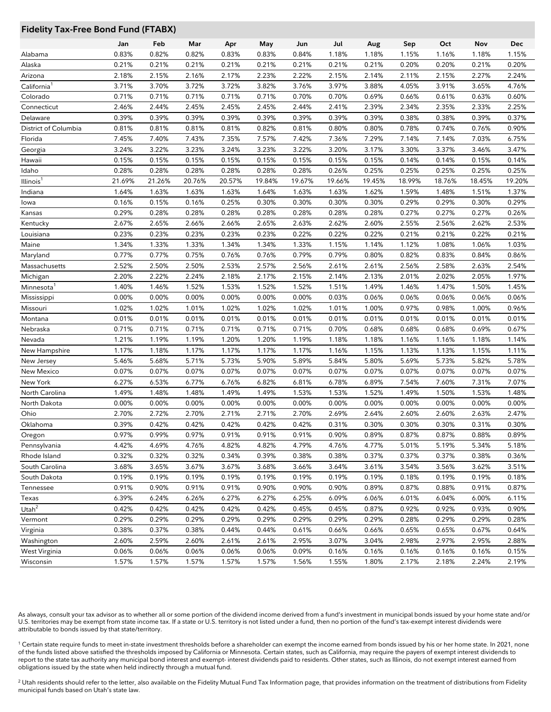# **Fidelity Tax-Free Bond Fund (FTABX)**

|                        | Jan    | Feb    | Mar    | Apr    | May    | Jun    | Jul    | Aug    | Sep    | Oct    | Nov    | Dec    |
|------------------------|--------|--------|--------|--------|--------|--------|--------|--------|--------|--------|--------|--------|
| Alabama                | 0.83%  | 0.82%  | 0.82%  | 0.83%  | 0.83%  | 0.84%  | 1.18%  | 1.18%  | 1.15%  | 1.16%  | 1.18%  | 1.15%  |
| Alaska                 | 0.21%  | 0.21%  | 0.21%  | 0.21%  | 0.21%  | 0.21%  | 0.21%  | 0.21%  | 0.20%  | 0.20%  | 0.21%  | 0.20%  |
| Arizona                | 2.18%  | 2.15%  | 2.16%  | 2.17%  | 2.23%  | 2.22%  | 2.15%  | 2.14%  | 2.11%  | 2.15%  | 2.27%  | 2.24%  |
| California'            | 3.71%  | 3.70%  | 3.72%  | 3.72%  | 3.82%  | 3.76%  | 3.97%  | 3.88%  | 4.05%  | 3.91%  | 3.65%  | 4.76%  |
| Colorado               | 0.71%  | 0.71%  | 0.71%  | 0.71%  | 0.71%  | 0.70%  | 0.70%  | 0.69%  | 0.66%  | 0.61%  | 0.63%  | 0.60%  |
| Connecticut            | 2.46%  | 2.44%  | 2.45%  | 2.45%  | 2.45%  | 2.44%  | 2.41%  | 2.39%  | 2.34%  | 2.35%  | 2.33%  | 2.25%  |
| Delaware               | 0.39%  | 0.39%  | 0.39%  | 0.39%  | 0.39%  | 0.39%  | 0.39%  | 0.39%  | 0.38%  | 0.38%  | 0.39%  | 0.37%  |
| District of Columbia   | 0.81%  | 0.81%  | 0.81%  | 0.81%  | 0.82%  | 0.81%  | 0.80%  | 0.80%  | 0.78%  | 0.74%  | 0.76%  | 0.90%  |
| Florida                | 7.45%  | 7.40%  | 7.43%  | 7.35%  | 7.57%  | 7.42%  | 7.36%  | 7.29%  | 7.14%  | 7.14%  | 7.03%  | 6.75%  |
| Georgia                | 3.24%  | 3.22%  | 3.23%  | 3.24%  | 3.23%  | 3.22%  | 3.20%  | 3.17%  | 3.30%  | 3.37%  | 3.46%  | 3.47%  |
| Hawaii                 | 0.15%  | 0.15%  | 0.15%  | 0.15%  | 0.15%  | 0.15%  | 0.15%  | 0.15%  | 0.14%  | 0.14%  | 0.15%  | 0.14%  |
| Idaho                  | 0.28%  | 0.28%  | 0.28%  | 0.28%  | 0.28%  | 0.28%  | 0.26%  | 0.25%  | 0.25%  | 0.25%  | 0.25%  | 0.25%  |
| Illinois'              | 21.69% | 21.26% | 20.76% | 20.57% | 19.84% | 19.67% | 19.66% | 19.45% | 18.99% | 18.76% | 18.45% | 19.20% |
| Indiana                | 1.64%  | 1.63%  | 1.63%  | 1.63%  | 1.64%  | 1.63%  | 1.63%  | 1.62%  | 1.59%  | 1.48%  | 1.51%  | 1.37%  |
| lowa                   | 0.16%  | 0.15%  | 0.16%  | 0.25%  | 0.30%  | 0.30%  | 0.30%  | 0.30%  | 0.29%  | 0.29%  | 0.30%  | 0.29%  |
| Kansas                 | 0.29%  | 0.28%  | 0.28%  | 0.28%  | 0.28%  | 0.28%  | 0.28%  | 0.28%  | 0.27%  | 0.27%  | 0.27%  | 0.26%  |
| Kentucky               | 2.67%  | 2.65%  | 2.66%  | 2.66%  | 2.65%  | 2.63%  | 2.62%  | 2.60%  | 2.55%  | 2.56%  | 2.62%  | 2.53%  |
| Louisiana              | 0.23%  | 0.23%  | 0.23%  | 0.23%  | 0.23%  | 0.22%  | 0.22%  | 0.22%  | 0.21%  | 0.21%  | 0.22%  | 0.21%  |
| Maine                  | 1.34%  | 1.33%  | 1.33%  | 1.34%  | 1.34%  | 1.33%  | 1.15%  | 1.14%  | 1.12%  | 1.08%  | 1.06%  | 1.03%  |
| Maryland               | 0.77%  | 0.77%  | 0.75%  | 0.76%  | 0.76%  | 0.79%  | 0.79%  | 0.80%  | 0.82%  | 0.83%  | 0.84%  | 0.86%  |
| Massachusetts          | 2.52%  | 2.50%  | 2.50%  | 2.53%  | 2.57%  | 2.56%  | 2.61%  | 2.61%  | 2.56%  | 2.58%  | 2.63%  | 2.54%  |
| Michigan               | 2.20%  | 2.22%  | 2.24%  | 2.18%  | 2.17%  | 2.15%  | 2.14%  | 2.13%  | 2.01%  | 2.02%  | 2.05%  | 1.97%  |
| Minnesota <sup>1</sup> | 1.40%  | 1.46%  | 1.52%  | 1.53%  | 1.52%  | 1.52%  | 1.51%  | 1.49%  | 1.46%  | 1.47%  | 1.50%  | 1.45%  |
| Mississippi            | 0.00%  | 0.00%  | 0.00%  | 0.00%  | 0.00%  | 0.00%  | 0.03%  | 0.06%  | 0.06%  | 0.06%  | 0.06%  | 0.06%  |
| Missouri               | 1.02%  | 1.02%  | 1.01%  | 1.02%  | 1.02%  | 1.02%  | 1.01%  | 1.00%  | 0.97%  | 0.98%  | 1.00%  | 0.96%  |
| Montana                | 0.01%  | 0.01%  | 0.01%  | 0.01%  | 0.01%  | 0.01%  | 0.01%  | 0.01%  | 0.01%  | 0.01%  | 0.01%  | 0.01%  |
| Nebraska               | 0.71%  | 0.71%  | 0.71%  | 0.71%  | 0.71%  | 0.71%  | 0.70%  | 0.68%  | 0.68%  | 0.68%  | 0.69%  | 0.67%  |
| Nevada                 | 1.21%  | 1.19%  | 1.19%  | 1.20%  | 1.20%  | 1.19%  | 1.18%  | 1.18%  | 1.16%  | 1.16%  | 1.18%  | 1.14%  |
| New Hampshire          | 1.17%  | 1.18%  | 1.17%  | 1.17%  | 1.17%  | 1.17%  | 1.16%  | 1.15%  | 1.13%  | 1.13%  | 1.15%  | 1.11%  |
| New Jersey             | 5.46%  | 5.68%  | 5.71%  | 5.73%  | 5.90%  | 5.89%  | 5.84%  | 5.80%  | 5.69%  | 5.73%  | 5.82%  | 5.78%  |
| New Mexico             | 0.07%  | 0.07%  | 0.07%  | 0.07%  | 0.07%  | 0.07%  | 0.07%  | 0.07%  | 0.07%  | 0.07%  | 0.07%  | 0.07%  |
| New York               | 6.27%  | 6.53%  | 6.77%  | 6.76%  | 6.82%  | 6.81%  | 6.78%  | 6.89%  | 7.54%  | 7.60%  | 7.31%  | 7.07%  |
| North Carolina         | 1.49%  | 1.48%  | 1.48%  | 1.49%  | 1.49%  | 1.53%  | 1.53%  | 1.52%  | 1.49%  | 1.50%  | 1.53%  | 1.48%  |
| North Dakota           | 0.00%  | 0.00%  | 0.00%  | 0.00%  | 0.00%  | 0.00%  | 0.00%  | 0.00%  | 0.00%  | 0.00%  | 0.00%  | 0.00%  |
| Ohio                   | 2.70%  | 2.72%  | 2.70%  | 2.71%  | 2.71%  | 2.70%  | 2.69%  | 2.64%  | 2.60%  | 2.60%  | 2.63%  | 2.47%  |
| Oklahoma               | 0.39%  | 0.42%  | 0.42%  | 0.42%  | 0.42%  | 0.42%  | 0.31%  | 0.30%  | 0.30%  | 0.30%  | 0.31%  | 0.30%  |
| Oregon                 | 0.97%  | 0.99%  | 0.97%  | 0.91%  | 0.91%  | 0.91%  | 0.90%  | 0.89%  | 0.87%  | 0.87%  | 0.88%  | 0.89%  |
| Pennsylvania           | 4.42%  | 4.69%  | 4.76%  | 4.82%  | 4.82%  | 4.79%  | 4.76%  | 4.77%  | 5.01%  | 5.19%  | 5.34%  | 5.18%  |
| Rhode Island           | 0.32%  | 0.32%  | 0.32%  | 0.34%  | 0.39%  | 0.38%  | 0.38%  | 0.37%  | 0.37%  | 0.37%  | 0.38%  | 0.36%  |
| South Carolina         | 3.68%  | 3.65%  | 3.67%  | 3.67%  | 3.68%  | 3.66%  | 3.64%  | 3.61%  | 3.54%  | 3.56%  | 3.62%  | 3.51%  |
| South Dakota           | 0.19%  | 0.19%  | 0.19%  | 0.19%  | 0.19%  | 0.19%  | 0.19%  | 0.19%  | 0.18%  | 0.19%  | 0.19%  | 0.18%  |
| Tennessee              | 0.91%  | 0.90%  | 0.91%  | 0.91%  | 0.90%  | 0.90%  | 0.90%  | 0.89%  | 0.87%  | 0.88%  | 0.91%  | 0.87%  |
| Texas                  | 6.39%  | 6.24%  | 6.26%  | 6.27%  | 6.27%  | 6.25%  | 6.09%  | 6.06%  | 6.01%  | 6.04%  | 6.00%  | 6.11%  |
| Utah $^2$              | 0.42%  | 0.42%  | 0.42%  | 0.42%  | 0.42%  | 0.45%  | 0.45%  | 0.87%  | 0.92%  | 0.92%  | 0.93%  | 0.90%  |
| Vermont                | 0.29%  | 0.29%  | 0.29%  | 0.29%  | 0.29%  | 0.29%  | 0.29%  | 0.29%  | 0.28%  | 0.29%  | 0.29%  | 0.28%  |
| Virginia               | 0.38%  | 0.37%  | 0.38%  | 0.44%  | 0.44%  | 0.61%  | 0.66%  | 0.66%  | 0.65%  | 0.65%  | 0.67%  | 0.64%  |
| Washington             | 2.60%  | 2.59%  | 2.60%  | 2.61%  | 2.61%  | 2.95%  | 3.07%  | 3.04%  | 2.98%  | 2.97%  | 2.95%  | 2.88%  |
| West Virginia          | 0.06%  | 0.06%  | 0.06%  | 0.06%  | 0.06%  | 0.09%  | 0.16%  | 0.16%  | 0.16%  | 0.16%  | 0.16%  | 0.15%  |
| Wisconsin              | 1.57%  | 1.57%  | 1.57%  | 1.57%  | 1.57%  | 1.56%  | 1.55%  | 1.80%  | 2.17%  | 2.18%  | 2.24%  | 2.19%  |
|                        |        |        |        |        |        |        |        |        |        |        |        |        |

As always, consult your tax advisor as to whether all or some portion of the dividend income derived from a fund's investment in municipal bonds issued by your home state and/or U.S. territories may be exempt from state income tax. If a state or U.S. territory is not listed under a fund, then no portion of the fund's tax-exempt interest dividends were attributable to bonds issued by that state/territory.

<sup>1</sup> Certain state require funds to meet in-state investment thresholds before a shareholder can exempt the income earned from bonds issued by his or her home state. In 2021, none of the funds listed above satisfied the thresholds imposed by California or Minnesota. Certain states, such as California, may require the payers of exempt interest dividends to report to the state tax authority any municipal bond interest and exempt- interest dividends paid to residents. Other states, such as Illinois, do not exempt interest earned from obligations issued by the state when held indirectly through a mutual fund.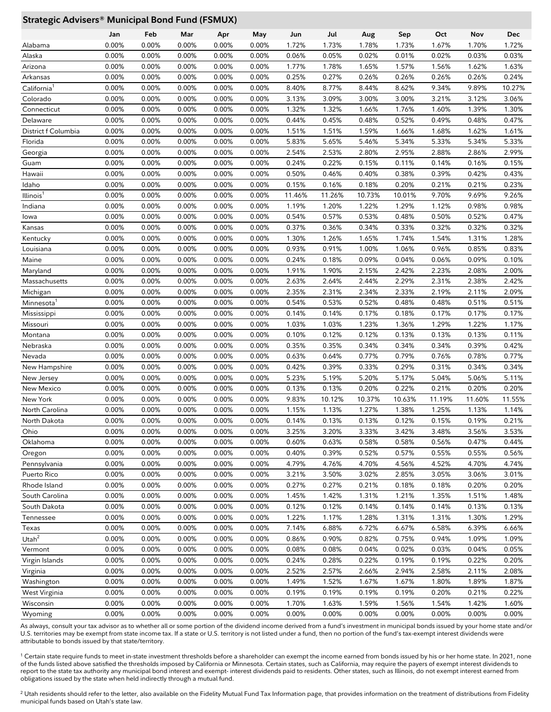## **Strategic Advisers® Municipal Bond Fund (FSMUX)**

|                         | Jan   | Feb   | Mar   | Apr      | May   | Jun    | Jul    | Aug    | Sep    | Oct    | Nov    | Dec    |
|-------------------------|-------|-------|-------|----------|-------|--------|--------|--------|--------|--------|--------|--------|
| Alabama                 | 0.00% | 0.00% | 0.00% | 0.00%    | 0.00% | 1.72%  | 1.73%  | 1.78%  | 1.73%  | 1.67%  | 1.70%  | 1.72%  |
| Alaska                  | 0.00% | 0.00% | 0.00% | 0.00%    | 0.00% | 0.06%  | 0.05%  | 0.02%  | 0.01%  | 0.02%  | 0.03%  | 0.03%  |
| Arizona                 | 0.00% | 0.00% | 0.00% | 0.00%    | 0.00% | 1.77%  | 1.78%  | 1.65%  | 1.57%  | 1.56%  | 1.62%  | 1.63%  |
| Arkansas                | 0.00% | 0.00% | 0.00% | 0.00%    | 0.00% | 0.25%  | 0.27%  | 0.26%  | 0.26%  | 0.26%  | 0.26%  | 0.24%  |
| California <sup>1</sup> | 0.00% | 0.00% | 0.00% | 0.00%    | 0.00% | 8.40%  | 8.77%  | 8.44%  | 8.62%  | 9.34%  | 9.89%  | 10.27% |
| Colorado                | 0.00% | 0.00% | 0.00% | 0.00%    | 0.00% | 3.13%  | 3.09%  | 3.00%  | 3.00%  | 3.21%  | 3.12%  | 3.06%  |
| Connecticut             | 0.00% | 0.00% | 0.00% | 0.00%    | 0.00% | 1.32%  | 1.32%  | 1.66%  | 1.76%  | 1.60%  | 1.39%  | 1.30%  |
| Delaware                | 0.00% | 0.00% | 0.00% | 0.00%    | 0.00% | 0.44%  | 0.45%  | 0.48%  | 0.52%  | 0.49%  | 0.48%  | 0.47%  |
| District f Columbia     | 0.00% | 0.00% | 0.00% | 0.00%    | 0.00% | 1.51%  | 1.51%  | 1.59%  | 1.66%  | 1.68%  | 1.62%  | 1.61%  |
| Florida                 | 0.00% | 0.00% | 0.00% | 0.00%    | 0.00% | 5.83%  | 5.65%  | 5.46%  | 5.34%  | 5.33%  | 5.34%  | 5.33%  |
| Georgia                 | 0.00% | 0.00% | 0.00% | 0.00%    | 0.00% | 2.54%  | 2.53%  | 2.80%  | 2.95%  | 2.88%  | 2.86%  | 2.99%  |
| Guam                    | 0.00% | 0.00% | 0.00% | 0.00%    | 0.00% | 0.24%  | 0.22%  | 0.15%  | 0.11%  | 0.14%  | 0.16%  | 0.15%  |
| Hawaii                  | 0.00% | 0.00% | 0.00% | 0.00%    | 0.00% | 0.50%  | 0.46%  | 0.40%  | 0.38%  | 0.39%  | 0.42%  | 0.43%  |
| Idaho                   | 0.00% | 0.00% | 0.00% | 0.00%    | 0.00% | 0.15%  | 0.16%  | 0.18%  | 0.20%  | 0.21%  | 0.21%  | 0.23%  |
| Illinois <sup>1</sup>   | 0.00% | 0.00% | 0.00% | 0.00%    | 0.00% | 11.46% | 11.26% | 10.73% | 10.01% | 9.70%  | 9.69%  | 9.26%  |
| Indiana                 | 0.00% | 0.00% | 0.00% | 0.00%    | 0.00% | 1.19%  | 1.20%  | 1.22%  | 1.29%  | 1.12%  | 0.98%  | 0.98%  |
| lowa                    | 0.00% | 0.00% | 0.00% | 0.00%    | 0.00% | 0.54%  | 0.57%  | 0.53%  | 0.48%  | 0.50%  | 0.52%  | 0.47%  |
| Kansas                  | 0.00% | 0.00% | 0.00% | 0.00%    | 0.00% | 0.37%  | 0.36%  | 0.34%  | 0.33%  | 0.32%  | 0.32%  | 0.32%  |
| Kentucky                | 0.00% | 0.00% | 0.00% | 0.00%    | 0.00% | 1.30%  | 1.26%  | 1.65%  | 1.74%  | 1.54%  | 1.31%  | 1.28%  |
| Louisiana               | 0.00% | 0.00% | 0.00% | 0.00%    | 0.00% | 0.93%  | 0.91%  | 1.00%  | 1.06%  | 0.96%  | 0.85%  | 0.83%  |
| Maine                   | 0.00% | 0.00% | 0.00% | 0.00%    | 0.00% | 0.24%  | 0.18%  | 0.09%  | 0.04%  | 0.06%  | 0.09%  | 0.10%  |
| Maryland                | 0.00% | 0.00% | 0.00% | 0.00%    | 0.00% | 1.91%  | 1.90%  | 2.15%  | 2.42%  | 2.23%  | 2.08%  | 2.00%  |
| Massachusetts           | 0.00% | 0.00% | 0.00% | 0.00%    | 0.00% | 2.63%  | 2.64%  | 2.44%  | 2.29%  | 2.31%  | 2.38%  | 2.42%  |
| Michigan                | 0.00% | 0.00% | 0.00% | 0.00%    | 0.00% | 2.35%  | 2.31%  | 2.34%  | 2.33%  | 2.19%  | 2.11%  | 2.09%  |
| Minnesota <sup>1</sup>  | 0.00% | 0.00% | 0.00% | 0.00%    | 0.00% | 0.54%  | 0.53%  | 0.52%  | 0.48%  | 0.48%  | 0.51%  | 0.51%  |
| Mississippi             | 0.00% | 0.00% | 0.00% | 0.00%    | 0.00% | 0.14%  | 0.14%  | 0.17%  | 0.18%  | 0.17%  | 0.17%  | 0.17%  |
| Missouri                | 0.00% | 0.00% | 0.00% | 0.00%    | 0.00% | 1.03%  | 1.03%  | 1.23%  | 1.36%  | 1.29%  | 1.22%  | 1.17%  |
| Montana                 | 0.00% | 0.00% | 0.00% | 0.00%    | 0.00% | 0.10%  | 0.12%  | 0.12%  | 0.13%  | 0.13%  | 0.13%  | 0.11%  |
| Nebraska                | 0.00% | 0.00% | 0.00% | 0.00%    | 0.00% | 0.35%  | 0.35%  | 0.34%  | 0.34%  | 0.34%  | 0.39%  | 0.42%  |
| Nevada                  | 0.00% | 0.00% | 0.00% | 0.00%    | 0.00% | 0.63%  | 0.64%  | 0.77%  | 0.79%  | 0.76%  | 0.78%  | 0.77%  |
| New Hampshire           | 0.00% | 0.00% | 0.00% | 0.00%    | 0.00% | 0.42%  | 0.39%  | 0.33%  | 0.29%  | 0.31%  | 0.34%  | 0.34%  |
| New Jersey              | 0.00% | 0.00% | 0.00% | 0.00%    | 0.00% | 5.23%  | 5.19%  | 5.20%  | 5.17%  | 5.04%  | 5.06%  | 5.11%  |
| New Mexico              | 0.00% | 0.00% | 0.00% | 0.00%    | 0.00% | 0.13%  | 0.13%  | 0.20%  | 0.22%  | 0.21%  | 0.20%  | 0.20%  |
| New York                | 0.00% | 0.00% | 0.00% | 0.00%    | 0.00% | 9.83%  | 10.12% | 10.37% | 10.63% | 11.19% | 11.60% | 11.55% |
| North Carolina          | 0.00% | 0.00% | 0.00% | 0.00%    | 0.00% | 1.15%  | 1.13%  | 1.27%  | 1.38%  | 1.25%  | 1.13%  | 1.14%  |
| North Dakota            | 0.00% | 0.00% | 0.00% | $0.00\%$ | 0.00% | 0.14%  | 0.13%  | 0.13%  | 0.12%  | 0.15%  | 0.19%  | 0.21%  |
| Ohio                    | 0.00% | 0.00% | 0.00% | 0.00%    | 0.00% | 3.25%  | 3.20%  | 3.33%  | 3.42%  | 3.48%  | 3.56%  | 3.53%  |
| Oklahoma                | 0.00% | 0.00% | 0.00% | $0.00\%$ | 0.00% | 0.60%  | 0.63%  | 0.58%  | 0.58%  | 0.56%  | 0.47%  | 0.44%  |
| Oregon                  | 0.00% | 0.00% | 0.00% | $0.00\%$ | 0.00% | 0.40%  | 0.39%  | 0.52%  | 0.57%  | 0.55%  | 0.55%  | 0.56%  |
| Pennsylvania            | 0.00% | 0.00% | 0.00% | $0.00\%$ | 0.00% | 4.79%  | 4.76%  | 4.70%  | 4.56%  | 4.52%  | 4.70%  | 4.74%  |
| Puerto Rico             | 0.00% | 0.00% | 0.00% | $0.00\%$ | 0.00% | 3.21%  | 3.50%  | 3.02%  | 2.85%  | 3.05%  | 3.06%  | 3.01%  |
| Rhode Island            | 0.00% | 0.00% | 0.00% | 0.00%    | 0.00% | 0.27%  | 0.27%  | 0.21%  | 0.18%  | 0.18%  | 0.20%  | 0.20%  |
| South Carolina          | 0.00% | 0.00% | 0.00% | 0.00%    | 0.00% | 1.45%  | 1.42%  | 1.31%  | 1.21%  | 1.35%  | 1.51%  | 1.48%  |
| South Dakota            | 0.00% | 0.00% | 0.00% | 0.00%    | 0.00% | 0.12%  | 0.12%  | 0.14%  | 0.14%  | 0.14%  | 0.13%  | 0.13%  |
| Tennessee               | 0.00% | 0.00% | 0.00% | 0.00%    | 0.00% | 1.22%  | 1.17%  | 1.28%  | 1.31%  | 1.31%  | 1.30%  | 1.29%  |
| Texas                   | 0.00% | 0.00% | 0.00% | 0.00%    | 0.00% | 7.14%  | 6.88%  | 6.72%  | 6.67%  | 6.58%  | 6.39%  | 6.66%  |
| Utah $^2$               | 0.00% | 0.00% | 0.00% | 0.00%    | 0.00% | 0.86%  | 0.90%  | 0.82%  | 0.75%  | 0.94%  | 1.09%  | 1.09%  |
| Vermont                 | 0.00% | 0.00% | 0.00% | 0.00%    | 0.00% | 0.08%  | 0.08%  | 0.04%  | 0.02%  | 0.03%  | 0.04%  | 0.05%  |
| Virgin Islands          | 0.00% | 0.00% | 0.00% | 0.00%    | 0.00% | 0.24%  | 0.28%  | 0.22%  | 0.19%  | 0.19%  | 0.22%  | 0.20%  |
| Virginia                | 0.00% | 0.00% | 0.00% | 0.00%    | 0.00% | 2.52%  | 2.57%  | 2.66%  | 2.94%  | 2.58%  | 2.11%  | 2.08%  |
| Washington              | 0.00% | 0.00% | 0.00% | 0.00%    | 0.00% | 1.49%  | 1.52%  | 1.67%  | 1.67%  | 1.80%  | 1.89%  | 1.87%  |
| West Virginia           | 0.00% | 0.00% | 0.00% | 0.00%    | 0.00% | 0.19%  | 0.19%  | 0.19%  | 0.19%  | 0.20%  | 0.21%  | 0.22%  |
| Wisconsin               | 0.00% | 0.00% | 0.00% | 0.00%    | 0.00% | 1.70%  | 1.63%  | 1.59%  | 1.56%  | 1.54%  | 1.42%  | 1.60%  |
| Wyoming                 | 0.00% | 0.00% | 0.00% | 0.00%    | 0.00% | 0.00%  | 0.00%  | 0.00%  | 0.00%  | 0.00%  | 0.00%  | 0.00%  |

As always, consult your tax advisor as to whether all or some portion of the dividend income derived from a fund's investment in municipal bonds issued by your home state and/or U.S. territories may be exempt from state income tax. If a state or U.S. territory is not listed under a fund, then no portion of the fund's tax-exempt interest dividends were attributable to bonds issued by that state/territory.

<sup>1</sup> Certain state require funds to meet in-state investment thresholds before a shareholder can exempt the income earned from bonds issued by his or her home state. In 2021, none of the funds listed above satisfied the thresholds imposed by California or Minnesota. Certain states, such as California, may require the payers of exempt interest dividends to report to the state tax authority any municipal bond interest and exempt- interest dividends paid to residents. Other states, such as Illinois, do not exempt interest earned from obligations issued by the state when held indirectly through a mutual fund.